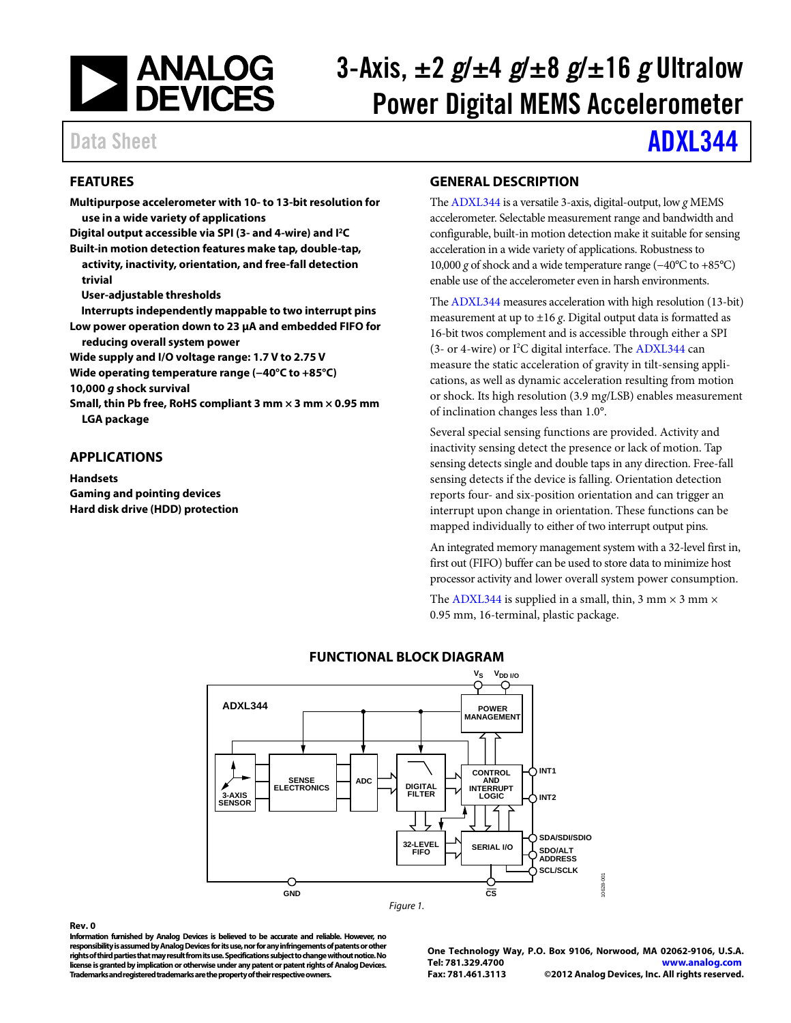

# 3-Axis, ±2 *g*/±4 *g*/±8 *g*/±16 *g* Ultralow Power Digital MEMS Accelerometer

# Data Sheet **[ADXL344](http://www.analog.com/ADXL344)**

# <span id="page-0-0"></span>**FEATURES**

**Multipurpose accelerometer with 10- to 13-bit resolution for use in a wide variety of applications** 

**Digital output accessible via SPI (3- and 4-wire) and I2 C** 

**Built-in motion detection features make tap, double-tap, activity, inactivity, orientation, and free-fall detection trivial**

**User-adjustable thresholds**

**Interrupts independently mappable to two interrupt pins Low power operation down to 23 µA and embedded FIFO for** 

**reducing overall system power**

**Wide supply and I/O voltage range: 1.7 V to 2.75 V** 

**Wide operating temperature range (−40°C to +85°C)**

**10,000** *g* **shock survival**

**Small, thin Pb free, RoHS compliant 3 mm × 3 mm × 0.95 mm LGA package**

# <span id="page-0-1"></span>**APPLICATIONS**

**Handsets Gaming and pointing devices Hard disk drive (HDD) protection**

# <span id="page-0-2"></span>**GENERAL DESCRIPTION**

Th[e ADXL344](http://www.analog.com/ADXL344) is a versatile 3-axis, digital-output, low *g* MEMS accelerometer. Selectable measurement range and bandwidth and configurable, built-in motion detection make it suitable for sensing acceleration in a wide variety of applications. Robustness to 10,000 *g* of shock and a wide temperature range (−40°C to +85°C) enable use of the accelerometer even in harsh environments.

Th[e ADXL344](http://www.analog.com/ADXL344) measures acceleration with high resolution (13-bit) measurement at up to ±16 *g*. Digital output data is formatted as 16-bit twos complement and is accessible through either a SPI (3- or 4-wire) or I<sup>2</sup>C digital interface. Th[e ADXL344](http://www.analog.com/ADXL344) can measure the static acceleration of gravity in tilt-sensing applications, as well as dynamic acceleration resulting from motion or shock. Its high resolution (3.9 m*g*/LSB) enables measurement of inclination changes less than 1.0°.

Several special sensing functions are provided. Activity and inactivity sensing detect the presence or lack of motion. Tap sensing detects single and double taps in any direction. Free-fall sensing detects if the device is falling. Orientation detection reports four- and six-position orientation and can trigger an interrupt upon change in orientation. These functions can be mapped individually to either of two interrupt output pins.

An integrated memory management system with a 32-level first in, first out (FIFO) buffer can be used to store data to minimize host processor activity and lower overall system power consumption.

The [ADXL344](http://www.analog.com/ADXL344) is supplied in a small, thin, 3 mm  $\times$  3 mm  $\times$ 0.95 mm, 16-terminal, plastic package.

<span id="page-0-3"></span>

# **FUNCTIONAL BLOCK DIAGRAM**

#### **Rev. 0**

**Information furnished by Analog Devices is believed to be accurate and reliable. However, no responsibility is assumed by Analog Devices for its use, nor for any infringements of patents or other rights of third parties that may result from its use. Specifications subject to change without notice. No license is granted by implication or otherwise under any patent or patent rights of Analog Devices. Trademarks and registered trademarks are the property of their respective owners.**

**One Technology Way, P.O. Box 9106, Norwood, MA 02062-9106, U.S.A. Tel: 781.329.4700 [www.analog.com](http://www.analog.com/)  Fax: 781.461.3113 ©2012 Analog Devices, Inc. All rights reserved.**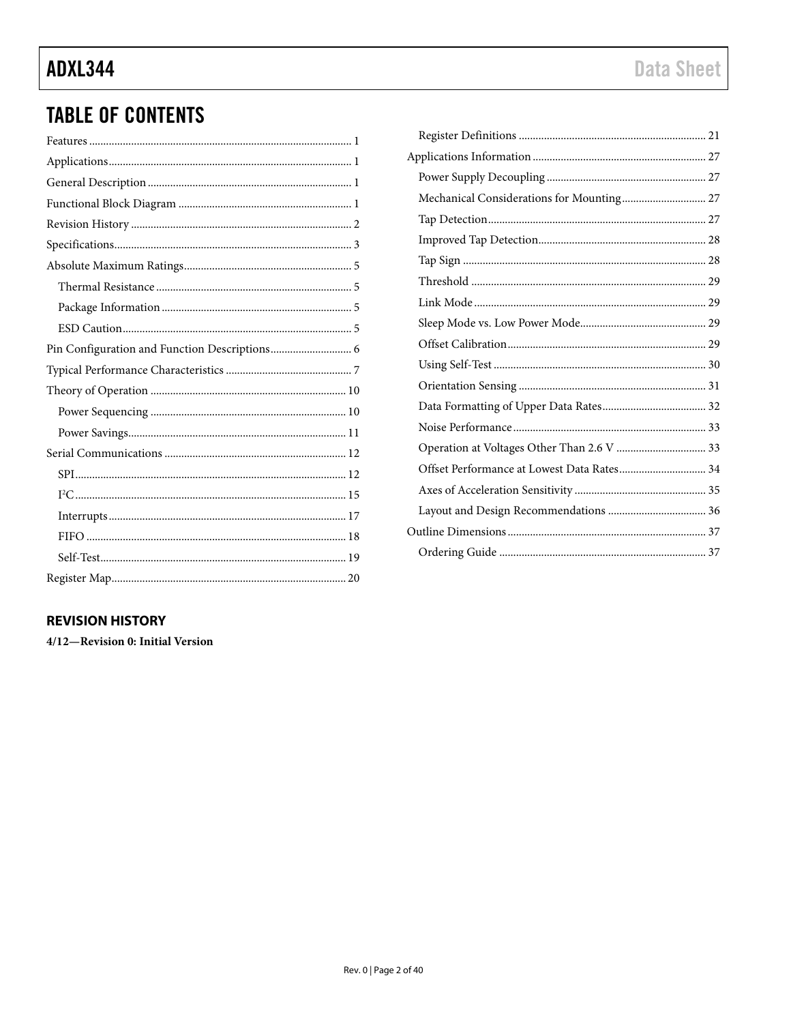# **TABLE OF CONTENTS**

# <span id="page-1-0"></span>**REVISION HISTORY**

4/12-Revision 0: Initial Version

| Offset Performance at Lowest Data Rates 34 |  |
|--------------------------------------------|--|
|                                            |  |
|                                            |  |
|                                            |  |
|                                            |  |
|                                            |  |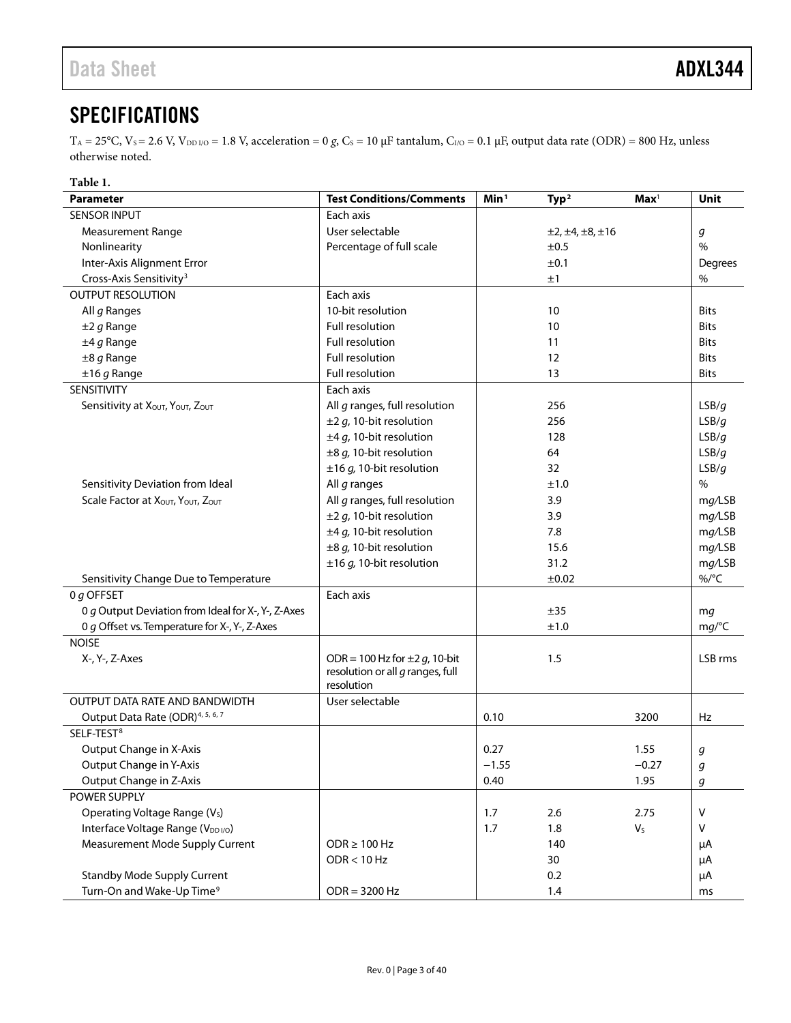# <span id="page-2-0"></span>**SPECIFICATIONS**

 $T_A = 25$ °C,  $V_s = 2.6$  V,  $V_{DD I/O} = 1.8$  V, acceleration = 0 *g*,  $C_s = 10$  μF tantalum,  $C_{I/O} = 0.1$  μF, output data rate (ODR) = 800 Hz, unless otherwise noted.

<span id="page-2-2"></span><span id="page-2-1"></span>

| Table 1.                                           |                                                                          |                  |                               |                         |             |
|----------------------------------------------------|--------------------------------------------------------------------------|------------------|-------------------------------|-------------------------|-------------|
| <b>Parameter</b>                                   | <b>Test Conditions/Comments</b>                                          | Min <sup>1</sup> | Type <sup>2</sup>             | $\mathbf{Max}^1$        | Unit        |
| <b>SENSOR INPUT</b>                                | Each axis                                                                |                  |                               |                         |             |
| <b>Measurement Range</b>                           | User selectable                                                          |                  | $\pm 2, \pm 4, \pm 8, \pm 16$ |                         | g           |
| Nonlinearity                                       | Percentage of full scale                                                 |                  | ±0.5                          |                         | $\%$        |
| Inter-Axis Alignment Error                         |                                                                          |                  | ±0.1                          |                         | Degrees     |
| Cross-Axis Sensitivity <sup>3</sup>                |                                                                          |                  | ±1                            |                         | $\%$        |
| <b>OUTPUT RESOLUTION</b>                           | Each axis                                                                |                  |                               |                         |             |
| All g Ranges                                       | 10-bit resolution                                                        |                  | 10                            |                         | <b>Bits</b> |
| $±2 g$ Range                                       | Full resolution                                                          |                  | 10                            |                         | <b>Bits</b> |
| $±4g$ Range                                        | Full resolution                                                          |                  | 11                            |                         | <b>Bits</b> |
| $\pm 8$ g Range                                    | Full resolution                                                          |                  | 12                            |                         | <b>Bits</b> |
| $±16 g$ Range                                      | Full resolution                                                          |                  | 13                            |                         | <b>Bits</b> |
| SENSITIVITY                                        | Each axis                                                                |                  |                               |                         |             |
| Sensitivity at XOUT, YOUT, ZOUT                    | All g ranges, full resolution                                            |                  | 256                           |                         | LSB/g       |
|                                                    | $\pm$ 2 g, 10-bit resolution                                             |                  | 256                           |                         | LSB/g       |
|                                                    | $\pm 4$ g, 10-bit resolution                                             |                  | 128                           |                         | LSB/q       |
|                                                    | $\pm 8$ g, 10-bit resolution                                             |                  | 64                            |                         | LSB/q       |
|                                                    | $\pm 16$ g, 10-bit resolution                                            |                  | 32                            |                         | LSB/g       |
| Sensitivity Deviation from Ideal                   | All g ranges                                                             |                  | ±1.0                          |                         | $\%$        |
| Scale Factor at XOUT, YOUT, ZOUT                   | All g ranges, full resolution                                            | 3.9              |                               | mg/LSB                  |             |
|                                                    | $\pm$ 2 g, 10-bit resolution                                             |                  | 3.9                           |                         | mg/LSB      |
|                                                    | $\pm 4$ g, 10-bit resolution                                             |                  | 7.8                           |                         | mg/LSB      |
|                                                    | $\pm 8$ g, 10-bit resolution                                             |                  | 15.6                          |                         | mg/LSB      |
|                                                    | $\pm 16$ g, 10-bit resolution                                            |                  | 31.2                          |                         | mg/LSB      |
| Sensitivity Change Due to Temperature              |                                                                          |                  | ±0.02                         |                         | $\%$ /°C    |
| 0 g OFFSET                                         | Each axis                                                                |                  |                               |                         |             |
| 0 g Output Deviation from Ideal for X-, Y-, Z-Axes |                                                                          |                  | ±35                           |                         | mg          |
| 0 g Offset vs. Temperature for X-, Y-, Z-Axes      |                                                                          |                  | ±1.0                          |                         | mg/C        |
| <b>NOISE</b>                                       |                                                                          |                  |                               |                         |             |
| X-, Y-, Z-Axes                                     | ODR = 100 Hz for $\pm 2$ g, 10-bit<br>resolution or all $q$ ranges, full |                  | 1.5                           |                         | LSB rms     |
|                                                    | resolution                                                               |                  |                               |                         |             |
| OUTPUT DATA RATE AND BANDWIDTH                     | User selectable                                                          |                  |                               |                         |             |
| Output Data Rate (ODR) <sup>4, 5, 6, 7</sup>       |                                                                          | 0.10             |                               | 3200                    | Hz          |
| SELF-TEST <sup>8</sup>                             |                                                                          |                  |                               |                         |             |
| Output Change in X-Axis                            |                                                                          | 0.27             |                               | 1.55                    | g           |
| Output Change in Y-Axis                            |                                                                          | $-1.55$          |                               | $-0.27$                 | g           |
| Output Change in Z-Axis                            |                                                                          | 0.40             |                               | 1.95                    | g           |
| POWER SUPPLY                                       |                                                                          |                  |                               |                         |             |
| Operating Voltage Range (V <sub>s</sub> )          |                                                                          | 1.7              | 2.6                           | 2.75                    | V           |
| Interface Voltage Range (V <sub>DDI/O</sub> )      |                                                                          | 1.7              | 1.8                           | $\mathsf{V}_\mathsf{S}$ | ٧           |
| Measurement Mode Supply Current                    | $ODR \ge 100 Hz$                                                         |                  | 140                           |                         | μA          |
|                                                    | ODR < 10 Hz                                                              |                  | 30                            |                         | μA          |
| <b>Standby Mode Supply Current</b>                 |                                                                          |                  | 0.2                           |                         | μA          |
| Turn-On and Wake-Up Time <sup>9</sup>              | $ODR = 3200 Hz$                                                          |                  | 1.4                           |                         | ms          |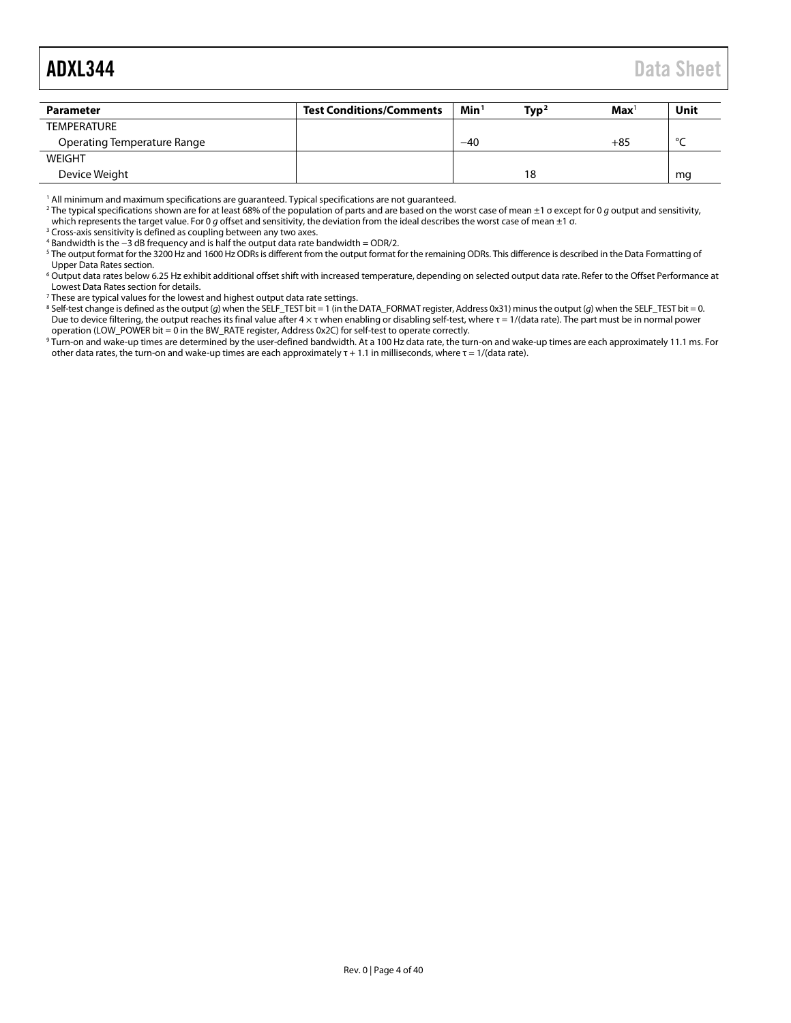<span id="page-3-0"></span>

| Parameter                   | <b>Test Conditions/Comments</b> | Min <sup>1</sup> | Type <sup>2</sup> | $\mathbf{Max}^1$ | Unit    |
|-----------------------------|---------------------------------|------------------|-------------------|------------------|---------|
| <b>TEMPERATURE</b>          |                                 |                  |                   |                  |         |
| Operating Temperature Range |                                 | $-40$            |                   | +85              | $\circ$ |
| WEIGHT                      |                                 |                  |                   |                  |         |
| Device Weight               |                                 |                  | 18                |                  | mq      |

<sup>1</sup> All minimum and maximum specifications are guaranteed. Typical specifications are not guaranteed.

<sup>2</sup> The typical specifications shown are for at least 68% of the population of parts and are based on the worst case of mean ±1 σ except for 0 *g* output and sensitivity, which represents the target value. For 0 *g* offset and sensitivity, the deviation from the ideal describes the worst case of mean ±1 σ.

<sup>3</sup> Cross-axis sensitivity is defined as coupling between any two axes.

<sup>4</sup> Bandwidth is the −3 dB frequency and is half the output data rate bandwidth = ODR/2.

<sup>5</sup> The output format for the 3200 Hz and 1600 Hz ODRs is different from the output format for the remaining ODRs. This difference is described in the Data Formatting of Upper Data Rates section.

<sup>6</sup> Output data rates below 6.25 Hz exhibit additional offset shift with increased temperature, depending on selected output data rate. Refer to the Offset Performance at [Lowest Data](#page-33-0) Rates section for details.

 $^7$  These are typical values for the lowest and highest output data rate settings.

<sup>8</sup> Self-test change is defined as the output (*g*) when the SELF\_TEST bit = 1 (in the DATA\_FORMAT register, Address 0x31) minus the output (*g*) when the SELF\_TEST bit = 0. Due to device filtering, the output reaches its final value after 4 × τ when enabling or disabling self-test, where τ = 1/(data rate). The part must be in normal power operation (LOW\_POWER bit = 0 in the BW\_RATE register, Address 0x2C) for self-test to operate correctly.

<sup>9</sup> Turn-on and wake-up times are determined by the user-defined bandwidth. At a 100 Hz data rate, the turn-on and wake-up times are each approximately 11.1 ms. For other data rates, the turn-on and wake-up times are each approximately  $\tau$  + 1.1 in milliseconds, where  $\tau$  = 1/(data rate).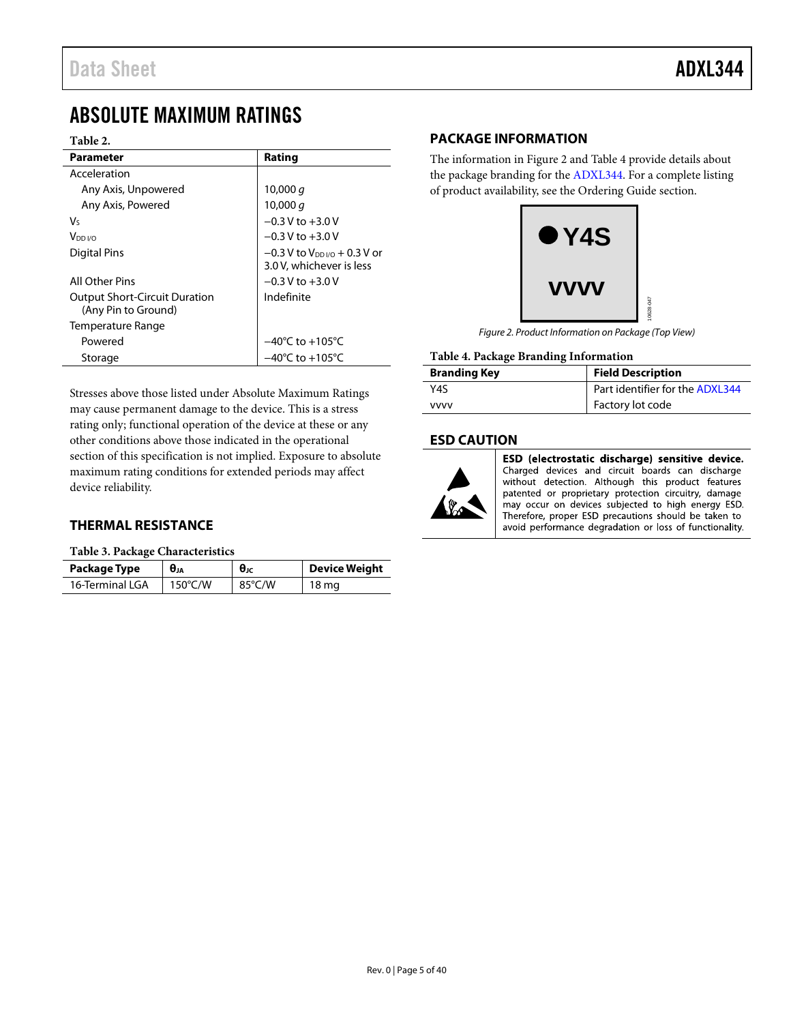# <span id="page-4-0"></span>ABSOLUTE MAXIMUM RATINGS

#### **Table 2.**

| Parameter                            | Rating                                     |
|--------------------------------------|--------------------------------------------|
| Acceleration                         |                                            |
| Any Axis, Unpowered                  | 10,000 $q$                                 |
| Any Axis, Powered                    | 10,000 $q$                                 |
| V٢                                   | $-0.3$ V to $+3.0$ V                       |
| V <sub>DD I/O</sub>                  | $-0.3$ V to $+3.0$ V                       |
| Digital Pins                         | $-0.3$ V to V <sub>DD I/0</sub> + 0.3 V or |
|                                      | 3.0 V, whichever is less                   |
| All Other Pins                       | $-0.3$ V to $+3.0$ V                       |
| <b>Output Short-Circuit Duration</b> | Indefinite                                 |
| (Any Pin to Ground)                  |                                            |
| Temperature Range                    |                                            |
| Powered                              | $-40^{\circ}$ C to $+105^{\circ}$ C        |
| Storage                              | $-40^{\circ}$ C to $+105^{\circ}$ C        |

Stresses above those listed under Absolute Maximum Ratings may cause permanent damage to the device. This is a stress rating only; functional operation of the device at these or any other conditions above those indicated in the operational section of this specification is not implied. Exposure to absolute maximum rating conditions for extended periods may affect device reliability.

# <span id="page-4-1"></span>**THERMAL RESISTANCE**

**Table 3. Package Characteristics**

| Package Type    | $\theta$ ıa       | $θ$ ις | <b>Device Weight</b> |
|-----------------|-------------------|--------|----------------------|
| 16-Terminal LGA | $150^{\circ}$ C/W | 85°C/W | 18 mg                |

# <span id="page-4-2"></span>**PACKAGE INFORMATION**

The information in [Figure 2](#page-4-4) an[d Table 4](#page-4-5) provide details about the package branding for the [ADXL344.](http://www.analog.com/ADXL344) For a complete listing of product availability, see th[e Ordering Guide](#page-36-1) section.



*Figure 2. Product Information on Package (Top View)* 

#### <span id="page-4-5"></span><span id="page-4-4"></span>**Table 4. Package Branding Information**

| <b>Branding Key</b> | <b>Field Description</b>        |  |
|---------------------|---------------------------------|--|
| Y4S                 | Part identifier for the ADXL344 |  |
| <b>VVVV</b>         | Factory lot code                |  |

## <span id="page-4-3"></span>**ESD CAUTION**



ESD (electrostatic discharge) sensitive device. Charged devices and circuit boards can discharge without detection. Although this product features patented or proprietary protection circuitry, damage may occur on devices subjected to high energy ESD. Therefore, proper ESD precautions should be taken to avoid performance degradation or loss of functionality.

10628-047

D47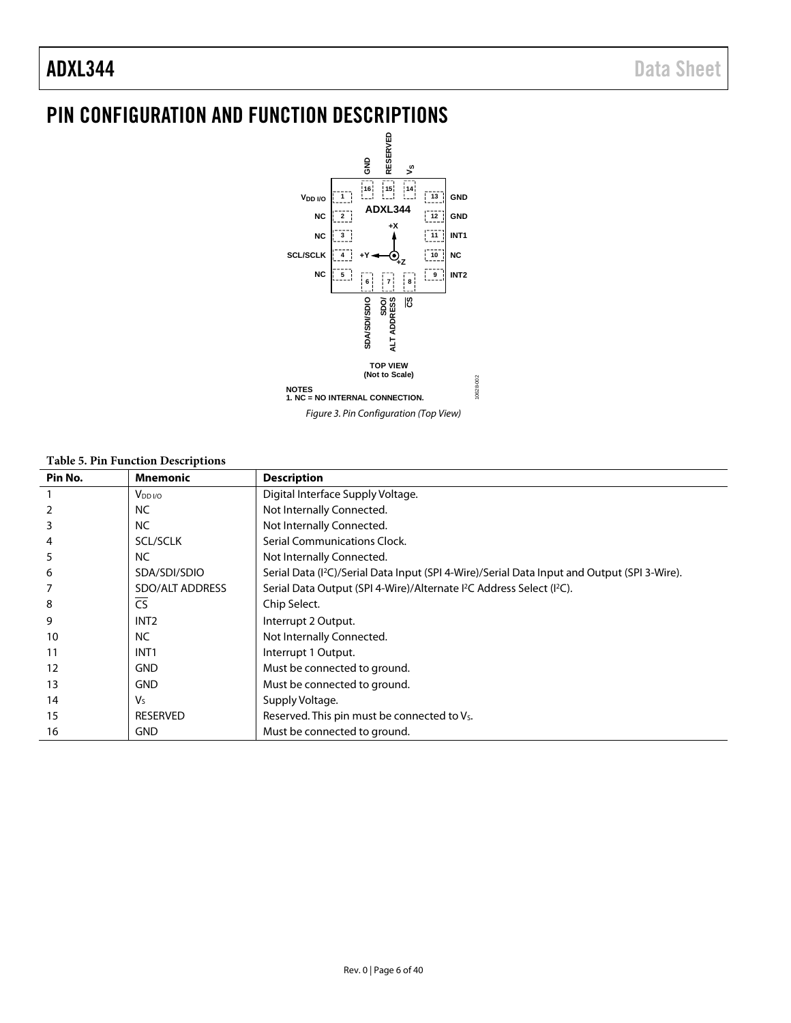# <span id="page-5-0"></span>PIN CONFIGURATION AND FUNCTION DESCRIPTIONS



*Figure 3. Pin Configuration (Top View)*

#### **Table 5. Pin Function Descriptions**

| Pin No. | <b>Mnemonic</b>        | <b>Description</b>                                                                                       |
|---------|------------------------|----------------------------------------------------------------------------------------------------------|
|         | $V_{DD I/O}$           | Digital Interface Supply Voltage.                                                                        |
|         | <b>NC</b>              | Not Internally Connected.                                                                                |
| 3       | <b>NC</b>              | Not Internally Connected.                                                                                |
|         | <b>SCL/SCLK</b>        | Serial Communications Clock.                                                                             |
| 5       | <b>NC</b>              | Not Internally Connected.                                                                                |
| 6       | SDA/SDI/SDIO           | Serial Data (I <sup>2</sup> C)/Serial Data Input (SPI 4-Wire)/Serial Data Input and Output (SPI 3-Wire). |
|         | <b>SDO/ALT ADDRESS</b> | Serial Data Output (SPI 4-Wire)/Alternate I <sup>2</sup> C Address Select (I <sup>2</sup> C).            |
| 8       | <b>CS</b>              | Chip Select.                                                                                             |
| 9       | INT <sub>2</sub>       | Interrupt 2 Output.                                                                                      |
| 10      | <b>NC</b>              | Not Internally Connected.                                                                                |
| 11      | INT <sub>1</sub>       | Interrupt 1 Output.                                                                                      |
| 12      | <b>GND</b>             | Must be connected to ground.                                                                             |
| 13      | <b>GND</b>             | Must be connected to ground.                                                                             |
| 14      | Vs                     | Supply Voltage.                                                                                          |
| 15      | <b>RESERVED</b>        | Reserved. This pin must be connected to V <sub>s</sub> .                                                 |
| 16      | <b>GND</b>             | Must be connected to ground.                                                                             |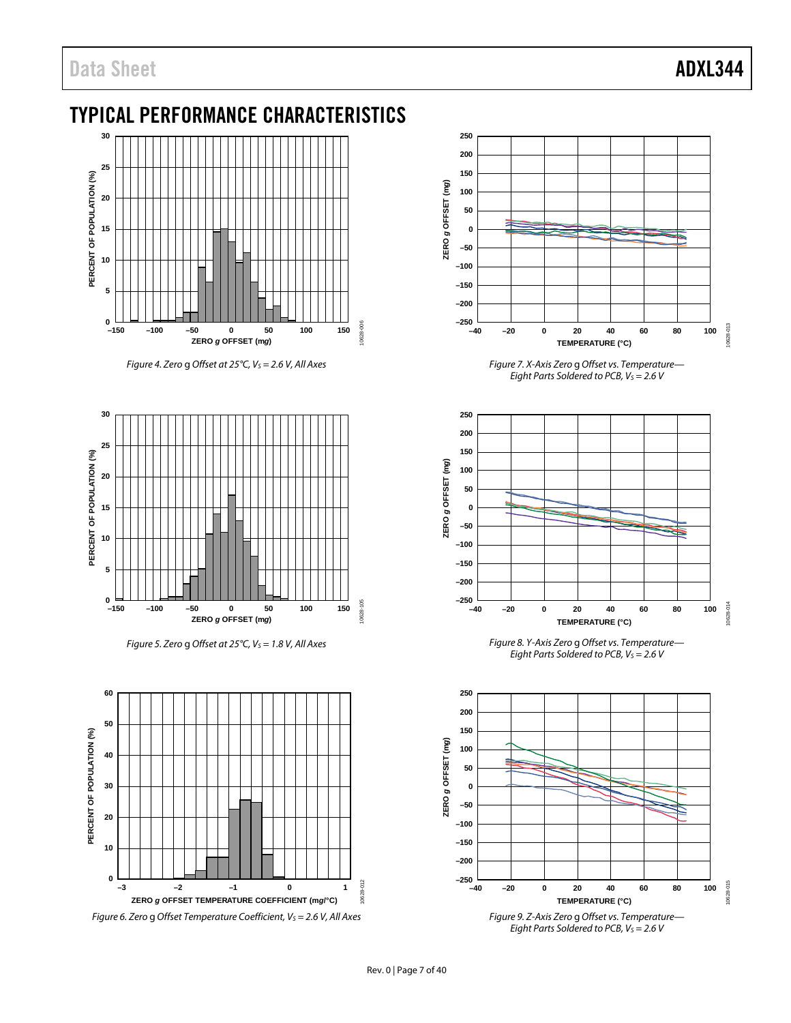# <span id="page-6-0"></span>TYPICAL PERFORMANCE CHARACTERISTICS



*Figure 4. Zero g Offset at 25°C, V<sub>S</sub> = 2.6 V, All Axes* 



*Figure 5. Zero g Offset at 25°C, V<sub>S</sub> = 1.8 V, All Axes* 





*Figure 7. X-Axis Zero* g *Offset vs. Temperature— Eight Parts Soldered to PCB, V<sub>S</sub> = 2.6 V* 



*Figure 8. Y-Axis Zero* g *Offset vs. Temperature— Eight Parts Soldered to PCB, V<sub>S</sub> = 2.6 V* 

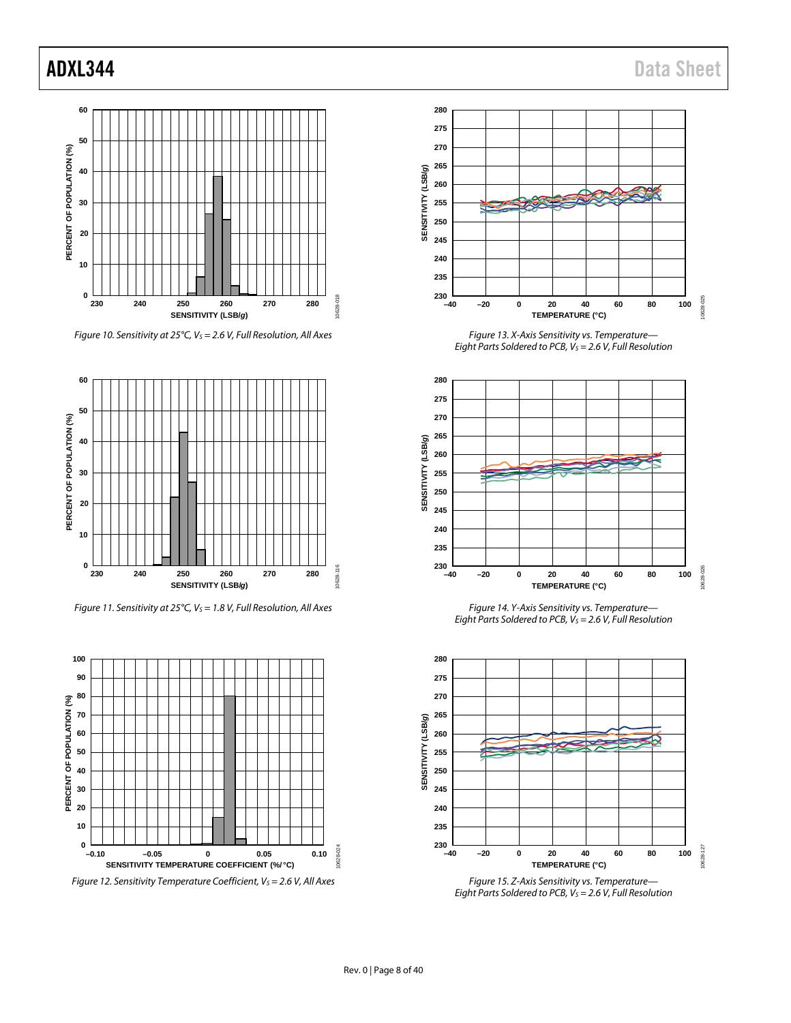

*Figure 10. Sensitivity at 25°C, VS = 2.6 V, Full Resolution, All Axes*



*Figure 11. Sensitivity at 25°C, V<sub>S</sub> = 1.8 V, Full Resolution, All Axes* 



*Figure 12. Sensitivity Temperature Coefficient, V<sub>S</sub> = 2.6 V, All Axes* 



*Figure 13. X-Axis Sensitivity vs. Temperature— Eight Parts Soldered to PCB, VS = 2.6 V, Full Resolution*



*Figure 14. Y-Axis Sensitivity vs. Temperature— Eight Parts Soldered to PCB, V<sub>S</sub> = 2.6 V, Full Resolution* 



*Figure 15. Z-Axis Sensitivity vs. Temperature— Eight Parts Soldered to PCB, V<sub>S</sub> = 2.6 V, Full Resolution*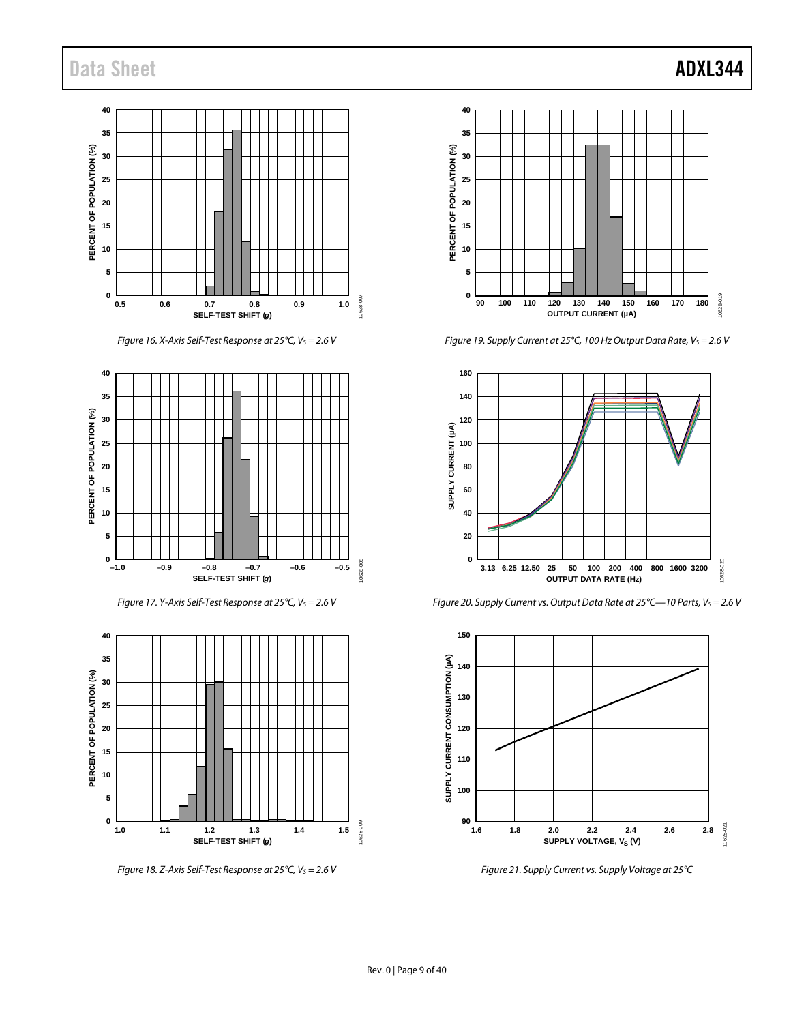# Data Sheet **ADXL344**



*Figure 16. X-Axis Self-Test Response at 25°C, Vs = 2.6 V* 



*Figure 17. Y-Axis Self-Test Response at 25°C, Vs* = 2.6 V



*Figure 18. Z-Axis Self-Test Response at 25°C, Vs = 2.6 V* 



*Figure 19. Supply Current at 25°C, 100 Hz Output Data Rate, Vs* = 2.6 V

**90 100 120 140 160 180 110 130 150 170 OUTPUT CURRENT (µA)**



*Figure 20. Supply Current vs. Output Data Rate at 25°C—10 Parts, Vs* = 2.6 V



<span id="page-8-0"></span>*Figure 21. Supply Current vs. Supply Voltage at 25°C*

# Rev. 0 | Page 9 of 40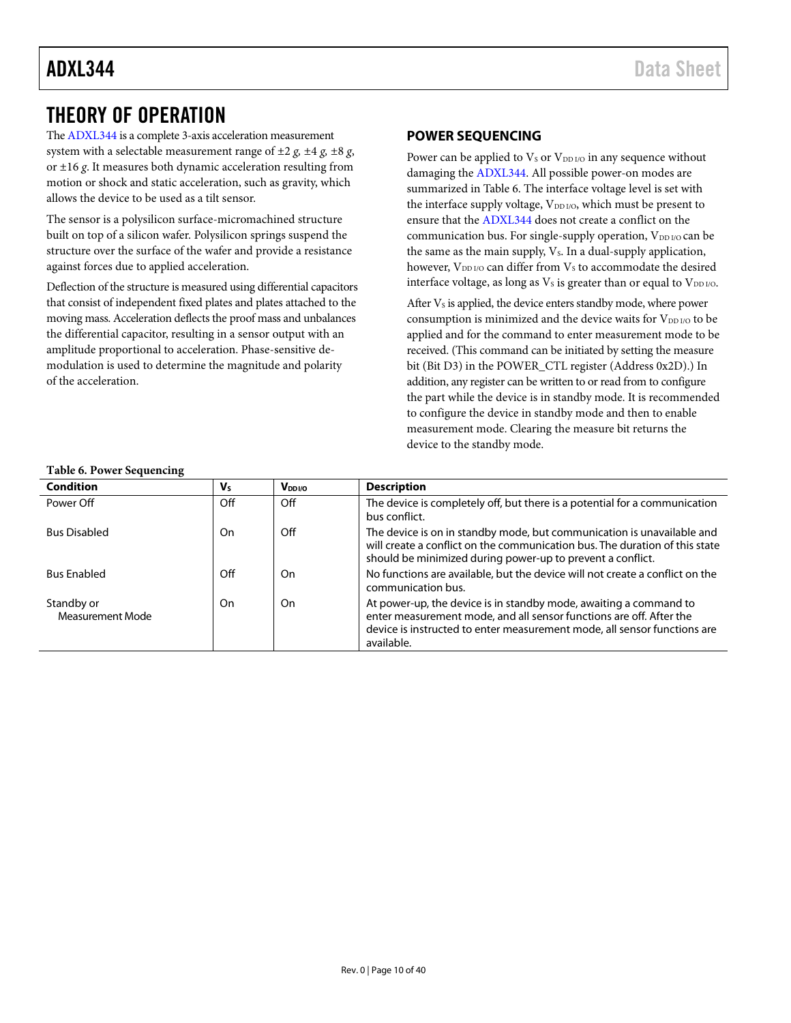# <span id="page-9-0"></span>THEORY OF OPERATION

Th[e ADXL344](http://www.analog.com/ADXL344) is a complete 3-axis acceleration measurement system with a selectable measurement range of ±2 *g, ±*4 *g, ±*8 *g*, or ±16 *g*. It measures both dynamic acceleration resulting from motion or shock and static acceleration, such as gravity, which allows the device to be used as a tilt sensor.

The sensor is a polysilicon surface-micromachined structure built on top of a silicon wafer. Polysilicon springs suspend the structure over the surface of the wafer and provide a resistance against forces due to applied acceleration.

Deflection of the structure is measured using differential capacitors that consist of independent fixed plates and plates attached to the moving mass. Acceleration deflects the proof mass and unbalances the differential capacitor, resulting in a sensor output with an amplitude proportional to acceleration. Phase-sensitive demodulation is used to determine the magnitude and polarity of the acceleration.

# <span id="page-9-1"></span>**POWER SEQUENCING**

Power can be applied to  $V_S$  or  $V_{DD I/O}$  in any sequence without damaging the [ADXL344.](http://www.analog.com/ADXL344) All possible power-on modes are summarized i[n Table 6.](#page-9-2) The interface voltage level is set with the interface supply voltage,  $V_{DD I/O}$ , which must be present to ensure that th[e ADXL344](http://www.analog.com/ADXL344) does not create a conflict on the communication bus. For single-supply operation,  $V_{DD I/O}$  can be the same as the main supply,  $V_s$ . In a dual-supply application, however, V<sub>DD I/O</sub> can differ from V<sub>s</sub> to accommodate the desired interface voltage, as long as  $V_s$  is greater than or equal to  $V_{DD I/O}$ .

After  $V_s$  is applied, the device enters standby mode, where power consumption is minimized and the device waits for  $V_{DD\,I/O}$  to be applied and for the command to enter measurement mode to be received. (This command can be initiated by setting the measure bit (Bit D3) in the POWER\_CTL register (Address 0x2D).) In addition, any register can be written to or read from to configure the part while the device is in standby mode. It is recommended to configure the device in standby mode and then to enable measurement mode. Clearing the measure bit returns the device to the standby mode.

#### <span id="page-9-2"></span>**Table 6. Power Sequencing**

| $\cdot$                        |         |             |                                                                                                                                                                                                                                    |  |  |
|--------------------------------|---------|-------------|------------------------------------------------------------------------------------------------------------------------------------------------------------------------------------------------------------------------------------|--|--|
| <b>Condition</b>               | $V_{S}$ | $V_{DDI/O}$ | <b>Description</b>                                                                                                                                                                                                                 |  |  |
| Power Off                      | Off     | Off         | The device is completely off, but there is a potential for a communication<br>bus conflict.                                                                                                                                        |  |  |
| <b>Bus Disabled</b>            | On      | Off         | The device is on in standby mode, but communication is unavailable and<br>will create a conflict on the communication bus. The duration of this state<br>should be minimized during power-up to prevent a conflict.                |  |  |
| <b>Bus Enabled</b>             | Off     | On          | No functions are available, but the device will not create a conflict on the<br>communication bus.                                                                                                                                 |  |  |
| Standby or<br>Measurement Mode | On      | On          | At power-up, the device is in standby mode, awaiting a command to<br>enter measurement mode, and all sensor functions are off. After the<br>device is instructed to enter measurement mode, all sensor functions are<br>available. |  |  |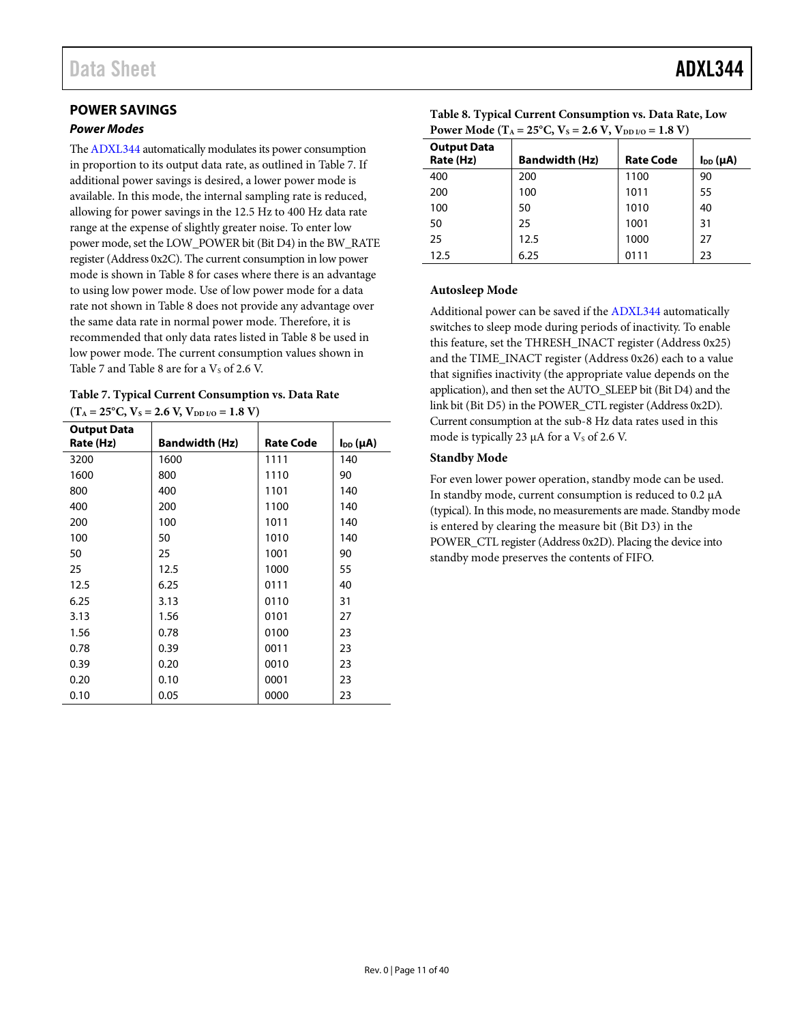# <span id="page-10-0"></span>**POWER SAVINGS**

#### <span id="page-10-3"></span>*Power Modes*

Th[e ADXL344](http://www.analog.com/ADXL344) automatically modulates its power consumption in proportion to its output data rate, as outlined i[n Table 7.](#page-10-1) If additional power savings is desired, a lower power mode is available. In this mode, the internal sampling rate is reduced, allowing for power savings in the 12.5 Hz to 400 Hz data rate range at the expense of slightly greater noise. To enter low power mode, set the LOW\_POWER bit (Bit D4) in the BW\_RATE register (Address 0x2C). The current consumption in low power mode is shown in [Table 8](#page-10-2) for cases where there is an advantage to using low power mode. Use of low power mode for a data rate not shown i[n Table 8](#page-10-2) does not provide any advantage over the same data rate in normal power mode. Therefore, it is recommended that only data rates listed in [Table 8](#page-10-2) be used in low power mode. The current consumption values shown in [Table 7](#page-10-1) an[d Table 8](#page-10-2) are for a  $V_s$  of 2.6 V.

<span id="page-10-1"></span>**Table 7. Typical Current Consumption vs. Data Rate**  $(T_A = 25^{\circ}C, V_s = 2.6 V, V_{DD I/O} = 1.8 V)$ 

| <b>Output Data</b><br>Rate (Hz) | <b>Bandwidth (Hz)</b> | <b>Rate Code</b> | $I_{DD}(\mu A)$ |
|---------------------------------|-----------------------|------------------|-----------------|
| 3200                            | 1600                  | 1111             | 140             |
| 1600                            | 800                   | 1110             | 90              |
| 800                             | 400                   | 1101             | 140             |
| 400                             | 200                   | 1100             | 140             |
| 200                             | 100                   | 1011             | 140             |
| 100                             | 50                    | 1010             | 140             |
| 50                              | 25                    | 1001             | 90              |
| 25                              | 12.5                  | 1000             | 55              |
| 12.5                            | 6.25                  | 0111             | 40              |
| 6.25                            | 3.13                  | 0110             | 31              |
| 3.13                            | 1.56                  | 0101             | 27              |
| 1.56                            | 0.78                  | 0100             | 23              |
| 0.78                            | 0.39                  | 0011             | 23              |
| 0.39                            | 0.20                  | 0010             | 23              |
| 0.20                            | 0.10                  | 0001             | 23              |
| 0.10                            | 0.05                  | 0000             | 23              |

| Power Mode (T <sub>A</sub> = 25 <sup>o</sup> C, V <sub>S</sub> = 2.6 V, V <sub>DD I/O</sub> = 1.8 V) |                  |                 |  |  |  |  |
|------------------------------------------------------------------------------------------------------|------------------|-----------------|--|--|--|--|
| <b>Bandwidth (Hz)</b>                                                                                | <b>Rate Code</b> | $I_{DD}(\mu A)$ |  |  |  |  |
| 200                                                                                                  | 1100             | 90              |  |  |  |  |
| 100                                                                                                  | 1011             | 55              |  |  |  |  |
| 50                                                                                                   | 1010             | 40              |  |  |  |  |
| 25                                                                                                   | 1001             | 31              |  |  |  |  |
| 12.5                                                                                                 | 1000             | 27              |  |  |  |  |
|                                                                                                      |                  |                 |  |  |  |  |

<span id="page-10-2"></span>**Table 8. Typical Current Consumption vs. Data Rate, Low** 

# 12.5 6.25 0111 23

#### **Autosleep Mode**

Additional power can be saved if the [ADXL344](http://www.analog.com/ADXL344) automatically switches to sleep mode during periods of inactivity. To enable this feature, set the THRESH\_INACT register (Address 0x25) and the TIME\_INACT register (Address 0x26) each to a value that signifies inactivity (the appropriate value depends on the application), and then set the AUTO\_SLEEP bit (Bit D4) and the link bit (Bit D5) in the POWER\_CTL register(Address 0x2D). Current consumption at the sub-8 Hz data rates used in this mode is typically 23  $\mu$ A for a Vs of 2.6 V.

#### **Standby Mode**

For even lower power operation, standby mode can be used. In standby mode, current consumption is reduced to 0.2 µA (typical). In this mode, no measurements are made. Standby mode is entered by clearing the measure bit (Bit D3) in the POWER CTL register (Address 0x2D). Placing the device into standby mode preserves the contents of FIFO.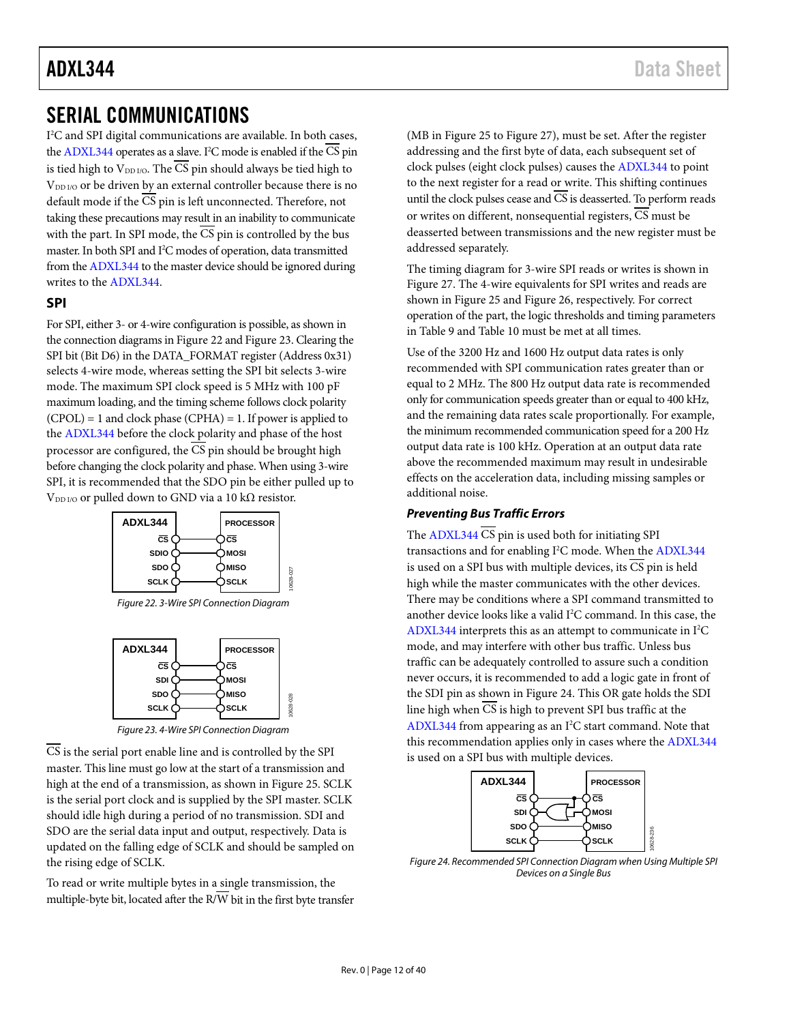# ADXL344 Data Sheet

# <span id="page-11-0"></span>SERIAL COMMUNICATIONS

I 2 C and SPI digital communications are available. In both cases, th[e ADXL344](http://www.analog.com/ADXL344) operates as a slave. I<sup>2</sup>C mode is enabled if the CS pin is tied high to  $V_{DD I/O}$ . The  $\overline{CS}$  pin should always be tied high to V<sub>DD I/O</sub> or be driven by an external controller because there is no default mode if the CS pin is left unconnected. Therefore, not taking these precautions may result in an inability to communicate with the part. In SPI mode, the  $\overline{\text{CS}}$  pin is controlled by the bus master. In both SPI and I2 C modes of operation, data transmitted from th[e ADXL344](http://www.analog.com/ADXL344) to the master device should be ignored during writes to the [ADXL344.](http://www.analog.com/ADXL344) 

#### <span id="page-11-1"></span>**SPI**

For SPI, either 3- or 4-wire configuration is possible, as shown in the connection diagrams i[n Figure 22](#page-11-2) an[d Figure 23.](#page-11-3) Clearing the SPI bit (Bit D6) in the DATA\_FORMAT register (Address 0x31) selects 4-wire mode, whereas setting the SPI bit selects 3-wire mode. The maximum SPI clock speed is 5 MHz with 100 pF maximum loading, and the timing scheme follows clock polarity  $(CPOL) = 1$  and clock phase  $(CPHA) = 1$ . If power is applied to the [ADXL344](http://www.analog.com/ADXL344) before the clock polarity and phase of the host processor are configured, the CS pin should be brought high before changing the clock polarity and phase. When using 3-wire SPI, it is recommended that the SDO pin be either pulled up to V<sub>DD I/O</sub> or pulled down to GND via a 10 k $\Omega$  resistor.



<span id="page-11-2"></span>*Figure 22. 3-Wire SPI Connection Diagram*



*Figure 23. 4-Wire SPI Connection Diagram*

<span id="page-11-3"></span>CS is the serial port enable line and is controlled by the SPI master. This line must go low at the start of a transmission and high at the end of a transmission, as shown in [Figure 25.](#page-12-0) SCLK is the serial port clock and is supplied by the SPI master. SCLK should idle high during a period of no transmission. SDI and SDO are the serial data input and output, respectively. Data is updated on the falling edge of SCLK and should be sampled on the rising edge of SCLK.

To read or write multiple bytes in a single transmission, the multiple-byte bit, located after the  $R/\overline{W}$  bit in the first byte transfer

(MB i[n Figure 25](#page-12-0) to [Figure 27\)](#page-12-1), must be set. After the register addressing and the first byte of data, each subsequent set of clock pulses (eight clock pulses) causes the [ADXL344](http://www.analog.com/ADXL344) to point to the next register for a read or write. This shifting continues until the clock pulses cease and  $\overline{\text{CS}}$  is deasserted. To perform reads or writes on different, nonsequential registers,  $\overline{\text{CS}}$  must be deasserted between transmissions and the new register must be addressed separately.

The timing diagram for 3-wire SPI reads or writes is shown in [Figure 27.](#page-12-1) The 4-wire equivalents for SPI writes and reads are shown in [Figure 25](#page-12-0) and [Figure 26,](#page-12-2) respectively. For correct operation of the part, the logic thresholds and timing parameters in [Table 9](#page-13-0) an[d Table 10](#page-13-1) must be met at all times.

Use of the 3200 Hz and 1600 Hz output data rates is only recommended with SPI communication rates greater than or equal to 2 MHz. The 800 Hz output data rate is recommended only for communication speeds greater than or equal to 400 kHz, and the remaining data rates scale proportionally. For example, the minimum recommended communication speed for a 200 Hz output data rate is 100 kHz. Operation at an output data rate above the recommended maximum may result in undesirable effects on the acceleration data, including missing samples or additional noise.

#### *Preventing Bus Traffic Errors*

The  $ADXL344 \overline{CS}$  pin is used both for initiating SPI transactions and for enabling I<sup>2</sup>C mode. When the ADXL344 is used on a SPI bus with multiple devices, its CS pin is held high while the master communicates with the other devices. There may be conditions where a SPI command transmitted to another device looks like a valid  $I^2C$  command. In this case, the  $ADXL344$  interprets this as an attempt to communicate in  $I^2C$ mode, and may interfere with other bus traffic. Unless bus traffic can be adequately controlled to assure such a condition never occurs, it is recommended to add a logic gate in front of the SDI pin as shown i[n Figure 24.](#page-11-4) This OR gate holds the SDI line high when CS is high to prevent SPI bus traffic at the [ADXL344](http://www.analog.com/ADXL344) from appearing as an I<sup>2</sup>C start command. Note that this recommendation applies only in cases where th[e ADXL344](http://www.analog.com/ADXL344) is used on a SPI bus with multiple devices.



<span id="page-11-4"></span>*Figure 24. Recommended SPI Connection Diagram when Using Multiple SPI Devices on a Single Bus*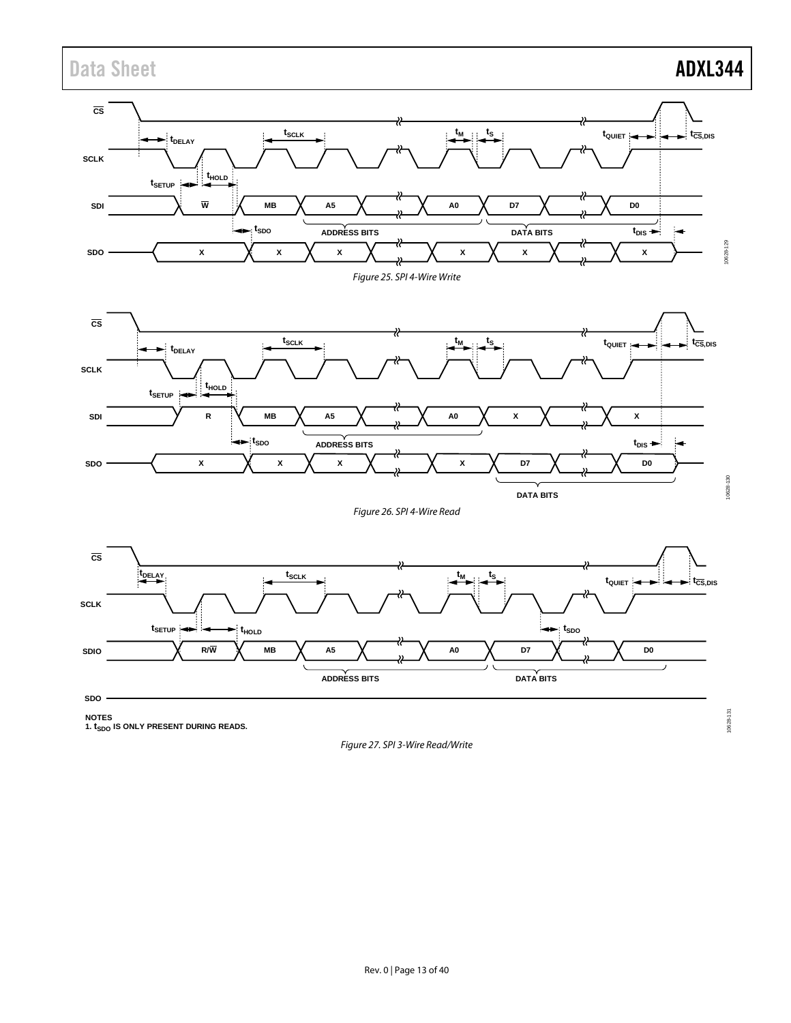# Data Sheet **ADXL344**

<span id="page-12-0"></span>

<span id="page-12-2"></span><span id="page-12-1"></span>NOTES<br>1. t<sub>SDO</sub> IS ONLY PRESENT DURING READS.

*Figure 27. SPI 3-Wire Read/Write*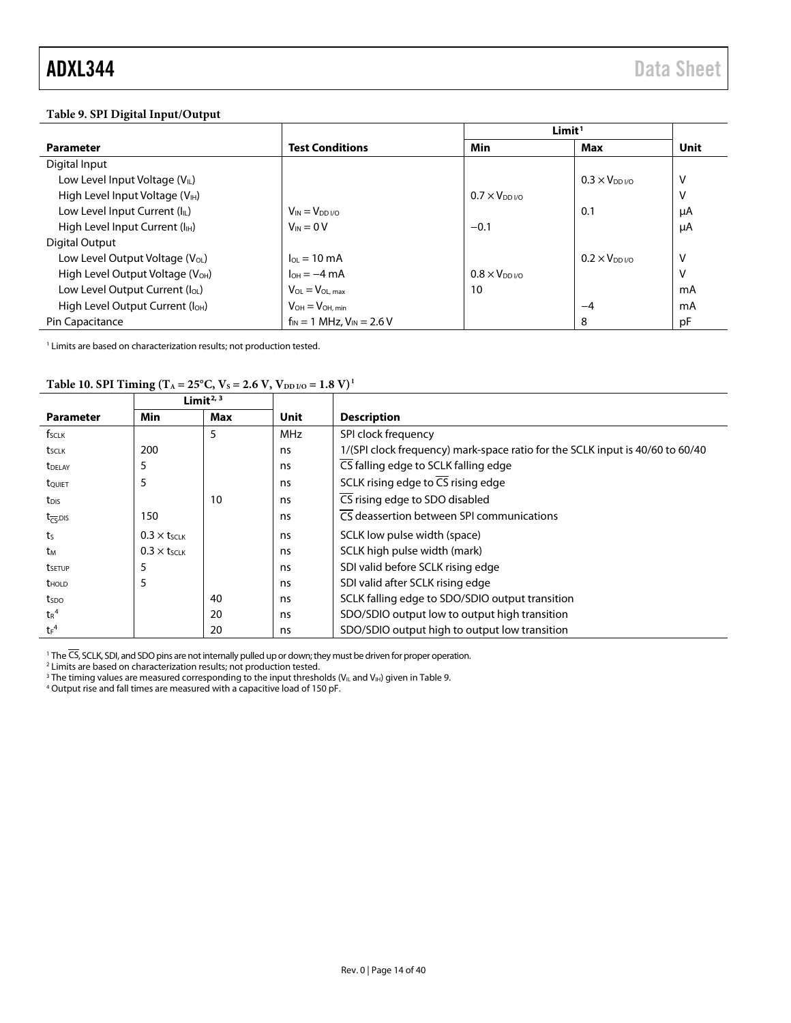# <span id="page-13-0"></span>**Table 9. SPI Digital Input/Output**

|                                              |                                    | Limit <sup>1</sup>      |                     |      |
|----------------------------------------------|------------------------------------|-------------------------|---------------------|------|
| <b>Parameter</b>                             | <b>Test Conditions</b>             | Min                     | Max                 | Unit |
| Digital Input                                |                                    |                         |                     |      |
| Low Level Input Voltage (VL)                 |                                    |                         | $0.3 \times V_{DD}$ | V    |
| High Level Input Voltage (V <sub>IH</sub> )  |                                    | $0.7 \times V_{DD}$ i/o |                     | v    |
| Low Level Input Current $(I_{\parallel L})$  | $V_{IN} = V_{DD I/O}$              |                         | 0.1                 | μA   |
| High Level Input Current (I <sub>H</sub> )   | $V_{IN} = 0 V$                     | $-0.1$                  |                     | μA   |
| Digital Output                               |                                    |                         |                     |      |
| Low Level Output Voltage $(V_{OL})$          | $I_{OL} = 10 \text{ mA}$           |                         | $0.2 \times V_{DD}$ | v    |
| High Level Output Voltage (V <sub>OH</sub> ) | $I_{OH} = -4 \text{ mA}$           | $0.8 \times V_{DD}$ i/o |                     | v    |
| Low Level Output Current (loL)               | $V_{OL} = V_{OL,max}$              | 10                      |                     | mA   |
| High Level Output Current (I <sub>OH</sub> ) | $V_{OH} = V_{OH, min}$             |                         | $-4$                | mA   |
| Pin Capacitance                              | $f_{IN} = 1$ MHz, $V_{IN} = 2.6$ V |                         | 8                   | pF   |

 $<sup>1</sup>$  Limits are based on characterization results; not production tested.</sup>

# <span id="page-13-1"></span>Table 10. SPI Timing (T<sub>A</sub> = 25°C, V<sub>S</sub> = 2.6 V, V<sub>DD I/O</sub> = 1.8 V)<sup>1</sup>

|                           |                     | Limit <sup><math>2, 3</math></sup> |            |                                                                               |  |
|---------------------------|---------------------|------------------------------------|------------|-------------------------------------------------------------------------------|--|
| <b>Parameter</b>          | Min                 | Max                                | Unit       | <b>Description</b>                                                            |  |
| fsclk                     |                     | 5                                  | <b>MHz</b> | SPI clock frequency                                                           |  |
| t <sub>SCLK</sub>         | 200                 |                                    | ns         | 1/(SPI clock frequency) mark-space ratio for the SCLK input is 40/60 to 60/40 |  |
| <b>T</b> DELAY            | 5                   |                                    | ns         | CS falling edge to SCLK falling edge                                          |  |
| tQUIET                    | 5                   |                                    | ns         | SCLK rising edge to $\overline{CS}$ rising edge                               |  |
| $t_{\text{DIS}}$          |                     | 10                                 | ns         | CS rising edge to SDO disabled                                                |  |
| $t_{\overline{CS}}$ , DIS | 150                 |                                    | ns         | CS deassertion between SPI communications                                     |  |
| t <sub>S</sub>            | $0.3 \times t$ SCLK |                                    | ns         | SCLK low pulse width (space)                                                  |  |
| tм                        | $0.3 \times t$ SCLK |                                    | ns         | SCLK high pulse width (mark)                                                  |  |
| tsetup                    |                     |                                    | ns         | SDI valid before SCLK rising edge                                             |  |
| <b>t</b> <sub>HOLD</sub>  | 5                   |                                    | ns         | SDI valid after SCLK rising edge                                              |  |
| tspo                      |                     | 40                                 | ns         | SCLK falling edge to SDO/SDIO output transition                               |  |
| $tr^4$                    |                     | 20                                 | ns         | SDO/SDIO output low to output high transition                                 |  |
| $t_F$ <sup>4</sup>        |                     | 20                                 | ns         | SDO/SDIO output high to output low transition                                 |  |

<sup>1</sup> The CS, SCLK, SDI, and SDO pins are not internally pulled up or down; they must be driven for proper operation.

<sup>2</sup> Limits are based on characterization results; not production tested.

<sup>3</sup> The timing values are measured corresponding to the input thresholds (V<sub>IL</sub> and V<sub>IH</sub>) given i[n Table 9.](#page-13-0)  $4$  Output rise and fall times are measured with a capacitive load of 150 pF.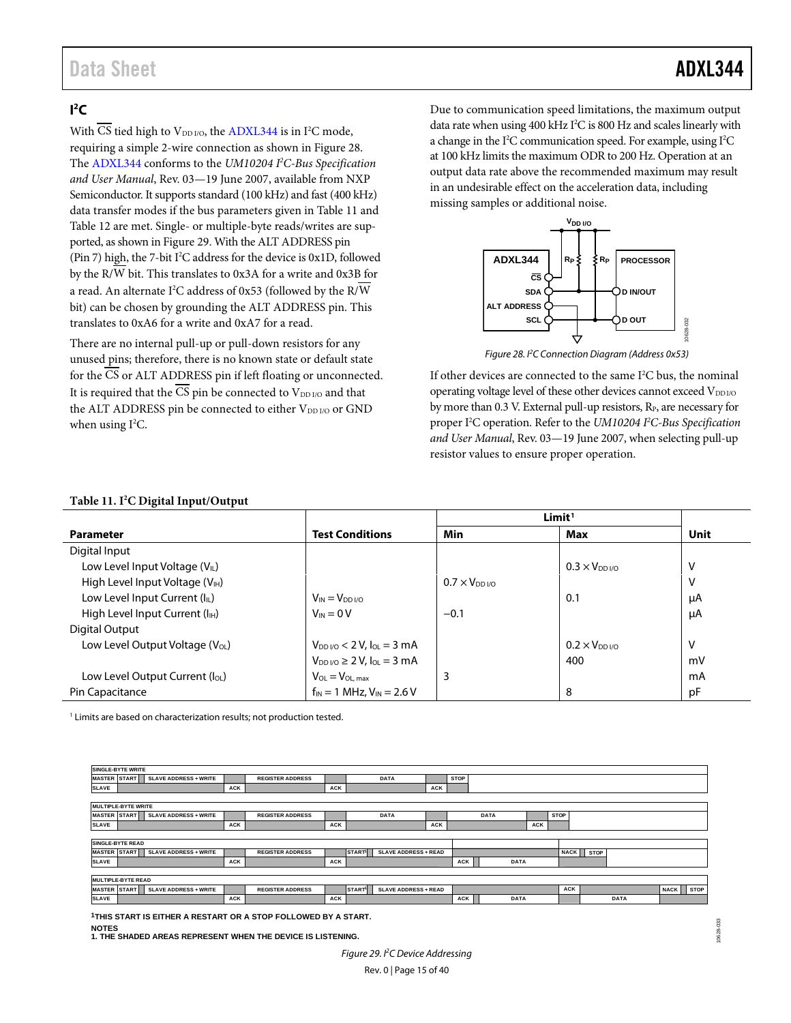# Data Sheet **ADXL344**

10628-032

\$28-032

# <span id="page-14-0"></span> $\mathsf{I}^2\mathsf{C}$

With CS tied high to  $V_{DD I/O}$ , th[e ADXL344](http://www.analog.com/ADXL344) is in I<sup>2</sup>C mode, requiring a simple 2-wire connection as shown i[n Figure 28.](#page-14-1) The [ADXL344](http://www.analog.com/ADXL344) conforms to the *UM10204 I 2 C-Bus Specification and User Manual*, Rev. 03—19 June 2007, available from NXP Semiconductor. It supports standard (100 kHz) and fast (400 kHz) data transfer modes if the bus parameters given i[n Table 11](#page-14-2) and [Table 12](#page-15-0) are met. Single- or multiple-byte reads/writes are supported, as shown i[n Figure 29.](#page-14-3) With the ALT ADDRESS pin (Pin 7) high, the 7-bit I<sup>2</sup>C address for the device is 0x1D, followed by the R/W bit. This translates to 0x3A for a write and 0x3B for a read. An alternate I<sup>2</sup>C address of 0x53 (followed by the R/W bit) can be chosen by grounding the ALT ADDRESS pin. This translates to 0xA6 for a write and 0xA7 for a read.

There are no internal pull-up or pull-down resistors for any unused pins; therefore, there is no known state or default state for the CS or ALT ADDRESS pin if left floating or unconnected. It is required that the  $\overline{CS}$  pin be connected to  $V_{DD}$  and that the ALT ADDRESS pin be connected to either V<sub>DD I/O</sub> or GND when using  $I^2C$ .

Due to communication speed limitations, the maximum output data rate when using 400 kHz I2 C is 800 Hz and scales linearly with a change in the  $I^2C$  communication speed. For example, using  $I^2C$ at 100 kHz limits the maximum ODR to 200 Hz. Operation at an output data rate above the recommended maximum may result in an undesirable effect on the acceleration data, including missing samples or additional noise.



*Figure 28. I2 C Connection Diagram (Address 0x53)*

<span id="page-14-1"></span>If other devices are connected to the same I<sup>2</sup>C bus, the nominal operating voltage level of these other devices cannot exceed V<sub>DDI/O</sub> by more than 0.3 V. External pull-up resistors, R<sub>P</sub>, are necessary for proper I2 C operation. Refer to the *UM10204 I 2 C-Bus Specification and User Manual*, Rev. 03—19 June 2007, when selecting pull-up resistor values to ensure proper operation.

#### <span id="page-14-2"></span>**Table 11. I2 C Digital Input/Output**

|                                             |                                                    | Limit <sup>1</sup>      |                        |      |
|---------------------------------------------|----------------------------------------------------|-------------------------|------------------------|------|
| <b>Parameter</b>                            | <b>Test Conditions</b>                             | Min                     | Max                    | Unit |
| Digital Input                               |                                                    |                         |                        |      |
| Low Level Input Voltage (VL)                |                                                    |                         | $0.3 \times V_{DD}$    | V    |
| High Level Input Voltage (V <sub>IH</sub> ) |                                                    | $0.7 \times V_{DD}$ i/o |                        | V    |
| Low Level Input Current (IL)                | $V_{IN} = V_{DD I/O}$                              |                         | 0.1                    | μA   |
| High Level Input Current (I <sub>H</sub> )  | $V_{IN} = 0 V$                                     | $-0.1$                  |                        | μA   |
| Digital Output                              |                                                    |                         |                        |      |
| Low Level Output Voltage (V <sub>OL</sub> ) | $V_{DD VO}$ < 2 V, $I_{OL}$ = 3 mA                 |                         | $0.2 \times V_{DD1/0}$ | V    |
|                                             | $V_{DD}$ <sub>VO</sub> $\geq$ 2 V, $I_{OL}$ = 3 mA |                         | 400                    | mV   |
| Low Level Output Current (loL)              | $V_{OL} = V_{OL, max}$                             | 3                       |                        | mA   |
| Pin Capacitance                             | $f_{IN} = 1$ MHz, $V_{IN} = 2.6$ V                 |                         | 8                      | pF   |

<sup>1</sup> Limits are based on characterization results; not production tested.



**1THIS START IS EITHER A RESTART OR A STOP FOLLOWED BY A START.**

<span id="page-14-3"></span>**NOTES 1. THE SHADED AREAS REPRESENT WHEN THE DEVICE IS LISTENING.**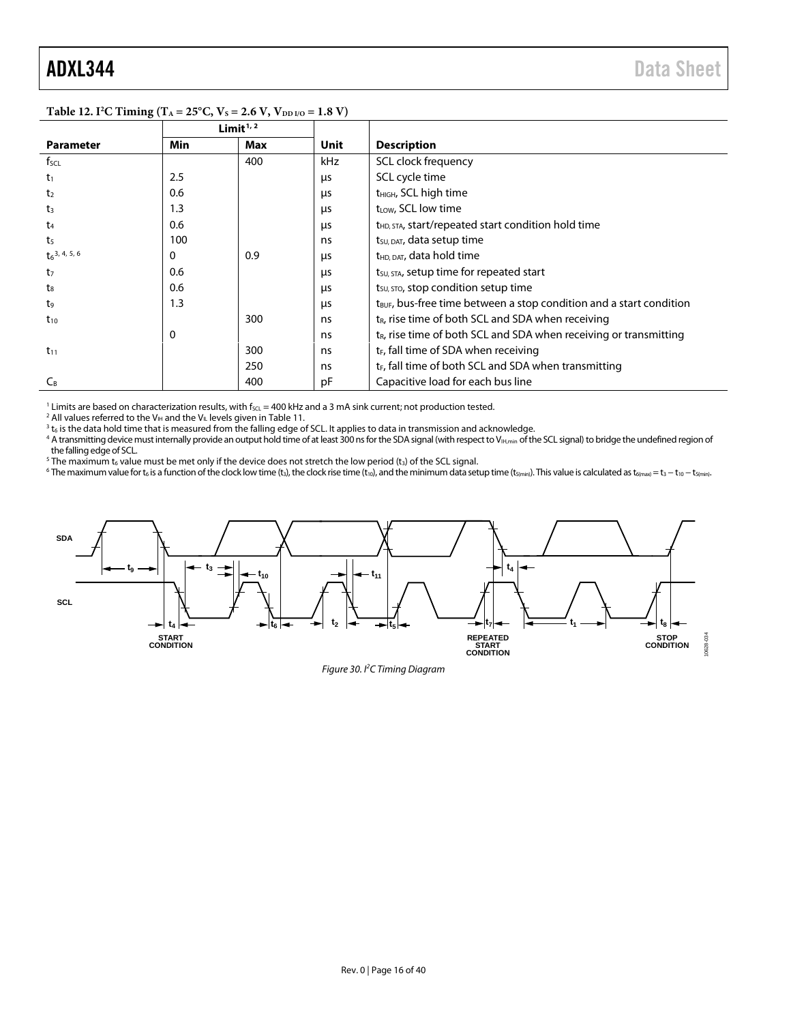$\overline{a}$ 

|                             |            | Limit $1/2$ |            |                                                                                 |
|-----------------------------|------------|-------------|------------|---------------------------------------------------------------------------------|
| <b>Parameter</b>            | <b>Min</b> | Max         | Unit       | <b>Description</b>                                                              |
| $f_{\text{SCL}}$            |            | 400         | kHz        | SCL clock frequency                                                             |
| $t_1$                       | 2.5        |             | μs         | SCL cycle time                                                                  |
| t <sub>2</sub>              | 0.6        |             | μs         | t <sub>HIGH</sub> , SCL high time                                               |
| t <sub>3</sub>              | 1.3        |             | us         | t <sub>LOW</sub> , SCL low time                                                 |
| t4                          | 0.6        |             | μs         | t <sub>HD, STA</sub> , start/repeated start condition hold time                 |
| t <sub>5</sub>              | 100        |             | ns         | t <sub>su, DAT</sub> , data setup time                                          |
| $t_6$ <sup>3, 4, 5, 6</sup> | 0          | 0.9         | us         | t <sub>HD, DAT</sub> , data hold time                                           |
| t <sub>7</sub>              | 0.6        |             | μs         | tsu, STA, setup time for repeated start                                         |
| $t_8$                       | 0.6        |             | us         | $t_{\text{SU, STO}}$ , stop condition setup time                                |
| t9                          | 1.3        |             | <b>LIS</b> | t <sub>BUF</sub> , bus-free time between a stop condition and a start condition |
| $t_{10}$                    |            | 300         | ns         | $t_{R}$ , rise time of both SCL and SDA when receiving                          |
|                             | 0          |             | ns         | $t_{R}$ , rise time of both SCL and SDA when receiving or transmitting          |
| $t_{11}$                    |            | 300         | ns         | t <sub>F</sub> , fall time of SDA when receiving                                |
|                             |            | 250         | ns         | $t_F$ , fall time of both SCL and SDA when transmitting                         |
| $C_B$                       |            | 400         | рF         | Capacitive load for each bus line                                               |

#### <span id="page-15-0"></span>**Table 12. I2 C Timing (TA = 25°C, VS = 2.6 V, VDD I/O = 1.8 V)**

<sup>1</sup> Limits are based on characterization results, with f<sub>SCL</sub> = 400 kHz and a 3 mA sink current; not production tested. <sup>2</sup> All values referred to the V<sub>IH</sub> and the V<sub>IL</sub> levels given in Table 11.

<sup>3</sup> t<sub>6</sub> is the data hold time that is measured from the falling edge of SCL. It applies to data in transmission and acknowledge.

<sup>4</sup> A transmitting device must internally provide an output hold time of at least 300 ns for the SDA signal (with respect to V<sub>IH,min</sub> of the SCL signal) to bridge the undefined region of<br>the falling edge of SCL.

The maximum t<sub>6</sub> value must be met only if the device does not stretch the low period (t<sub>3</sub>) of the SCL signal.

<sup>6</sup> The maximum value for t<sub>6</sub> is a function of the clock low time (t<sub>3</sub>), the clock rise time (t<sub>10</sub>), and the minimum data setup time (t<sub>5(min</sub>). This value is calculated as t<sub>6(max)</sub> = t<sub>3</sub> - t<sub>10</sub> - t<sub>5(min</sub>).



*Figure 30. I2 C Timing Diagram*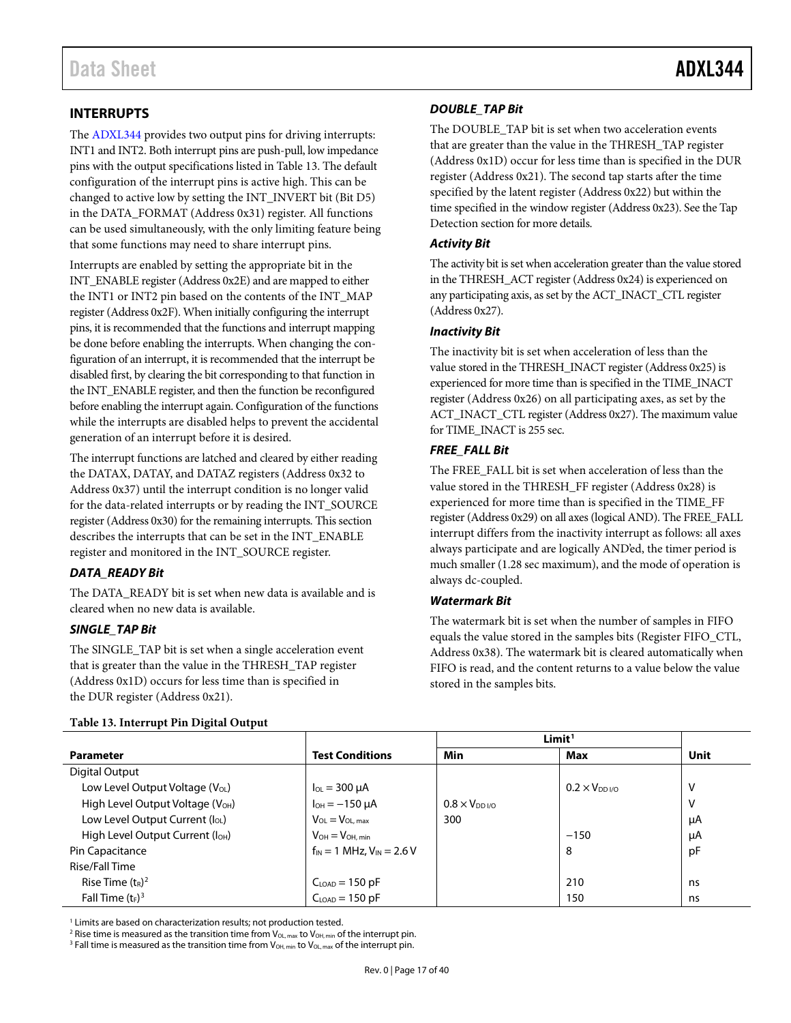# <span id="page-16-0"></span>**INTERRUPTS**

The [ADXL344](http://www.analog.com/ADXL344) provides two output pins for driving interrupts: INT1 and INT2. Both interrupt pins are push-pull, low impedance pins with the output specifications listed in [Table 13.](#page-16-1) The default configuration of the interrupt pins is active high. This can be changed to active low by setting the INT\_INVERT bit (Bit D5) in the DATA\_FORMAT (Address 0x31) register. All functions can be used simultaneously, with the only limiting feature being that some functions may need to share interrupt pins.

Interrupts are enabled by setting the appropriate bit in the INT\_ENABLE register (Address 0x2E) and are mapped to either the INT1 or INT2 pin based on the contents of the INT\_MAP register (Address 0x2F). When initially configuring the interrupt pins, it is recommended that the functions and interrupt mapping be done before enabling the interrupts. When changing the configuration of an interrupt, it is recommended that the interrupt be disabled first, by clearing the bit corresponding to that function in the INT\_ENABLE register, and then the function be reconfigured before enabling the interrupt again. Configuration of the functions while the interrupts are disabled helps to prevent the accidental generation of an interrupt before it is desired.

The interrupt functions are latched and cleared by either reading the DATAX, DATAY, and DATAZ registers (Address 0x32 to Address 0x37) until the interrupt condition is no longer valid for the data-related interrupts or by reading the INT\_SOURCE register (Address 0x30) for the remaining interrupts. This section describes the interrupts that can be set in the INT\_ENABLE register and monitored in the INT\_SOURCE register.

## *DATA\_READY Bit*

The DATA\_READY bit is set when new data is available and is cleared when no new data is available.

## *SINGLE\_TAP Bit*

The SINGLE\_TAP bit is set when a single acceleration event that is greater than the value in the THRESH\_TAP register (Address 0x1D) occurs for less time than is specified in the DUR register (Address 0x21).

#### <span id="page-16-1"></span>**Table 13. Interrupt Pin Digital Output**

### *DOUBLE\_TAP Bit*

The DOUBLE\_TAP bit is set when two acceleration events that are greater than the value in the THRESH\_TAP register (Address 0x1D) occur for less time than is specified in the DUR register (Address 0x21). The second tap starts after the time specified by the latent register (Address 0x22) but within the time specified in the window register (Address 0x23). See th[e Tap](#page-26-3)  [Detection](#page-26-3) section for more details.

### *Activity Bit*

The activity bit is set when acceleration greater than the value stored in the THRESH\_ACT register (Address 0x24) is experienced on any participating axis, as set by the ACT\_INACT\_CTL register (Address 0x27).

#### *Inactivity Bit*

The inactivity bit is set when acceleration of less than the value stored in the THRESH\_INACT register (Address 0x25) is experienced for more time than is specified in the TIME\_INACT register (Address 0x26) on all participating axes, as set by the ACT\_INACT\_CTL register (Address 0x27). The maximum value for TIME\_INACT is 255 sec.

#### *FREE\_FALL Bit*

The FREE\_FALL bit is set when acceleration of less than the value stored in the THRESH\_FF register (Address 0x28) is experienced for more time than is specified in the TIME\_FF register (Address 0x29) on all axes (logical AND). The FREE\_FALL interrupt differs from the inactivity interrupt as follows: all axes always participate and are logically AND'ed, the timer period is much smaller (1.28 sec maximum), and the mode of operation is always dc-coupled.

#### *Watermark Bit*

The watermark bit is set when the number of samples in FIFO equals the value stored in the samples bits (Register FIFO\_CTL, Address 0x38). The watermark bit is cleared automatically when FIFO is read, and the content returns to a value below the value stored in the samples bits.

|                                              |                                    | Limit <sup>1</sup>                |                        |      |
|----------------------------------------------|------------------------------------|-----------------------------------|------------------------|------|
| <b>Parameter</b>                             | <b>Test Conditions</b>             | Min                               | <b>Max</b>             | Unit |
| Digital Output                               |                                    |                                   |                        |      |
| Low Level Output Voltage (V <sub>OL</sub> )  | $I_{OL}$ = 300 $\mu$ A             |                                   | $0.2 \times V_{DD1/0}$ | V    |
| High Level Output Voltage (V <sub>OH</sub> ) | $I_{OH} = -150 \mu A$              | $0.8 \times V_{DD}$ <sub>VO</sub> |                        | V    |
| Low Level Output Current (loL)               | $V_{OL} = V_{OL,max}$              | 300                               |                        | μA   |
| High Level Output Current (I <sub>OH</sub> ) | $V_{OH} = V_{OH, min}$             |                                   | $-150$                 | μA   |
| Pin Capacitance                              | $f_{IN}$ = 1 MHz, $V_{IN}$ = 2.6 V |                                   | 8                      | pF   |
| Rise/Fall Time                               |                                    |                                   |                        |      |
| Rise Time $(t_R)^2$                          | $C_{LOAD} = 150$ pF                |                                   | 210                    | ns   |
| Fall Time $(t_F)^3$                          | $CLOAD = 150 pF$                   |                                   | 150                    | ns   |

<sup>1</sup> Limits are based on characterization results; not production tested.

<sup>2</sup> Rise time is measured as the transition time from  $V_{OL, max}$  to  $V_{OH, min}$  of the interrupt pin.

<sup>3</sup> Fall time is measured as the transition time from  $V_{OH, min}$  to  $V_{OL, max}$  of the interrupt pin.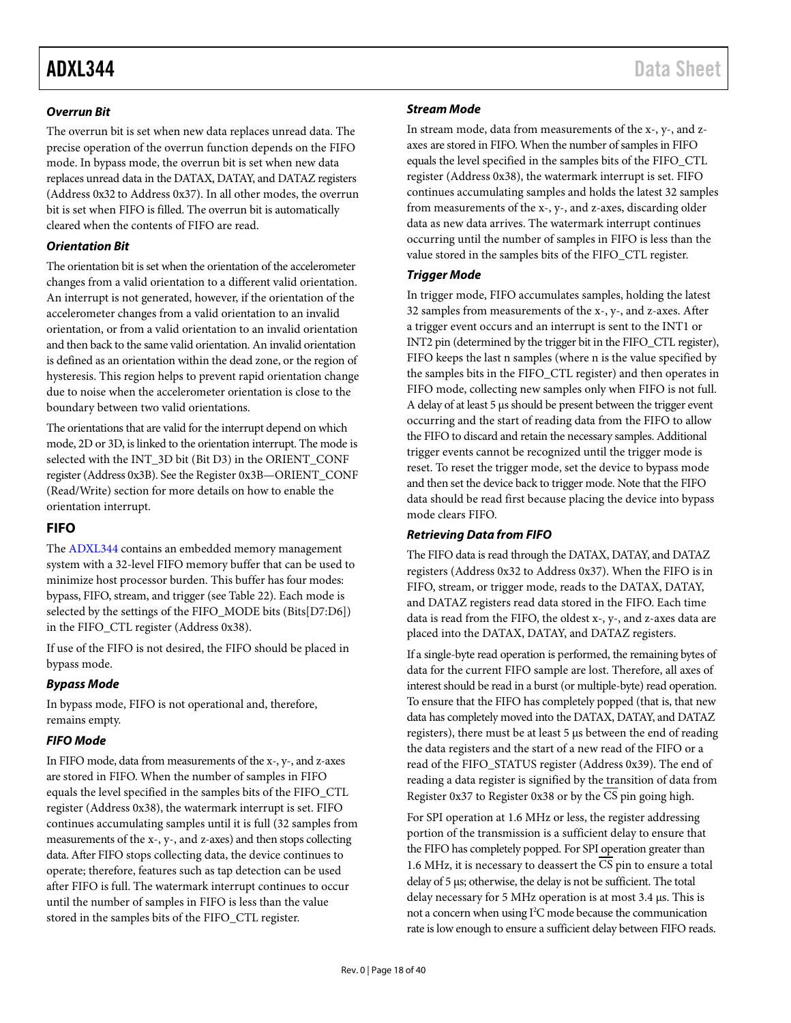### *Overrun Bit*

The overrun bit is set when new data replaces unread data. The precise operation of the overrun function depends on the FIFO mode. In bypass mode, the overrun bit is set when new data replaces unread data in the DATAX, DATAY, and DATAZ registers (Address 0x32 to Address 0x37). In all other modes, the overrun bit is set when FIFO is filled. The overrun bit is automatically cleared when the contents of FIFO are read.

### *Orientation Bit*

The orientation bit is set when the orientation of the accelerometer changes from a valid orientation to a different valid orientation. An interrupt is not generated, however, if the orientation of the accelerometer changes from a valid orientation to an invalid orientation, or from a valid orientation to an invalid orientation and then back to the same valid orientation. An invalid orientation is defined as an orientation within the dead zone, or the region of hysteresis. This region helps to prevent rapid orientation change due to noise when the accelerometer orientation is close to the boundary between two valid orientations.

The orientations that are valid for the interrupt depend on which mode, 2D or 3D, is linked to the orientation interrupt. The mode is selected with the INT\_3D bit (Bit D3) in the ORIENT\_CONF register (Address 0x3B). See the [Register 0x3B—ORIENT\\_CONF](#page-24-0)  [\(Read/Write\)](#page-24-0) section for more details on how to enable the orientation interrupt.

# <span id="page-17-0"></span>**FIFO**

The [ADXL344](http://www.analog.com/ADXL344) contains an embedded memory management system with a 32-level FIFO memory buffer that can be used to minimize host processor burden. This buffer has four modes: bypass, FIFO, stream, and trigger (see [Table 22\)](#page-23-0). Each mode is selected by the settings of the FIFO\_MODE bits (Bits[D7:D6]) in the FIFO\_CTL register (Address 0x38).

If use of the FIFO is not desired, the FIFO should be placed in bypass mode.

## *Bypass Mode*

In bypass mode, FIFO is not operational and, therefore, remains empty.

## *FIFO Mode*

In FIFO mode, data from measurements of the x-, y-, and z-axes are stored in FIFO. When the number of samples in FIFO equals the level specified in the samples bits of the FIFO\_CTL register (Address 0x38), the watermark interrupt is set. FIFO continues accumulating samples until it is full (32 samples from measurements of the x-, y-, and z-axes) and then stops collecting data. After FIFO stops collecting data, the device continues to operate; therefore, features such as tap detection can be used after FIFO is full. The watermark interrupt continues to occur until the number of samples in FIFO is less than the value stored in the samples bits of the FIFO\_CTL register.

# *Stream Mode*

In stream mode, data from measurements of the x-, y-, and zaxes are stored in FIFO. When the number of samples in FIFO equals the level specified in the samples bits of the FIFO\_CTL register (Address 0x38), the watermark interrupt is set. FIFO continues accumulating samples and holds the latest 32 samples from measurements of the x-, y-, and z-axes, discarding older data as new data arrives. The watermark interrupt continues occurring until the number of samples in FIFO is less than the value stored in the samples bits of the FIFO\_CTL register.

## *Trigger Mode*

In trigger mode, FIFO accumulates samples, holding the latest 32 samples from measurements of the x-, y-, and z-axes. After a trigger event occurs and an interrupt is sent to the INT1 or INT2 pin (determined by the trigger bit in the FIFO\_CTL register), FIFO keeps the last n samples (where n is the value specified by the samples bits in the FIFO\_CTL register) and then operates in FIFO mode, collecting new samples only when FIFO is not full. A delay of at least 5 μs should be present between the trigger event occurring and the start of reading data from the FIFO to allow the FIFO to discard and retain the necessary samples. Additional trigger events cannot be recognized until the trigger mode is reset. To reset the trigger mode, set the device to bypass mode and then set the device back to trigger mode. Note that the FIFO data should be read first because placing the device into bypass mode clears FIFO.

## *Retrieving Data from FIFO*

The FIFO data is read through the DATAX, DATAY, and DATAZ registers (Address 0x32 to Address 0x37). When the FIFO is in FIFO, stream, or trigger mode, reads to the DATAX, DATAY, and DATAZ registers read data stored in the FIFO. Each time data is read from the FIFO, the oldest x-, y-, and z-axes data are placed into the DATAX, DATAY, and DATAZ registers.

If a single-byte read operation is performed, the remaining bytes of data for the current FIFO sample are lost. Therefore, all axes of interest should be read in a burst (or multiple-byte) read operation. To ensure that the FIFO has completely popped (that is, that new data has completely moved into the DATAX, DATAY, and DATAZ registers), there must be at least 5 μs between the end of reading the data registers and the start of a new read of the FIFO or a read of the FIFO\_STATUS register (Address 0x39). The end of reading a data register is signified by the transition of data from Register 0x37 to Register 0x38 or by the CS pin going high.

For SPI operation at 1.6 MHz or less, the register addressing portion of the transmission is a sufficient delay to ensure that the FIFO has completely popped. For SPI operation greater than 1.6 MHz, it is necessary to deassert the  $\overline{\text{CS}}$  pin to ensure a total delay of 5 μs; otherwise, the delay is not be sufficient. The total delay necessary for 5 MHz operation is at most 3.4 μs. This is not a concern when using I<sup>2</sup>C mode because the communication rate is low enough to ensure a sufficient delay between FIFO reads.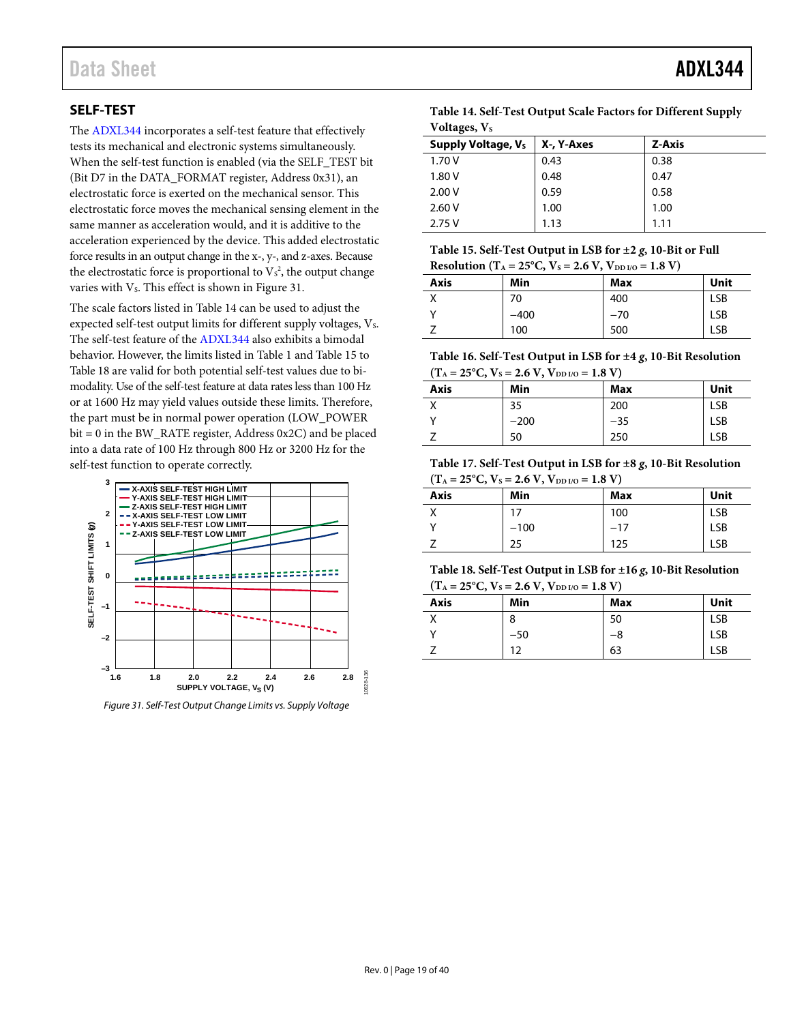# <span id="page-18-0"></span>**SELF-TEST**

The [ADXL344](http://www.analog.com/ADXL344) incorporates a self-test feature that effectively tests its mechanical and electronic systems simultaneously. When the self-test function is enabled (via the SELF\_TEST bit (Bit D7 in the DATA\_FORMAT register, Address 0x31), an electrostatic force is exerted on the mechanical sensor. This electrostatic force moves the mechanical sensing element in the same manner as acceleration would, and it is additive to the acceleration experienced by the device. This added electrostatic force results in an output change in the x-, y-, and z-axes. Because the electrostatic force is proportional to  $V_s^2$ , the output change varies with V<sub>s</sub>. This effect is shown in Figure 31.

The scale factors listed i[n Table 14](#page-18-2) can be used to adjust the expected self-test output limits for different supply voltages,  $V_s$ . The self-test feature of th[e ADXL344](http://www.analog.com/ADXL344) also exhibits a bimodal behavior. However, the limits listed in [Table 1](#page-2-1) and [Table 15](#page-18-3) to [Table 18](#page-18-4) are valid for both potential self-test values due to bimodality. Use of the self-test feature at data rates less than 100 Hz or at 1600 Hz may yield values outside these limits. Therefore, the part must be in normal power operation (LOW\_POWER bit = 0 in the BW\_RATE register, Address 0x2C) and be placed into a data rate of 100 Hz through 800 Hz or 3200 Hz for the self-test function to operate correctly.



<span id="page-18-1"></span>*Figure 31. Self-Test Output Change Limits vs. Supply Voltage*

<span id="page-18-2"></span>

| Table 14. Self-Test Output Scale Factors for Different Supply |
|---------------------------------------------------------------|
| Voltages, Vs                                                  |

| Supply Voltage, Vs | X-, Y-Axes | Z-Axis |
|--------------------|------------|--------|
| 1.70V              | 0.43       | 0.38   |
| 1.80 V             | 0.48       | 0.47   |
| 2.00V              | 0.59       | 0.58   |
| 2.60V              | 1.00       | 1.00   |
| 2.75V              | 1.13       | 1 1 1  |

<span id="page-18-3"></span>

| Table 15. Self-Test Output in LSB for $\pm 2$ g, 10-Bit or Full                                      |
|------------------------------------------------------------------------------------------------------|
| Resolution (T <sub>A</sub> = 25 <sup>o</sup> C, V <sub>S</sub> = 2.6 V, V <sub>DD I/O</sub> = 1.8 V) |

| $\frac{1}{2}$ |        |       |            |  |
|---------------|--------|-------|------------|--|
| <b>Axis</b>   | Min    | Max   | Unit       |  |
|               | 70     | 400   | <b>LSB</b> |  |
|               | $-400$ | $-70$ | <b>LSB</b> |  |
|               | 100    | 500   | LSB        |  |

<span id="page-18-5"></span>**Table 16. Self-Test Output in LSB for ±4** *g***, 10-Bit Resolution**  $(T_A = 25^{\circ}C, V_s = 2.6 V, V_{DDU} = 1.8 V)$ 

| <b>Axis</b> | Min    | Max   | Unit       |
|-------------|--------|-------|------------|
|             | 35     | 200   | <b>LSB</b> |
|             | $-200$ | $-35$ | <b>LSB</b> |
|             | 50     | 250   | LSB        |

**Table 17. Self-Test Output in LSB for ±8** *g***, 10-Bit Resolution**  $(T_A = 25^{\circ}C, V_S = 2.6 V, V_{DD I/O} = 1.8 V)$ 

| <b>Axis</b> | Min    | Max   | Unit |
|-------------|--------|-------|------|
|             | 17     | 100   | LSB  |
|             | $-100$ | $-17$ | LSB  |
|             | 25     | 125   | LSB  |

<span id="page-18-4"></span>**Table 18. Self-Test Output in LSB for ±16** *g***, 10-Bit Resolution**  $(T_A = 25^{\circ}C, V_S = 2.6 V, V_{DDUO} = 1.8 V)$ 

| $\mathbf{v}$ | $-20$ $-10$ $-10$ $-10$ $-10$ $-10$ |     |            |  |  |
|--------------|-------------------------------------|-----|------------|--|--|
| <b>Axis</b>  | Min                                 | Max | Unit       |  |  |
|              | 8                                   | 50  | <b>LSB</b> |  |  |
|              | $-50$                               | -8  | <b>LSB</b> |  |  |
|              | 12                                  | 63  | LSB        |  |  |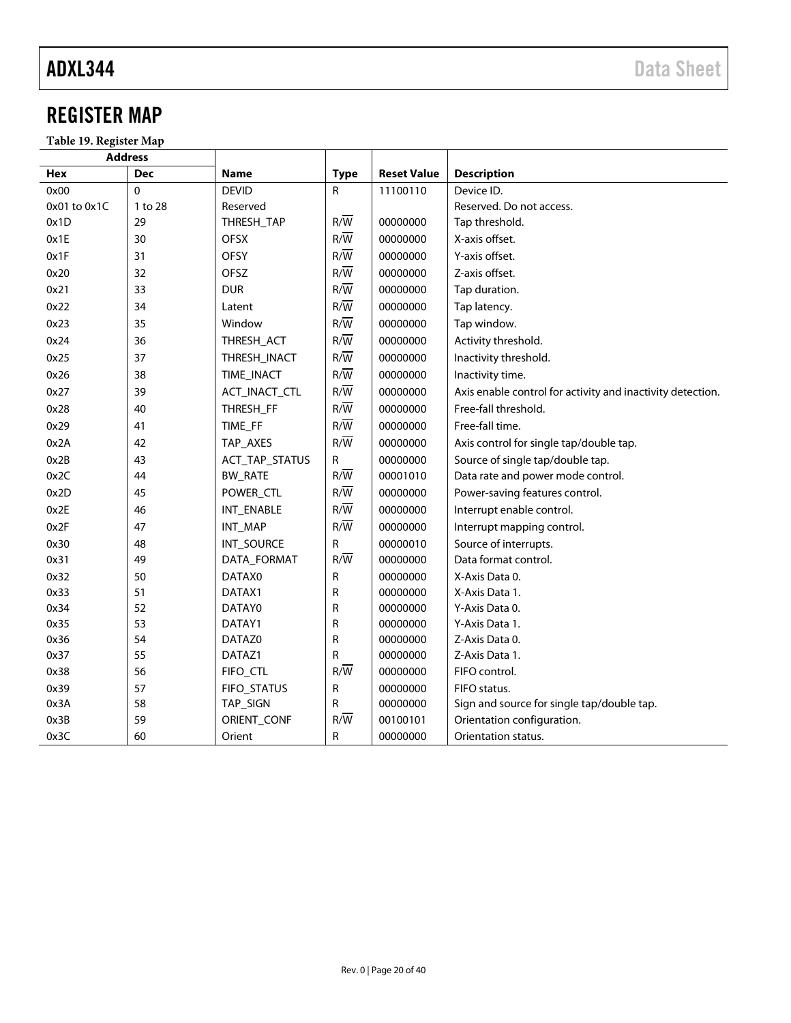# <span id="page-19-0"></span>REGISTER MAP

**Table 19. Register Map**

|              | <b>Address</b> |                |                  |                    |                                                            |
|--------------|----------------|----------------|------------------|--------------------|------------------------------------------------------------|
| Hex          | <b>Dec</b>     | <b>Name</b>    | <b>Type</b>      | <b>Reset Value</b> | <b>Description</b>                                         |
| 0x00         | $\Omega$       | <b>DEVID</b>   | $\mathsf{R}$     | 11100110           | Device ID.                                                 |
| 0x01 to 0x1C | 1 to 28        | Reserved       |                  |                    | Reserved. Do not access.                                   |
| 0x1D         | 29             | THRESH_TAP     | $R/\overline{W}$ | 00000000           | Tap threshold.                                             |
| 0x1E         | 30             | <b>OFSX</b>    | $R/\overline{W}$ | 00000000           | X-axis offset.                                             |
| 0x1F         | 31             | <b>OFSY</b>    | $R/\overline{W}$ | 00000000           | Y-axis offset.                                             |
| 0x20         | 32             | OFSZ           | $R/\overline{W}$ | 00000000           | Z-axis offset.                                             |
| 0x21         | 33             | <b>DUR</b>     | $R/\overline{W}$ | 00000000           | Tap duration.                                              |
| 0x22         | 34             | Latent         | $R/\overline{W}$ | 00000000           | Tap latency.                                               |
| 0x23         | 35             | Window         | $R/\overline{W}$ | 00000000           | Tap window.                                                |
| 0x24         | 36             | THRESH_ACT     | $R/\overline{W}$ | 00000000           | Activity threshold.                                        |
| 0x25         | 37             | THRESH_INACT   | $R/\overline{W}$ | 00000000           | Inactivity threshold.                                      |
| 0x26         | 38             | TIME_INACT     | $R/\overline{W}$ | 00000000           | Inactivity time.                                           |
| 0x27         | 39             | ACT_INACT_CTL  | $R/\overline{W}$ | 00000000           | Axis enable control for activity and inactivity detection. |
| 0x28         | 40             | THRESH FF      | $R/\overline{W}$ | 00000000           | Free-fall threshold.                                       |
| 0x29         | 41             | TIME_FF        | $R/\overline{W}$ | 00000000           | Free-fall time.                                            |
| 0x2A         | 42             | TAP_AXES       | $R/\overline{W}$ | 00000000           | Axis control for single tap/double tap.                    |
| 0x2B         | 43             | ACT_TAP_STATUS | ${\sf R}$        | 00000000           | Source of single tap/double tap.                           |
| 0x2C         | 44             | <b>BW_RATE</b> | $R/\overline{W}$ | 00001010           | Data rate and power mode control.                          |
| 0x2D         | 45             | POWER_CTL      | $R/\overline{W}$ | 00000000           | Power-saving features control.                             |
| 0x2E         | 46             | INT_ENABLE     | $R/\overline{W}$ | 00000000           | Interrupt enable control.                                  |
| 0x2F         | 47             | INT_MAP        | $R/\overline{W}$ | 00000000           | Interrupt mapping control.                                 |
| 0x30         | 48             | INT_SOURCE     | $\mathsf{R}$     | 00000010           | Source of interrupts.                                      |
| 0x31         | 49             | DATA_FORMAT    | $R/\overline{W}$ | 00000000           | Data format control.                                       |
| 0x32         | 50             | DATAX0         | R                | 00000000           | X-Axis Data 0.                                             |
| 0x33         | 51             | DATAX1         | R                | 00000000           | X-Axis Data 1.                                             |
| 0x34         | 52             | DATAY0         | R                | 00000000           | Y-Axis Data 0.                                             |
| 0x35         | 53             | DATAY1         | R                | 00000000           | Y-Axis Data 1.                                             |
| 0x36         | 54             | DATAZ0         | R                | 00000000           | Z-Axis Data 0.                                             |
| 0x37         | 55             | DATAZ1         | R                | 00000000           | Z-Axis Data 1.                                             |
| 0x38         | 56             | FIFO_CTL       | $R/\overline{W}$ | 00000000           | FIFO control.                                              |
| 0x39         | 57             | FIFO_STATUS    | ${\sf R}$        | 00000000           | FIFO status.                                               |
| 0x3A         | 58             | TAP_SIGN       | R                | 00000000           | Sign and source for single tap/double tap.                 |
| 0x3B         | 59             | ORIENT_CONF    | $R/\overline{W}$ | 00100101           | Orientation configuration.                                 |
| 0x3C         | 60             | Orient         | R                | 00000000           | Orientation status.                                        |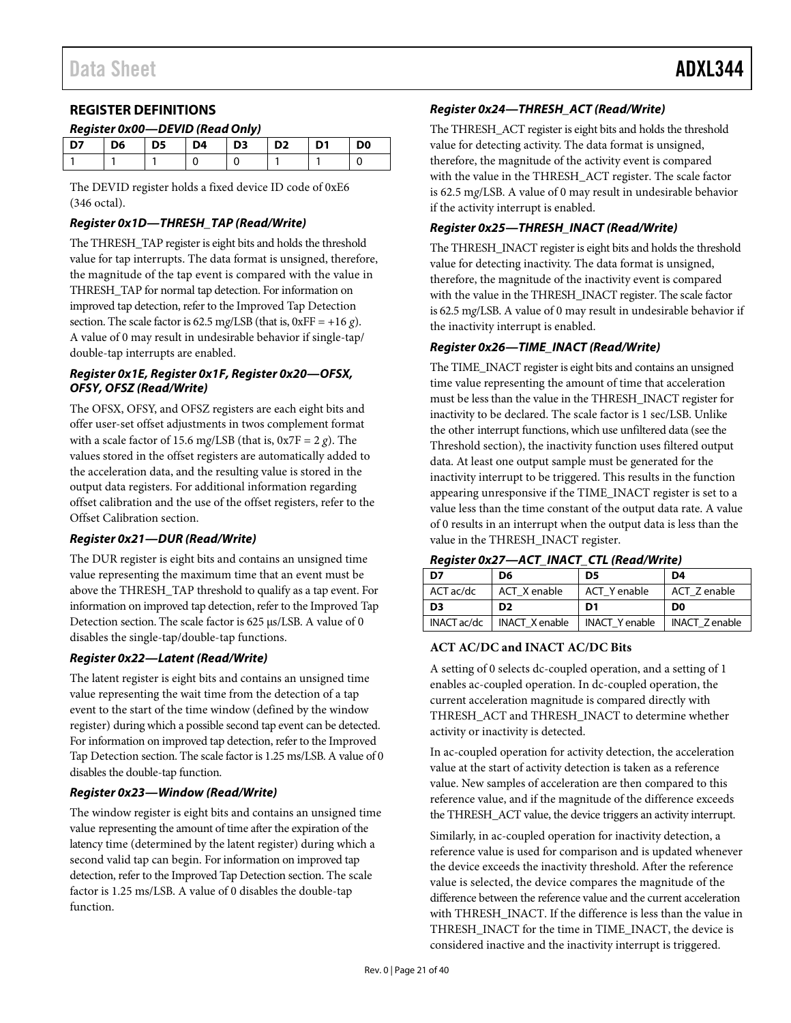# <span id="page-20-0"></span>**REGISTER DEFINITIONS**

#### *Register 0x00—DEVID (Read Only)*

| D7 | D <sub>6</sub> | D5 | $\blacksquare$ D4 | $\overline{D}$ $\overline{D}$ $\overline{3}$ | $\overline{D2}$ | D1 | D <sub>0</sub> |
|----|----------------|----|-------------------|----------------------------------------------|-----------------|----|----------------|
|    |                |    |                   |                                              |                 |    |                |
|    |                |    |                   |                                              |                 |    |                |

The DEVID register holds a fixed device ID code of 0xE6 (346 octal).

#### *Register 0x1D—THRESH\_TAP (Read/Write)*

The THRESH\_TAP register is eight bits and holds the threshold value for tap interrupts. The data format is unsigned, therefore, the magnitude of the tap event is compared with the value in THRESH\_TAP for normal tap detection. For information on improved tap detection, refer to th[e Improved Tap Detection](#page-27-0) section. The scale factor is 62.5 mg/LSB (that is,  $0xFF = +16 g$ ). A value of 0 may result in undesirable behavior if single-tap/ double-tap interrupts are enabled.

#### *Register 0x1E, Register 0x1F, Register 0x20—OFSX, OFSY, OFSZ (Read/Write)*

The OFSX, OFSY, and OFSZ registers are each eight bits and offer user-set offset adjustments in twos complement format with a scale factor of 15.6 m*g*/LSB (that is, 0x7F = 2 *g*). The values stored in the offset registers are automatically added to the acceleration data, and the resulting value is stored in the output data registers. For additional information regarding offset calibration and the use of the offset registers, refer to the [Offset Calibration](#page-28-3) section.

#### *Register 0x21—DUR (Read/Write)*

The DUR register is eight bits and contains an unsigned time value representing the maximum time that an event must be above the THRESH\_TAP threshold to qualify as a tap event. For information on improved tap detection, refer to th[e Improved Tap](#page-27-0)  [Detection](#page-27-0) section. The scale factor is 625 µs/LSB. A value of 0 disables the single-tap/double-tap functions.

#### *Register 0x22—Latent (Read/Write)*

The latent register is eight bits and contains an unsigned time value representing the wait time from the detection of a tap event to the start of the time window (defined by the window register) during which a possible second tap event can be detected. For information on improved tap detection, refer to th[e Improved](#page-27-0)  [Tap Detection s](#page-27-0)ection. The scale factor is 1.25 ms/LSB. A value of 0 disables the double-tap function.

#### *Register 0x23—Window (Read/Write)*

The window register is eight bits and contains an unsigned time value representing the amount of time after the expiration of the latency time (determined by the latent register) during which a second valid tap can begin. For information on improved tap detection, refer to the Improved Tap Detection section. The scale factor is 1.25 ms/LSB. A value of 0 disables the double-tap function.

#### *Register 0x24—THRESH\_ACT (Read/Write)*

The THRESH\_ACT register is eight bits and holds the threshold value for detecting activity. The data format is unsigned, therefore, the magnitude of the activity event is compared with the value in the THRESH\_ACT register. The scale factor is 62.5 m*g*/LSB. A value of 0 may result in undesirable behavior if the activity interrupt is enabled.

## *Register 0x25—THRESH\_INACT (Read/Write)*

The THRESH\_INACT register is eight bits and holds the threshold value for detecting inactivity. The data format is unsigned, therefore, the magnitude of the inactivity event is compared with the value in the THRESH\_INACT register. The scale factor is 62.5 m*g*/LSB. A value of 0 may result in undesirable behavior if the inactivity interrupt is enabled.

### *Register 0x26—TIME\_INACT (Read/Write)*

The TIME\_INACT register is eight bits and contains an unsigned time value representing the amount of time that acceleration must be less than the value in the THRESH\_INACT register for inactivity to be declared. The scale factor is 1 sec/LSB. Unlike the other interrupt functions, which use unfiltered data (see the [Threshold](#page-28-0) section), the inactivity function uses filtered output data. At least one output sample must be generated for the inactivity interrupt to be triggered. This results in the function appearing unresponsive if the TIME\_INACT register is set to a value less than the time constant of the output data rate. A value of 0 results in an interrupt when the output data is less than the value in the THRESH\_INACT register.

| Register 0x27—ACT_INACT_CTL (Read/Write) |  |  |
|------------------------------------------|--|--|
|------------------------------------------|--|--|

| D7             | D6                    | D5                    | D4                   |
|----------------|-----------------------|-----------------------|----------------------|
| ACT ac/dc      | ACT X enable          | ACT Y enable          | ACT Z enable         |
| D <sub>3</sub> | D <sub>2</sub>        | D1                    | D <sub>0</sub>       |
| INACT ac/dc    | <b>INACT X enable</b> | <b>INACT Y enable</b> | <b>INACT Zenable</b> |

### **ACT AC/DC and INACT AC/DC Bits**

A setting of 0 selects dc-coupled operation, and a setting of 1 enables ac-coupled operation. In dc-coupled operation, the current acceleration magnitude is compared directly with THRESH\_ACT and THRESH\_INACT to determine whether activity or inactivity is detected.

In ac-coupled operation for activity detection, the acceleration value at the start of activity detection is taken as a reference value. New samples of acceleration are then compared to this reference value, and if the magnitude of the difference exceeds the THRESH\_ACT value, the device triggers an activity interrupt.

Similarly, in ac-coupled operation for inactivity detection, a reference value is used for comparison and is updated whenever the device exceeds the inactivity threshold. After the reference value is selected, the device compares the magnitude of the difference between the reference value and the current acceleration with THRESH\_INACT. If the difference is less than the value in THRESH\_INACT for the time in TIME\_INACT, the device is considered inactive and the inactivity interrupt is triggered.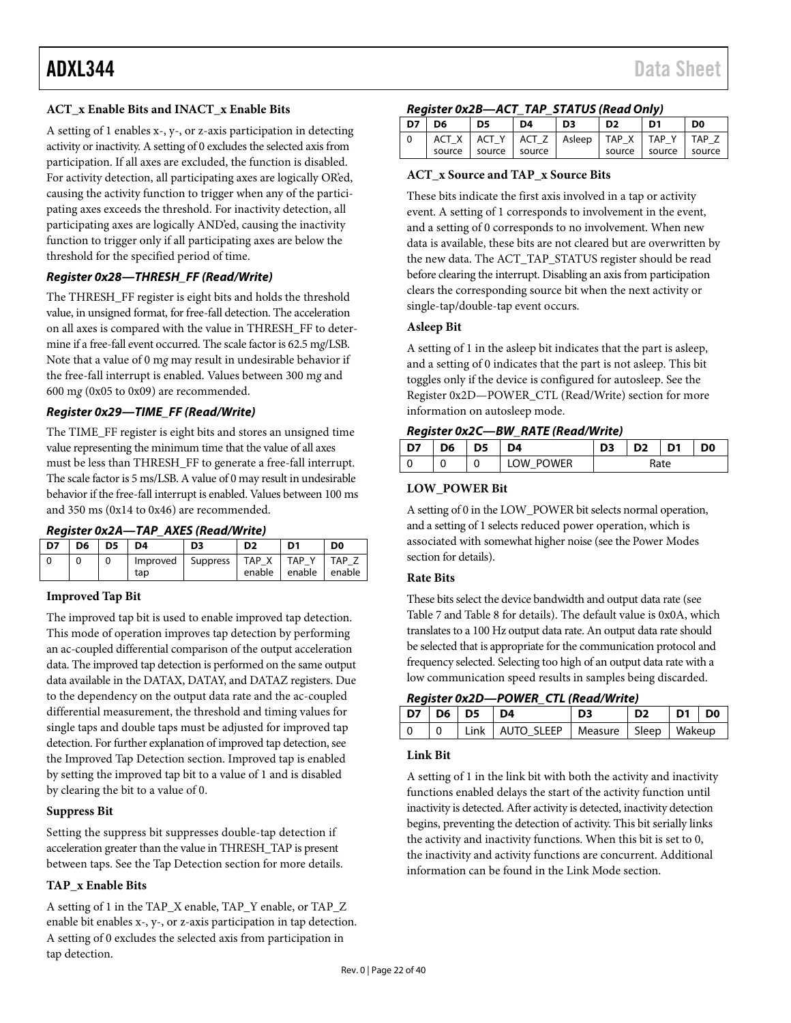A setting of 1 enables x-, y-, or z-axis participation in detecting activity or inactivity. A setting of 0 excludes the selected axis from participation. If all axes are excluded, the function is disabled. For activity detection, all participating axes are logically OR'ed, causing the activity function to trigger when any of the participating axes exceeds the threshold. For inactivity detection, all participating axes are logically AND'ed, causing the inactivity function to trigger only if all participating axes are below the threshold for the specified period of time.

#### *Register 0x28—THRESH\_FF (Read/Write)*

The THRESH\_FF register is eight bits and holds the threshold value, in unsigned format, for free-fall detection. The acceleration on all axes is compared with the value in THRESH\_FF to determine if a free-fall event occurred. The scale factor is 62.5 m*g*/LSB. Note that a value of 0 m*g* may result in undesirable behavior if the free-fall interrupt is enabled. Values between 300 m*g* and 600 m*g* (0x05 to 0x09) are recommended.

### *Register 0x29—TIME\_FF (Read/Write)*

The TIME\_FF register is eight bits and stores an unsigned time value representing the minimum time that the value of all axes must be less than THRESH\_FF to generate a free-fall interrupt. The scale factor is 5 ms/LSB. A value of 0 may result in undesirable behavior if the free-fall interrupt is enabled. Values between 100 ms and 350 ms (0x14 to 0x46) are recommended.

#### *Register 0x2A—TAP\_AXES (Read/Write)*

| D7 | D <sub>6</sub> | D5 | D4              | D3              |                 | D <sub>1</sub>       | D <sub>0</sub> |
|----|----------------|----|-----------------|-----------------|-----------------|----------------------|----------------|
|    |                |    | Improved<br>tap | <b>Suppress</b> | TAP X<br>enable | <b>TAP</b><br>enable | TAP<br>enable  |

#### **Improved Tap Bit**

The improved tap bit is used to enable improved tap detection. This mode of operation improves tap detection by performing an ac-coupled differential comparison of the output acceleration data. The improved tap detection is performed on the same output data available in the DATAX, DATAY, and DATAZ registers. Due to the dependency on the output data rate and the ac-coupled differential measurement, the threshold and timing values for single taps and double taps must be adjusted for improved tap detection. For further explanation of improved tap detection, see the [Improved Tap Detection](#page-27-0) section. Improved tap is enabled by setting the improved tap bit to a value of 1 and is disabled by clearing the bit to a value of 0.

#### **Suppress Bit**

Setting the suppress bit suppresses double-tap detection if acceleration greater than the value in THRESH\_TAP is present between taps. See th[e Tap Detection](#page-26-3) section for more details.

#### **TAP\_x Enable Bits**

A setting of 1 in the TAP\_X enable, TAP\_Y enable, or TAP\_Z enable bit enables x-, y-, or z-axis participation in tap detection. A setting of 0 excludes the selected axis from participation in tap detection.

#### *Register 0x2B—ACT\_TAP\_STATUS (Read Only)*

| D7 | D <sub>6</sub> | D <sub>5</sub> | D <sub>4</sub> | D <sub>3</sub> | D <sub>2</sub>                                 | D <sub>1</sub> | D <sub>0</sub> |
|----|----------------|----------------|----------------|----------------|------------------------------------------------|----------------|----------------|
|    |                |                |                |                | ACT_X   ACT_Y   ACT_Z   Asleep   TAP_X   TAP_Y |                | TAP Z          |
|    | source         | source         | l source       |                | source Source                                  |                | source         |

#### **ACT\_x Source and TAP\_x Source Bits**

These bits indicate the first axis involved in a tap or activity event. A setting of 1 corresponds to involvement in the event, and a setting of 0 corresponds to no involvement. When new data is available, these bits are not cleared but are overwritten by the new data. The ACT\_TAP\_STATUS register should be read before clearing the interrupt. Disabling an axis from participation clears the corresponding source bit when the next activity or single-tap/double-tap event occurs.

#### **Asleep Bit**

A setting of 1 in the asleep bit indicates that the part is asleep, and a setting of 0 indicates that the part is not asleep. This bit toggles only if the device is configured for autosleep. See the [Register 0x2D—POWER\\_CTL \(Read/Write\)](#page-21-0) section for more information on autosleep mode.

### *Register 0x2C—BW\_RATE (Read/Write)*

| D7 | D6 | כע | D4                  | כח   | כח | D <sub>1</sub> | D <sub>0</sub> |
|----|----|----|---------------------|------|----|----------------|----------------|
|    |    |    | POWER<br><b>IOW</b> | Rate |    |                |                |

#### **LOW\_POWER Bit**

A setting of 0 in the LOW\_POWER bit selects normal operation, and a setting of 1 selects reduced power operation, which is associated with somewhat higher noise (see the [Power Modes](#page-10-3) section for details).

#### **Rate Bits**

These bits select the device bandwidth and output data rate (see [Table 7](#page-10-1) and [Table 8](#page-10-2) for details). The default value is 0x0A, which translates to a 100 Hz output data rate. An output data rate should be selected that is appropriate for the communication protocol and frequency selected. Selecting too high of an output data rate with a low communication speed results in samples being discarded.

### <span id="page-21-0"></span>*Register 0x2D—POWER\_CTL (Read/Write)*

|  | D7   D6   D5   D4 |                                              | D <sub>3</sub> | D <sub>2</sub> | D1 D0 |  |
|--|-------------------|----------------------------------------------|----------------|----------------|-------|--|
|  |                   | Link   AUTO_SLEEP   Measure   Sleep   Wakeup |                |                |       |  |

#### <span id="page-21-1"></span>**Link Bit**

A setting of 1 in the link bit with both the activity and inactivity functions enabled delays the start of the activity function until inactivity is detected. After activity is detected, inactivity detection begins, preventing the detection of activity. This bit serially links the activity and inactivity functions. When this bit is set to 0, the inactivity and activity functions are concurrent. Additional information can be found in th[e Link Mode](#page-28-1) section.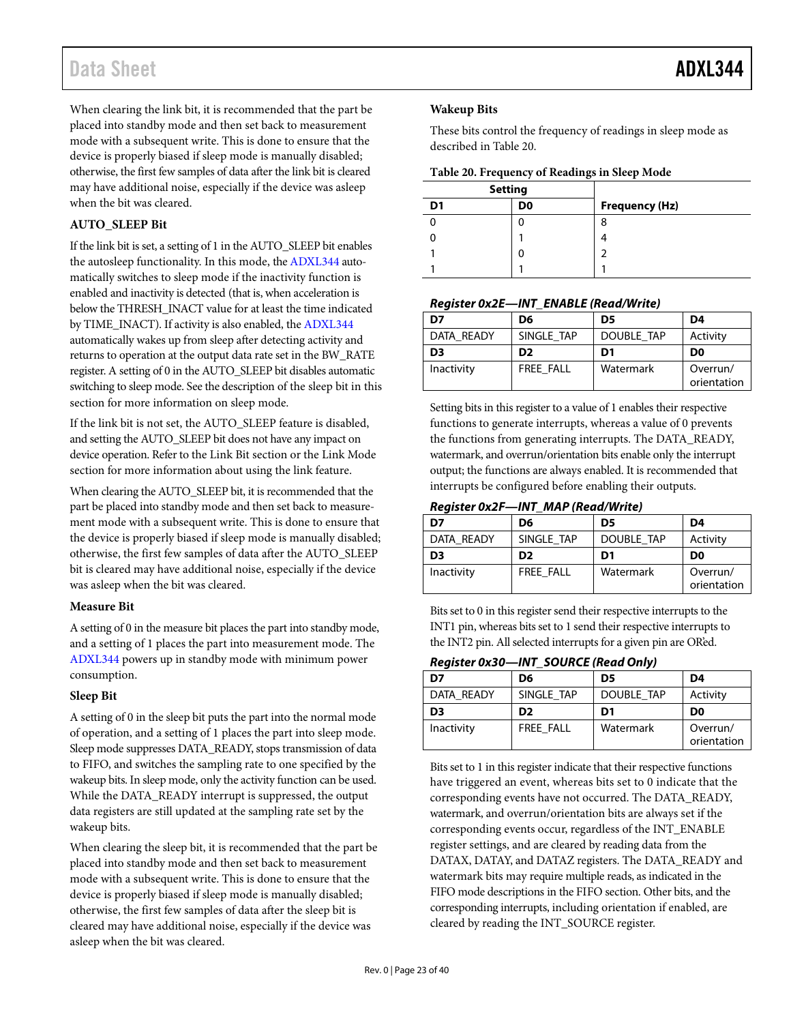When clearing the link bit, it is recommended that the part be placed into standby mode and then set back to measurement mode with a subsequent write. This is done to ensure that the device is properly biased if sleep mode is manually disabled; otherwise, the first few samples of data after the link bit is cleared may have additional noise, especially if the device was asleep when the bit was cleared.

## **AUTO\_SLEEP Bit**

If the link bit is set, a setting of 1 in the AUTO\_SLEEP bit enables the autosleep functionality. In this mode, th[e ADXL344](http://www.analog.com/ADXL344) automatically switches to sleep mode if the inactivity function is enabled and inactivity is detected (that is, when acceleration is below the THRESH\_INACT value for at least the time indicated by TIME\_INACT). If activity is also enabled, th[e ADXL344](http://www.analog.com/ADXL344) automatically wakes up from sleep after detecting activity and returns to operation at the output data rate set in the BW\_RATE register. A setting of 0 in the AUTO\_SLEEP bit disables automatic switching to sleep mode. See the description of the sleep bit in this section for more information on sleep mode.

If the link bit is not set, the AUTO\_SLEEP feature is disabled, and setting the AUTO\_SLEEP bit does not have any impact on device operation. Refer to th[e Link Bit](#page-21-1) section or th[e Link Mode](#page-28-1) section for more information about using the link feature.

When clearing the AUTO\_SLEEP bit, it is recommended that the part be placed into standby mode and then set back to measurement mode with a subsequent write. This is done to ensure that the device is properly biased if sleep mode is manually disabled; otherwise, the first few samples of data after the AUTO\_SLEEP bit is cleared may have additional noise, especially if the device was asleep when the bit was cleared.

#### **Measure Bit**

A setting of 0 in the measure bit places the part into standby mode, and a setting of 1 places the part into measurement mode. The [ADXL344](http://www.analog.com/ADXL344) powers up in standby mode with minimum power consumption.

#### **Sleep Bit**

A setting of 0 in the sleep bit puts the part into the normal mode of operation, and a setting of 1 places the part into sleep mode. Sleep mode suppresses DATA\_READY, stops transmission of data to FIFO, and switches the sampling rate to one specified by the wakeup bits. In sleep mode, only the activity function can be used. While the DATA\_READY interrupt is suppressed, the output data registers are still updated at the sampling rate set by the wakeup bits.

When clearing the sleep bit, it is recommended that the part be placed into standby mode and then set back to measurement mode with a subsequent write. This is done to ensure that the device is properly biased if sleep mode is manually disabled; otherwise, the first few samples of data after the sleep bit is cleared may have additional noise, especially if the device was asleep when the bit was cleared.

### **Wakeup Bits**

These bits control the frequency of readings in sleep mode as described in [Table 20.](#page-22-0) 

<span id="page-22-0"></span>**Table 20. Frequency of Readings in Sleep Mode**

| <b>Setting</b> |                |                       |
|----------------|----------------|-----------------------|
| D1             | D <sub>0</sub> | <b>Frequency (Hz)</b> |
|                |                | 8                     |
|                |                |                       |
|                |                |                       |
|                |                |                       |

#### *Register 0x2E—INT\_ENABLE (Read/Write)*

| D7             | D6               | D5         | D4                      |
|----------------|------------------|------------|-------------------------|
| DATA READY     | SINGLE TAP       | DOUBLE TAP | Activity                |
| D <sub>3</sub> | D <sub>2</sub>   | D1         | D <sub>0</sub>          |
| Inactivity     | <b>FREE FALL</b> | Watermark  | Overrun/<br>orientation |

Setting bits in this register to a value of 1 enables their respective functions to generate interrupts, whereas a value of 0 prevents the functions from generating interrupts. The DATA\_READY, watermark, and overrun/orientation bits enable only the interrupt output; the functions are always enabled. It is recommended that interrupts be configured before enabling their outputs.

### *Register 0x2F—INT\_MAP (Read/Write)*

| D7             | D6               | D5         | D4                      |
|----------------|------------------|------------|-------------------------|
| DATA READY     | SINGLE TAP       | DOUBLE TAP | Activity                |
| D <sub>3</sub> | D <sub>2</sub>   | D1         | D0                      |
| Inactivity     | <b>FREE FALL</b> | Watermark  | Overrun/<br>orientation |

Bits set to 0 in this register send their respective interrupts to the INT1 pin, whereas bits set to 1 send their respective interrupts to the INT2 pin. All selected interrupts for a given pin are OR'ed.

### *Register 0x30—INT\_SOURCE (Read Only)*

| ,,,,,,,,,,,,,,, | $m_{1}$ soond now only |            |                         |
|-----------------|------------------------|------------|-------------------------|
| D7              | D6                     | D5         | D <sub>4</sub>          |
| DATA READY      | SINGLE TAP             | DOUBLE TAP | Activity                |
| D <sub>3</sub>  | D <sub>2</sub>         | D1         | D <sub>0</sub>          |
| Inactivity      | FREE FALL              | Watermark  | Overrun/<br>orientation |

Bits set to 1 in this register indicate that their respective functions have triggered an event, whereas bits set to 0 indicate that the corresponding events have not occurred. The DATA\_READY, watermark, and overrun/orientation bits are always set if the corresponding events occur, regardless of the INT\_ENABLE register settings, and are cleared by reading data from the DATAX, DATAY, and DATAZ registers. The DATA\_READY and watermark bits may require multiple reads, as indicated in the FIFO mode descriptions in th[e FIFO](#page-17-0) section. Other bits, and the corresponding interrupts, including orientation if enabled, are cleared by reading the INT\_SOURCE register.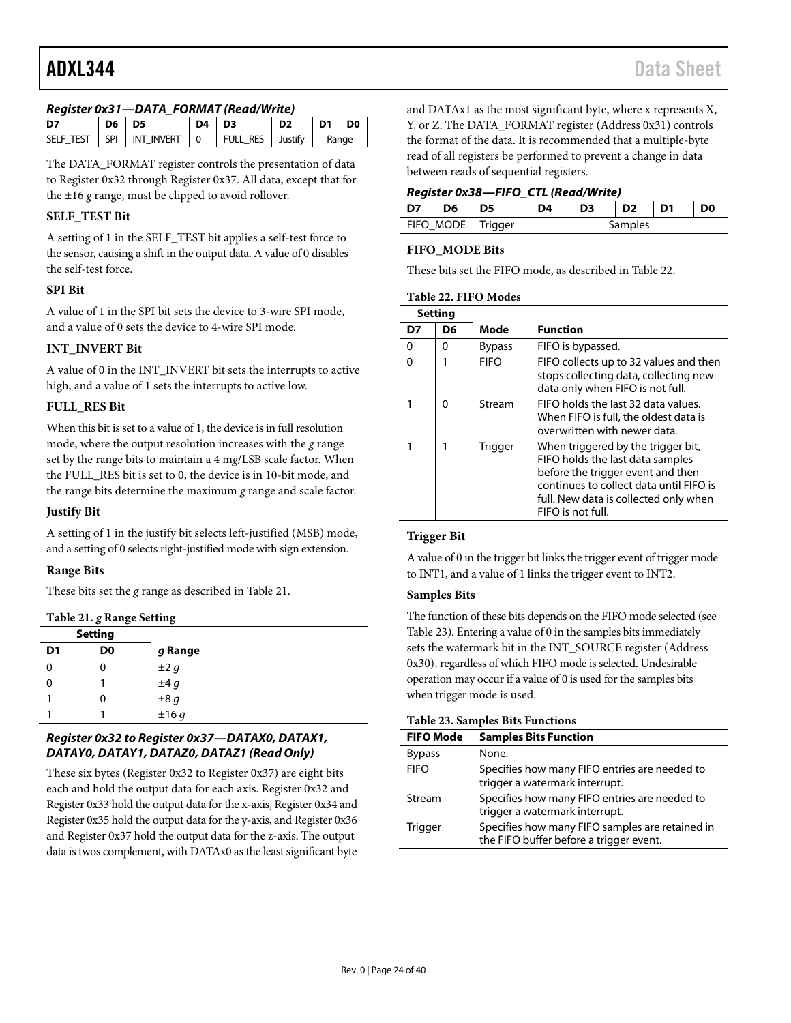#### *Register 0x31—DATA\_FORMAT (Read/Write)*

| D7 | $D6$ $D5$ |                                  | $D4$ $D3$ |                            | D <sub>2</sub> | $\vert$ D1 $\vert$ D0 |  |
|----|-----------|----------------------------------|-----------|----------------------------|----------------|-----------------------|--|
|    |           | SELF TEST   SPI   INT INVERT   0 |           | FULL RES   Justify   Range |                |                       |  |

The DATA\_FORMAT register controls the presentation of data to Register 0x32 through Register 0x37. All data, except that for the ±16 *g* range, must be clipped to avoid rollover.

### **SELF\_TEST Bit**

A setting of 1 in the SELF\_TEST bit applies a self-test force to the sensor, causing a shift in the output data. A value of 0 disables the self-test force.

#### **SPI Bit**

A value of 1 in the SPI bit sets the device to 3-wire SPI mode, and a value of 0 sets the device to 4-wire SPI mode.

### **INT\_INVERT Bit**

A value of 0 in the INT\_INVERT bit sets the interrupts to active high, and a value of 1 sets the interrupts to active low.

#### **FULL\_RES Bit**

When this bit is set to a value of 1, the device is in full resolution mode, where the output resolution increases with the *g* range set by the range bits to maintain a 4 m*g*/LSB scale factor. When the FULL\_RES bit is set to 0, the device is in 10-bit mode, and the range bits determine the maximum *g* range and scale factor.

#### **Justify Bit**

A setting of 1 in the justify bit selects left-justified (MSB) mode, and a setting of 0 selects right-justified mode with sign extension.

#### **Range Bits**

These bits set the *g* range as described in [Table 21.](#page-23-1) 

<span id="page-23-1"></span>**Table 21.** *g* **Range Setting**

| <b>Setting</b> |    |                         |
|----------------|----|-------------------------|
| D <sub>1</sub> | D0 | g Range                 |
|                | 0  |                         |
| 0              |    | $\pm 2 g$<br>$\pm 4 g$  |
|                | 0  | $\pm 8 g$<br>$\pm 16 g$ |
|                |    |                         |

### *Register 0x32 to Register 0x37—DATAX0, DATAX1, DATAY0, DATAY1, DATAZ0, DATAZ1 (Read Only)*

These six bytes (Register 0x32 to Register 0x37) are eight bits each and hold the output data for each axis. Register 0x32 and Register 0x33 hold the output data for the x-axis, Register 0x34 and Register 0x35 hold the output data for the y-axis, and Register 0x36 and Register 0x37 hold the output data for the z-axis. The output data is twos complement, with DATAx0 as the least significant byte

and DATAx1 as the most significant byte, where x represents X, Y, or Z. The DATA\_FORMAT register (Address 0x31) controls the format of the data. It is recommended that a multiple-byte read of all registers be performed to prevent a change in data between reads of sequential registers.

#### *Register 0x38—FIFO\_CTL (Read/Write)*

|                     | D <sub>6</sub> | D5 | D4      |  |  |  | D <sub>0</sub> |  |
|---------------------|----------------|----|---------|--|--|--|----------------|--|
| FIFO_MODE   Trigger |                |    | Samples |  |  |  |                |  |

#### **FIFO\_MODE Bits**

These bits set the FIFO mode, as described in [Table 22.](#page-23-0) 

<span id="page-23-0"></span>

|  | Table 22. FIFO Modes |
|--|----------------------|
|--|----------------------|

|    | <b>Setting</b> |               |                                                                                                                                                                                                                      |
|----|----------------|---------------|----------------------------------------------------------------------------------------------------------------------------------------------------------------------------------------------------------------------|
| D7 | D6             | Mode          | <b>Function</b>                                                                                                                                                                                                      |
| U  | O              | <b>Bypass</b> | FIFO is bypassed.                                                                                                                                                                                                    |
|    |                | <b>FIFO</b>   | FIFO collects up to 32 values and then<br>stops collecting data, collecting new<br>data only when FIFO is not full.                                                                                                  |
|    | O              | Stream        | FIFO holds the last 32 data values.<br>When FIFO is full, the oldest data is<br>overwritten with newer data.                                                                                                         |
|    |                | Trigger       | When triggered by the trigger bit,<br>FIFO holds the last data samples<br>before the trigger event and then<br>continues to collect data until FIFO is<br>full. New data is collected only when<br>FIFO is not full. |

#### **Trigger Bit**

A value of 0 in the trigger bit links the trigger event of trigger mode to INT1, and a value of 1 links the trigger event to INT2.

#### **Samples Bits**

The function of these bits depends on the FIFO mode selected (see [Table 23\)](#page-23-2). Entering a value of 0 in the samples bits immediately sets the watermark bit in the INT\_SOURCE register (Address 0x30), regardless of which FIFO mode is selected. Undesirable operation may occur if a value of 0 is used for the samples bits when trigger mode is used.

#### <span id="page-23-2"></span>**Table 23. Samples Bits Functions**

|                  | 1 W017 201 0 Will pays 2110 1 Will the Mo       |
|------------------|-------------------------------------------------|
| <b>FIFO Mode</b> | <b>Samples Bits Function</b>                    |
| <b>Bypass</b>    | None.                                           |
| <b>FIFO</b>      | Specifies how many FIFO entries are needed to   |
|                  | trigger a watermark interrupt.                  |
| Stream           | Specifies how many FIFO entries are needed to   |
|                  | trigger a watermark interrupt.                  |
| <b>Trigger</b>   | Specifies how many FIFO samples are retained in |
|                  | the FIFO buffer before a trigger event.         |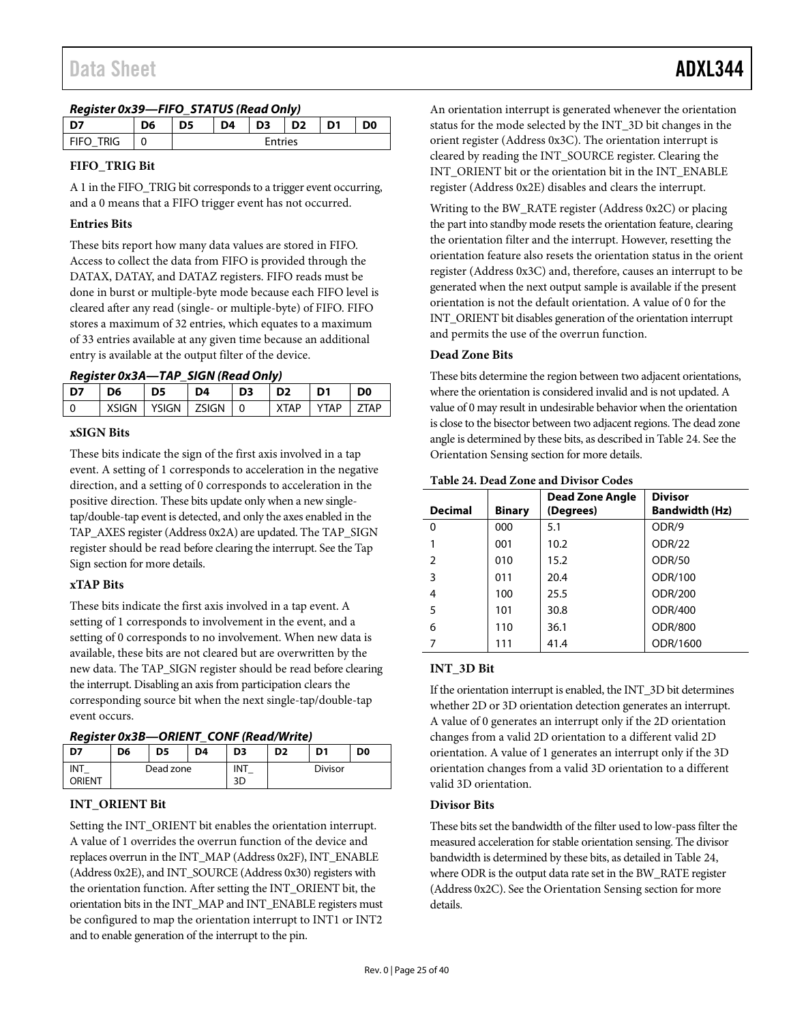| Register 0x39-FIFO_STATUS (Read Only) |  |
|---------------------------------------|--|
|                                       |  |

|                  | D6 | D5      | D <sub>4</sub> | D3 | D <sub>2</sub> | D1 | D <sub>0</sub> |
|------------------|----|---------|----------------|----|----------------|----|----------------|
| ัRIG<br>$F$ FIFC | U  | Entries |                |    |                |    |                |

## **FIFO\_TRIG Bit**

A 1 in the FIFO\_TRIG bit corresponds to a trigger event occurring, and a 0 means that a FIFO trigger event has not occurred.

### **Entries Bits**

These bits report how many data values are stored in FIFO. Access to collect the data from FIFO is provided through the DATAX, DATAY, and DATAZ registers. FIFO reads must be done in burst or multiple-byte mode because each FIFO level is cleared after any read (single- or multiple-byte) of FIFO. FIFO stores a maximum of 32 entries, which equates to a maximum of 33 entries available at any given time because an additional entry is available at the output filter of the device.

*Register 0x3A—TAP\_SIGN (Read Only)*

| <b>XSIGN</b><br><b>YSIGN</b><br><b>7SIGN</b><br><b>VTAP</b><br><b>7TAD</b><br><b>YTAP</b><br>- 0 | D7 | D6 | D5 | D4 | D <sub>3</sub> | D <sub>2</sub> | D1 | D <sub>0</sub> |
|--------------------------------------------------------------------------------------------------|----|----|----|----|----------------|----------------|----|----------------|
|                                                                                                  |    |    |    |    |                |                |    |                |

#### **xSIGN Bits**

These bits indicate the sign of the first axis involved in a tap event. A setting of 1 corresponds to acceleration in the negative direction, and a setting of 0 corresponds to acceleration in the positive direction. These bits update only when a new singletap/double-tap event is detected, and only the axes enabled in the TAP\_AXES register (Address 0x2A) are updated. The TAP\_SIGN register should be read before clearing the interrupt. See the [Tap](#page-27-1)  [Sign](#page-27-1) section for more details.

## **xTAP Bits**

These bits indicate the first axis involved in a tap event. A setting of 1 corresponds to involvement in the event, and a setting of 0 corresponds to no involvement. When new data is available, these bits are not cleared but are overwritten by the new data. The TAP\_SIGN register should be read before clearing the interrupt. Disabling an axis from participation clears the corresponding source bit when the next single-tap/double-tap event occurs.

<span id="page-24-0"></span>*Register 0x3B—ORIENT\_CONF (Read/Write)*

| ---           |           |    |    | .              |                                                    |  |  |  |
|---------------|-----------|----|----|----------------|----------------------------------------------------|--|--|--|
| D7            | D6        | D5 | D4 | D <sub>3</sub> | D <sub>0</sub><br>D <sub>1</sub><br>D <sub>2</sub> |  |  |  |
| INT<br>ORIENT | Dead zone |    |    | INT<br>3D      | <b>Divisor</b>                                     |  |  |  |

## **INT\_ORIENT Bit**

Setting the INT\_ORIENT bit enables the orientation interrupt. A value of 1 overrides the overrun function of the device and replaces overrun in the INT\_MAP (Address 0x2F), INT\_ENABLE (Address 0x2E), and INT\_SOURCE (Address 0x30) registers with the orientation function. After setting the INT\_ORIENT bit, the orientation bits in the INT\_MAP and INT\_ENABLE registers must be configured to map the orientation interrupt to INT1 or INT2 and to enable generation of the interrupt to the pin.

An orientation interrupt is generated whenever the orientation status for the mode selected by the INT\_3D bit changes in the orient register (Address 0x3C). The orientation interrupt is cleared by reading the INT\_SOURCE register. Clearing the INT\_ORIENT bit or the orientation bit in the INT\_ENABLE register (Address 0x2E) disables and clears the interrupt.

Writing to the BW\_RATE register (Address 0x2C) or placing the part into standby mode resets the orientation feature, clearing the orientation filter and the interrupt. However, resetting the orientation feature also resets the orientation status in the orient register (Address 0x3C) and, therefore, causes an interrupt to be generated when the next output sample is available if the present orientation is not the default orientation. A value of 0 for the INT\_ORIENT bit disables generation of the orientation interrupt and permits the use of the overrun function.

## **Dead Zone Bits**

These bits determine the region between two adjacent orientations, where the orientation is considered invalid and is not updated. A value of 0 may result in undesirable behavior when the orientation is close to the bisector between two adjacent regions. The dead zone angle is determined by these bits, as described in [Table 24.](#page-24-1) See the [Orientation Sensing](#page-30-0) section for more details.

| <b>Decimal</b> | <b>Binary</b> | Dead Zone Angle<br>(Degrees) | <b>Divisor</b><br><b>Bandwidth (Hz)</b> |
|----------------|---------------|------------------------------|-----------------------------------------|
| 0              | 000           | 5.1                          | ODR/9                                   |
|                | 001           | 10.2                         | ODR/22                                  |
| $\mathcal{P}$  | 010           | 15.2                         | <b>ODR/50</b>                           |
| 3              | 011           | 20.4                         | ODR/100                                 |
| 4              | 100           | 25.5                         | ODR/200                                 |
| 5              | 101           | 30.8                         | ODR/400                                 |
| 6              | 110           | 36.1                         | <b>ODR/800</b>                          |
|                | 111           | 41.4                         | ODR/1600                                |

<span id="page-24-1"></span>**Table 24. Dead Zone and Divisor Codes**

## **INT\_3D Bit**

If the orientation interrupt is enabled, the INT\_3D bit determines whether 2D or 3D orientation detection generates an interrupt. A value of 0 generates an interrupt only if the 2D orientation changes from a valid 2D orientation to a different valid 2D orientation. A value of 1 generates an interrupt only if the 3D orientation changes from a valid 3D orientation to a different valid 3D orientation.

#### **Divisor Bits**

These bits set the bandwidth of the filter used to low-pass filter the measured acceleration for stable orientation sensing. The divisor bandwidth is determined by these bits, as detailed in [Table 24,](#page-24-1) where ODR is the output data rate set in the BW\_RATE register (Address 0x2C). See th[e Orientation Sensing](#page-30-0) section for more details.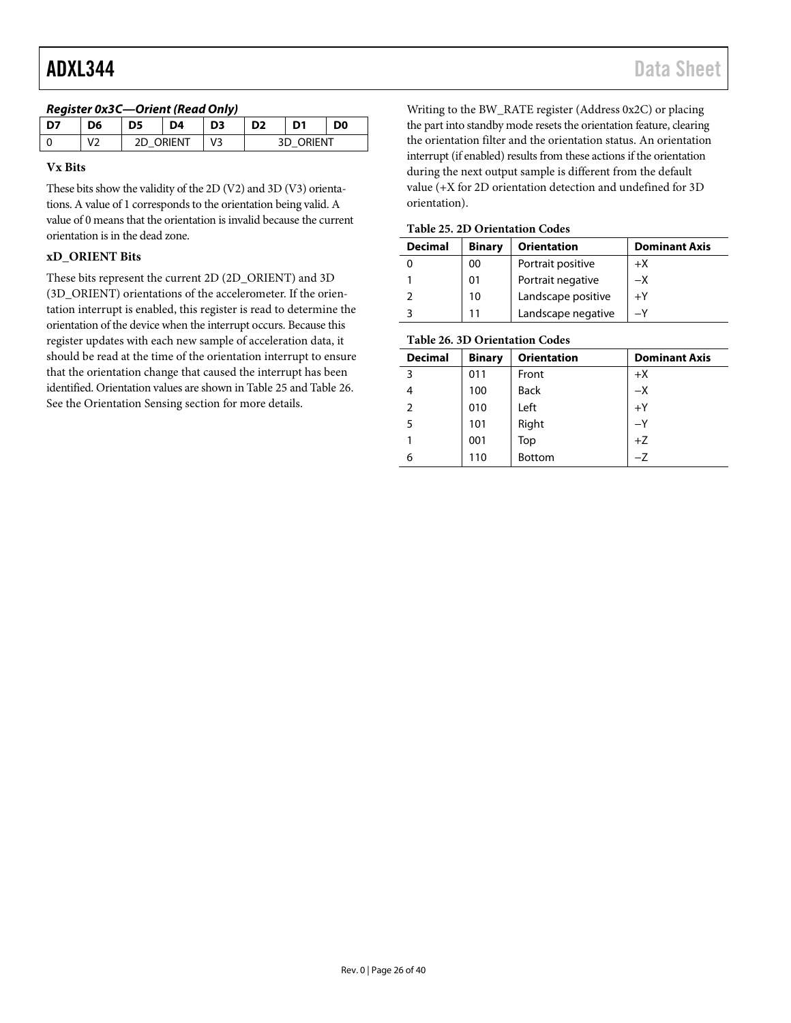| $n_{\rm G}$ |            |                  |    |  |                |    |    |  |  |
|-------------|------------|------------------|----|--|----------------|----|----|--|--|
| D7          | D6         | D5               | D4 |  | D <sub>2</sub> | D1 | D0 |  |  |
|             | $V^{\sim}$ | <b>2D ORIENT</b> |    |  | ORIENT         |    |    |  |  |

# *Register 0x3C—Orient (Read Only)*

#### **Vx Bits**

These bits show the validity of the 2D (V2) and 3D (V3) orientations. A value of 1 corresponds to the orientation being valid. A value of 0 means that the orientation is invalid because the current orientation is in the dead zone.

## **xD\_ORIENT Bits**

These bits represent the current 2D (2D\_ORIENT) and 3D (3D\_ORIENT) orientations of the accelerometer. If the orientation interrupt is enabled, this register is read to determine the orientation of the device when the interrupt occurs. Because this register updates with each new sample of acceleration data, it should be read at the time of the orientation interrupt to ensure that the orientation change that caused the interrupt has been identified. Orientation values are shown i[n Table 25](#page-25-0) an[d Table 26.](#page-25-1)  See the [Orientation Sensing](#page-30-0) section for more details.

Writing to the BW\_RATE register (Address 0x2C) or placing the part into standby mode resets the orientation feature, clearing the orientation filter and the orientation status. An orientation interrupt (if enabled) results from these actions if the orientation during the next output sample is different from the default value (+X for 2D orientation detection and undefined for 3D orientation).

#### <span id="page-25-0"></span>**Table 25. 2D Orientation Codes**

| <b>Decimal</b> | <b>Binary</b> | <b>Orientation</b> | <b>Dominant Axis</b> |  |
|----------------|---------------|--------------------|----------------------|--|
|                | 00            | Portrait positive  | $+X$                 |  |
|                | 01            | Portrait negative  | $-X$                 |  |
|                | 10            | Landscape positive | $+Y$                 |  |
|                |               | Landscape negative |                      |  |

## <span id="page-25-1"></span>**Table 26. 3D Orientation Codes**

| <b>Decimal</b> | <b>Binary</b> | <b>Orientation</b> | <b>Dominant Axis</b> |
|----------------|---------------|--------------------|----------------------|
| 3              | 011           | Front              | $+X$                 |
| 4              | 100           | <b>Back</b>        | $-X$                 |
| 2              | 010           | Left               | $+Y$                 |
| 5              | 101           | Right              | $-Y$                 |
|                | 001           | Top                | $+Z$                 |
| 6              | 110           | <b>Bottom</b>      |                      |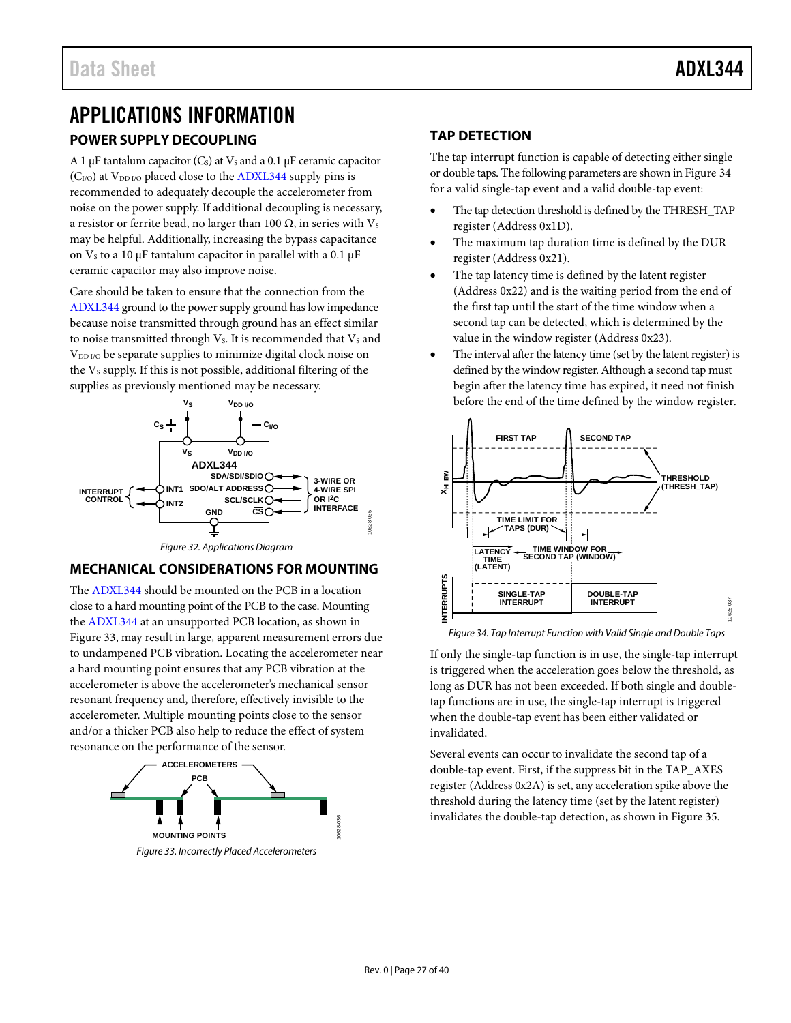# <span id="page-26-1"></span><span id="page-26-0"></span>APPLICATIONS INFORMATION **POWER SUPPLY DECOUPLING**

A 1  $\mu$ F tantalum capacitor (C<sub>s</sub>) at V<sub>s</sub> and a 0.1  $\mu$ F ceramic capacitor  $(C<sub>I/O</sub>)$  at  $V<sub>DD I/O</sub>$  placed close to th[e ADXL344](http://www.analog.com/ADXL344) supply pins is recommended to adequately decouple the accelerometer from noise on the power supply. If additional decoupling is necessary, a resistor or ferrite bead, no larger than 100  $Ω$ , in series with  $V_s$ may be helpful. Additionally, increasing the bypass capacitance on  $V_s$  to a 10 μF tantalum capacitor in parallel with a 0.1 μF ceramic capacitor may also improve noise.

Care should be taken to ensure that the connection from the [ADXL344](http://www.analog.com/ADXL344) ground to the power supply ground has low impedance because noise transmitted through ground has an effect similar to noise transmitted through  $V_s$ . It is recommended that  $V_s$  and V<sub>DD I/O</sub> be separate supplies to minimize digital clock noise on the V<sub>s</sub> supply. If this is not possible, additional filtering of the supplies as previously mentioned may be necessary.



*Figure 32. Applications Diagram*

## <span id="page-26-2"></span>**MECHANICAL CONSIDERATIONS FOR MOUNTING**

The [ADXL344](http://www.analog.com/ADXL344) should be mounted on the PCB in a location close to a hard mounting point of the PCB to the case. Mounting the [ADXL344](http://www.analog.com/ADXL344) at an unsupported PCB location, as shown in [Figure 33,](#page-26-4) may result in large, apparent measurement errors due to undampened PCB vibration. Locating the accelerometer near a hard mounting point ensures that any PCB vibration at the accelerometer is above the accelerometer's mechanical sensor resonant frequency and, therefore, effectively invisible to the accelerometer. Multiple mounting points close to the sensor and/or a thicker PCB also help to reduce the effect of system resonance on the performance of the sensor.

<span id="page-26-4"></span>

# <span id="page-26-3"></span>**TAP DETECTION**

The tap interrupt function is capable of detecting either single or double taps. The following parameters are shown i[n Figure 34](#page-26-5) for a valid single-tap event and a valid double-tap event:

- The tap detection threshold is defined by the THRESH\_TAP register (Address 0x1D).
- The maximum tap duration time is defined by the DUR register (Address 0x21).
- The tap latency time is defined by the latent register (Address 0x22) and is the waiting period from the end of the first tap until the start of the time window when a second tap can be detected, which is determined by the value in the window register (Address 0x23).
- The interval after the latency time (set by the latent register) is defined by the window register. Although a second tap must begin after the latency time has expired, it need not finish before the end of the time defined by the window register.



<span id="page-26-5"></span>*Figure 34. Tap Interrupt Function with Valid Single and Double Taps*

If only the single-tap function is in use, the single-tap interrupt is triggered when the acceleration goes below the threshold, as long as DUR has not been exceeded. If both single and doubletap functions are in use, the single-tap interrupt is triggered when the double-tap event has been either validated or invalidated.

Several events can occur to invalidate the second tap of a double-tap event. First, if the suppress bit in the TAP\_AXES register (Address 0x2A) is set, any acceleration spike above the threshold during the latency time (set by the latent register) invalidates the double-tap detection, as shown i[n Figure 35.](#page-27-2)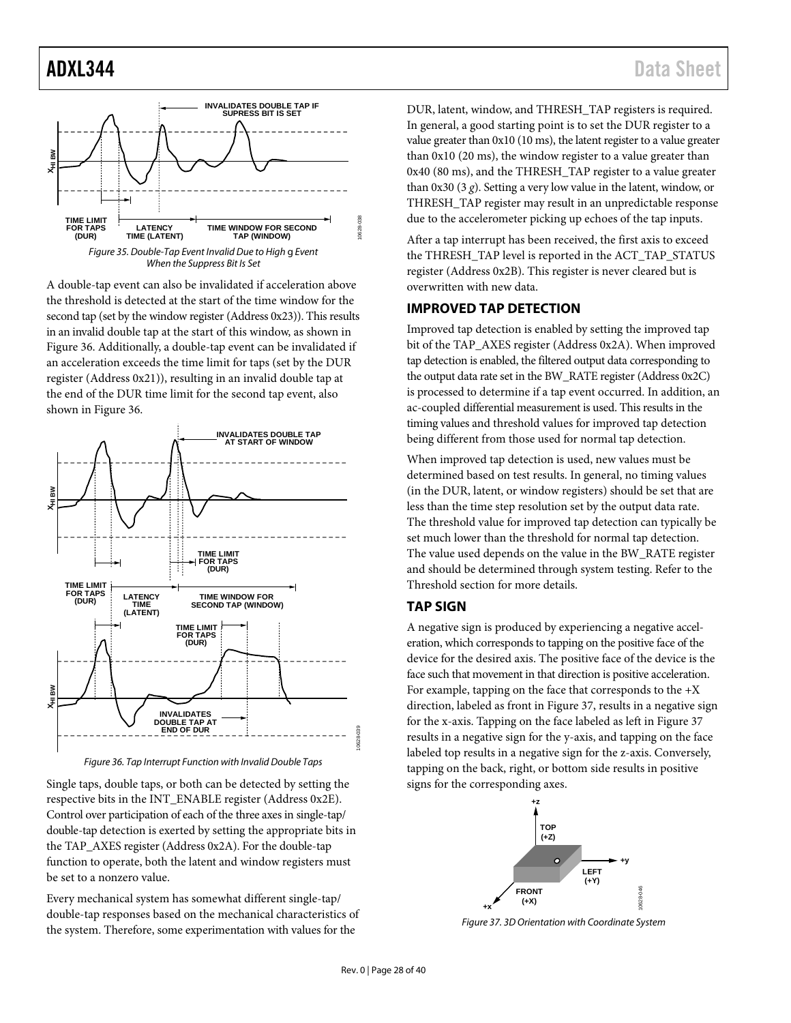

<span id="page-27-2"></span>A double-tap event can also be invalidated if acceleration above the threshold is detected at the start of the time window for the second tap (set by the window register (Address 0x23)). This results in an invalid double tap at the start of this window, as shown in [Figure 36.](#page-27-3) Additionally, a double-tap event can be invalidated if an acceleration exceeds the time limit for taps (set by the DUR register (Address 0x21)), resulting in an invalid double tap at the end of the DUR time limit for the second tap event, also shown in [Figure 36.](#page-27-3) 



*Figure 36. Tap Interrupt Function with Invalid Double Taps*

<span id="page-27-3"></span>Single taps, double taps, or both can be detected by setting the respective bits in the INT\_ENABLE register (Address 0x2E). Control over participation of each of the three axes in single-tap/ double-tap detection is exerted by setting the appropriate bits in the TAP\_AXES register (Address 0x2A). For the double-tap function to operate, both the latent and window registers must be set to a nonzero value.

Every mechanical system has somewhat different single-tap/ double-tap responses based on the mechanical characteristics of the system. Therefore, some experimentation with values for the

DUR, latent, window, and THRESH\_TAP registers is required. In general, a good starting point is to set the DUR register to a value greater than 0x10 (10 ms), the latent register to a value greater than 0x10 (20 ms), the window register to a value greater than 0x40 (80 ms), and the THRESH\_TAP register to a value greater than 0x30 (3 *g*). Setting a very low value in the latent, window, or THRESH\_TAP register may result in an unpredictable response due to the accelerometer picking up echoes of the tap inputs.

After a tap interrupt has been received, the first axis to exceed the THRESH\_TAP level is reported in the ACT\_TAP\_STATUS register (Address 0x2B). This register is never cleared but is overwritten with new data.

#### <span id="page-27-0"></span>**IMPROVED TAP DETECTION**

Improved tap detection is enabled by setting the improved tap bit of the TAP\_AXES register (Address 0x2A). When improved tap detection is enabled, the filtered output data corresponding to the output data rate set in the BW\_RATE register (Address 0x2C) is processed to determine if a tap event occurred. In addition, an ac-coupled differential measurement is used. This results in the timing values and threshold values for improved tap detection being different from those used for normal tap detection.

When improved tap detection is used, new values must be determined based on test results. In general, no timing values (in the DUR, latent, or window registers) should be set that are less than the time step resolution set by the output data rate. The threshold value for improved tap detection can typically be set much lower than the threshold for normal tap detection. The value used depends on the value in the BW\_RATE register and should be determined through system testing. Refer to the [Threshold](#page-28-0) section for more details.

#### <span id="page-27-1"></span>**TAP SIGN**

A negative sign is produced by experiencing a negative acceleration, which corresponds to tapping on the positive face of the device for the desired axis. The positive face of the device is the face such that movement in that direction is positive acceleration. For example, tapping on the face that corresponds to the  $+X$ direction, labeled as front in [Figure 37,](#page-27-4) results in a negative sign for the x-axis. Tapping on the face labeled as left i[n Figure 37](#page-27-4) results in a negative sign for the y-axis, and tapping on the face labeled top results in a negative sign for the z-axis. Conversely, tapping on the back, right, or bottom side results in positive signs for the corresponding axes.



<span id="page-27-4"></span>*Figure 37. 3D Orientation with Coordinate System*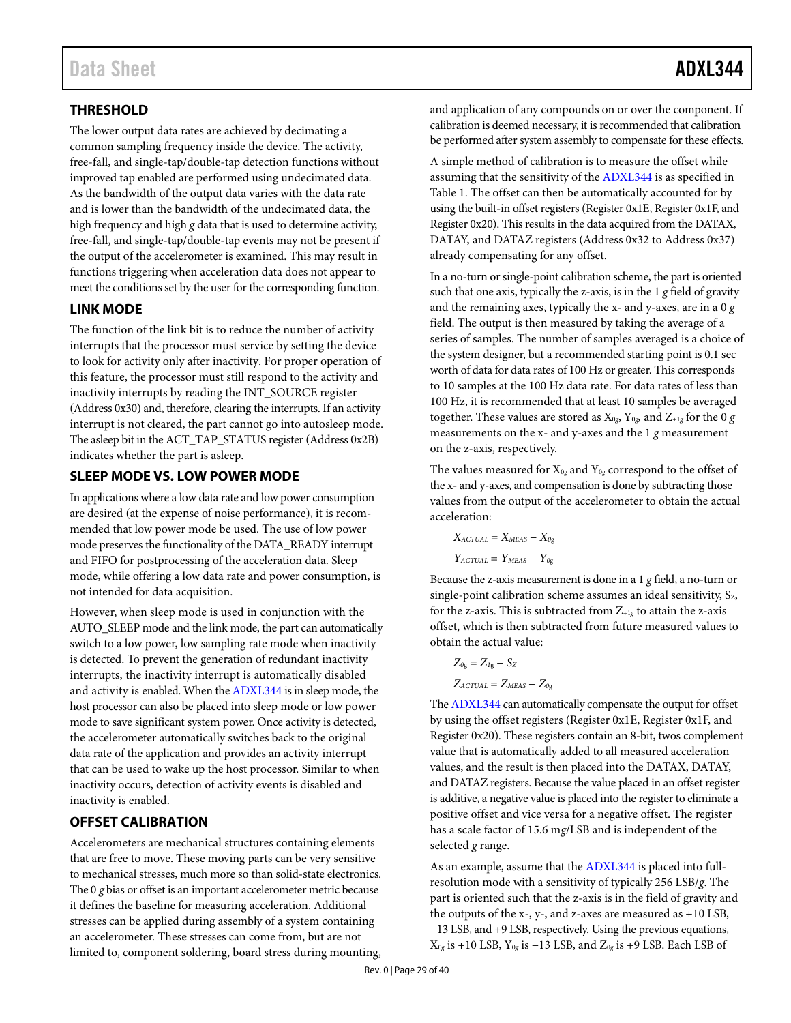# <span id="page-28-0"></span>**THRESHOLD**

The lower output data rates are achieved by decimating a common sampling frequency inside the device. The activity, free-fall, and single-tap/double-tap detection functions without improved tap enabled are performed using undecimated data. As the bandwidth of the output data varies with the data rate and is lower than the bandwidth of the undecimated data, the high frequency and high *g* data that is used to determine activity, free-fall, and single-tap/double-tap events may not be present if the output of the accelerometer is examined. This may result in functions triggering when acceleration data does not appear to meet the conditions set by the user for the corresponding function.

## <span id="page-28-1"></span>**LINK MODE**

The function of the link bit is to reduce the number of activity interrupts that the processor must service by setting the device to look for activity only after inactivity. For proper operation of this feature, the processor must still respond to the activity and inactivity interrupts by reading the INT\_SOURCE register (Address 0x30) and, therefore, clearing the interrupts. If an activity interrupt is not cleared, the part cannot go into autosleep mode. The asleep bit in the ACT\_TAP\_STATUS register (Address 0x2B) indicates whether the part is asleep.

### <span id="page-28-2"></span>**SLEEP MODE VS. LOW POWER MODE**

In applications where a low data rate and low power consumption are desired (at the expense of noise performance), it is recommended that low power mode be used. The use of low power mode preserves the functionality of the DATA\_READY interrupt and FIFO for postprocessing of the acceleration data. Sleep mode, while offering a low data rate and power consumption, is not intended for data acquisition.

However, when sleep mode is used in conjunction with the AUTO\_SLEEP mode and the link mode, the part can automatically switch to a low power, low sampling rate mode when inactivity is detected. To prevent the generation of redundant inactivity interrupts, the inactivity interrupt is automatically disabled and activity is enabled. When th[e ADXL344](http://www.analog.com/ADXL344) is in sleep mode, the host processor can also be placed into sleep mode or low power mode to save significant system power. Once activity is detected, the accelerometer automatically switches back to the original data rate of the application and provides an activity interrupt that can be used to wake up the host processor. Similar to when inactivity occurs, detection of activity events is disabled and inactivity is enabled.

## <span id="page-28-3"></span>**OFFSET CALIBRATION**

Accelerometers are mechanical structures containing elements that are free to move. These moving parts can be very sensitive to mechanical stresses, much more so than solid-state electronics. The 0 *g* bias or offset is an important accelerometer metric because it defines the baseline for measuring acceleration. Additional stresses can be applied during assembly of a system containing an accelerometer. These stresses can come from, but are not limited to, component soldering, board stress during mounting,

and application of any compounds on or over the component. If calibration is deemed necessary, it is recommended that calibration be performed after system assembly to compensate for these effects.

A simple method of calibration is to measure the offset while assuming that the sensitivity of th[e ADXL344](http://www.analog.com/ADXL344) is as specified in [Table 1.](#page-2-1) The offset can then be automatically accounted for by using the built-in offset registers (Register 0x1E, Register 0x1F, and Register 0x20). This results in the data acquired from the DATAX, DATAY, and DATAZ registers (Address 0x32 to Address 0x37) already compensating for any offset.

In a no-turn or single-point calibration scheme, the part is oriented such that one axis, typically the z-axis, is in the 1 *g* field of gravity and the remaining axes, typically the x- and y-axes, are in a 0 *g* field. The output is then measured by taking the average of a series of samples. The number of samples averaged is a choice of the system designer, but a recommended starting point is 0.1 sec worth of data for data rates of 100 Hz or greater. This corresponds to 10 samples at the 100 Hz data rate. For data rates of less than 100 Hz, it is recommended that at least 10 samples be averaged together. These values are stored as X0*g*, Y0*g,* and Z+1*<sup>g</sup>* for the 0 *g* measurements on the x- and y-axes and the 1 *g* measurement on the z-axis, respectively.

The values measured for  $X_{0g}$  and  $Y_{0g}$  correspond to the offset of the x- and y-axes, and compensation is done by subtracting those values from the output of the accelerometer to obtain the actual acceleration:

$$
X_{ACTUAL} = X_{MEAS} - X_{0g}
$$

$$
Y_{ACTUAL} = Y_{MEAS} - Y_{0g}
$$

Because the z-axis measurement is done in a 1 *g* field, a no-turn or single-point calibration scheme assumes an ideal sensitivity,  $S_{Z}$ , for the z-axis. This is subtracted from Z+1*<sup>g</sup>* to attain the z-axis offset, which is then subtracted from future measured values to obtain the actual value:

$$
Z_{0g} = Z_{1g} - S_Z
$$
  
Zactual = Zmeas - Z<sub>0g</sub>

Th[e ADXL344](http://www.analog.com/ADXL344) can automatically compensate the output for offset by using the offset registers (Register 0x1E, Register 0x1F, and Register 0x20). These registers contain an 8-bit, twos complement value that is automatically added to all measured acceleration values, and the result is then placed into the DATAX, DATAY, and DATAZ registers. Because the value placed in an offset register is additive, a negative value is placed into the register to eliminate a positive offset and vice versa for a negative offset. The register has a scale factor of 15.6 m*g*/LSB and is independent of the selected *g* range.

As an example, assume that th[e ADXL344](http://www.analog.com/ADXL344) is placed into fullresolution mode with a sensitivity of typically 256 LSB/*g*. The part is oriented such that the z-axis is in the field of gravity and the outputs of the x-, y-, and z-axes are measured as +10 LSB, −13 LSB, and +9 LSB, respectively. Using the previous equations, X0*<sup>g</sup>* is +10 LSB, Y0*<sup>g</sup>* is −13 LSB, and Z0*<sup>g</sup>* is +9 LSB. Each LSB of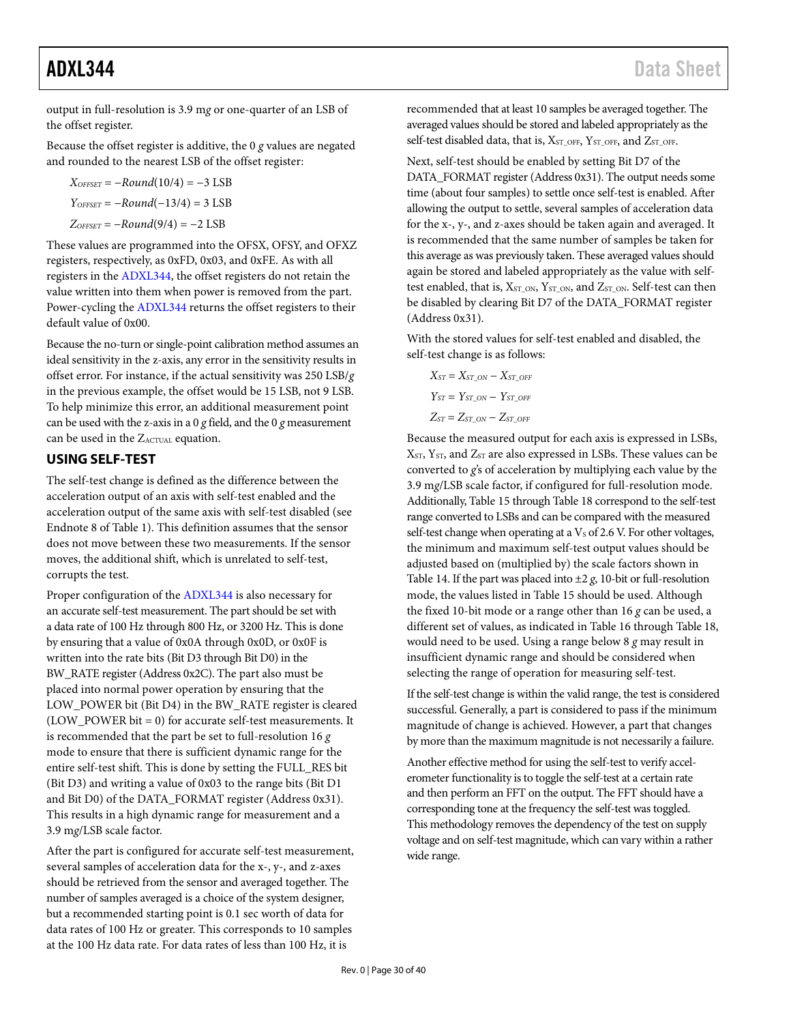output in full-resolution is 3.9 m*g* or one-quarter of an LSB of the offset register.

Because the offset register is additive, the 0 *g* values are negated and rounded to the nearest LSB of the offset register:

$$
XOFSET = -Round(10/4) = -3 LSB
$$

$$
YOFSET = -Round(-13/4) = 3 LSB
$$

$$
ZOFFSET = -Round(9/4) = -2 LSB
$$

These values are programmed into the OFSX, OFSY, and OFXZ registers, respectively, as 0xFD, 0x03, and 0xFE. As with all registers in the [ADXL344,](http://www.analog.com/ADXL344) the offset registers do not retain the value written into them when power is removed from the part. Power-cycling the [ADXL344](http://www.analog.com/ADXL344) returns the offset registers to their default value of 0x00.

Because the no-turn or single-point calibration method assumes an ideal sensitivity in the z-axis, any error in the sensitivity results in offset error. For instance, if the actual sensitivity was 250 LSB/*g* in the previous example, the offset would be 15 LSB, not 9 LSB. To help minimize this error, an additional measurement point can be used with the z-axis in a 0 *g* field, and the 0 *g* measurement can be used in the ZACTUAL equation.

# <span id="page-29-0"></span>**USING SELF-TEST**

The self-test change is defined as the difference between the acceleration output of an axis with self-test enabled and the acceleration output of the same axis with self-test disabled (see Endnot[e 8](#page-2-2) of [Table 1\)](#page-2-1). This definition assumes that the sensor does not move between these two measurements. If the sensor moves, the additional shift, which is unrelated to self-test, corrupts the test.

Proper configuration of the [ADXL344](http://www.analog.com/ADXL344) is also necessary for an accurate self-test measurement. The part should be set with a data rate of 100 Hz through 800 Hz, or 3200 Hz. This is done by ensuring that a value of 0x0A through 0x0D, or 0x0F is written into the rate bits (Bit D3 through Bit D0) in the BW\_RATE register (Address 0x2C). The part also must be placed into normal power operation by ensuring that the LOW\_POWER bit (Bit D4) in the BW\_RATE register is cleared (LOW\_POWER bit = 0) for accurate self-test measurements. It is recommended that the part be set to full-resolution 16 *g* mode to ensure that there is sufficient dynamic range for the entire self-test shift. This is done by setting the FULL\_RES bit (Bit D3) and writing a value of 0x03 to the range bits (Bit D1 and Bit D0) of the DATA\_FORMAT register (Address 0x31). This results in a high dynamic range for measurement and a 3.9 m*g*/LSB scale factor.

After the part is configured for accurate self-test measurement, several samples of acceleration data for the x-, y-, and z-axes should be retrieved from the sensor and averaged together. The number of samples averaged is a choice of the system designer, but a recommended starting point is 0.1 sec worth of data for data rates of 100 Hz or greater. This corresponds to 10 samples at the 100 Hz data rate. For data rates of less than 100 Hz, it is

recommended that at least 10 samples be averaged together. The averaged values should be stored and labeled appropriately as the self-test disabled data, that is, X<sub>ST\_OFF</sub>, Y<sub>ST\_OFF</sub>, and Z<sub>ST\_OFF</sub>.

Next, self-test should be enabled by setting Bit D7 of the DATA\_FORMAT register (Address 0x31). The output needs some time (about four samples) to settle once self-test is enabled. After allowing the output to settle, several samples of acceleration data for the x-, y-, and z-axes should be taken again and averaged. It is recommended that the same number of samples be taken for this average as was previously taken. These averaged values should again be stored and labeled appropriately as the value with selftest enabled, that is,  $X_{ST\_ON}$ ,  $Y_{ST\_ON}$ , and  $Z_{ST\_ON}$ . Self-test can then be disabled by clearing Bit D7 of the DATA\_FORMAT register (Address 0x31).

With the stored values for self-test enabled and disabled, the self-test change is as follows:

$$
X_{ST} = X_{ST\_ON} - X_{ST\_OFF}
$$
  
\n
$$
Y_{ST} = Y_{ST\_ON} - Y_{ST\_OFF}
$$
  
\n
$$
Z_{ST} = Z_{ST\_ON} - Z_{ST\_OFF}
$$

Because the measured output for each axis is expressed in LSBs, XST, YST, and ZST are also expressed in LSBs. These values can be converted to *g*'s of acceleration by multiplying each value by the 3.9 m*g*/LSB scale factor, if configured for full-resolution mode. Additionally[, Table 15](#page-18-3) throug[h Table 18](#page-18-4) correspond to the self-test range converted to LSBs and can be compared with the measured self-test change when operating at a  $V<sub>S</sub>$  of 2.6 V. For other voltages, the minimum and maximum self-test output values should be adjusted based on (multiplied by) the scale factors shown in [Table 14.](#page-18-2) If the part was placed into  $\pm 2$  *g*, 10-bit or full-resolution mode, the values listed i[n Table 15 s](#page-18-3)hould be used. Although the fixed 10-bit mode or a range other than 16 *g* can be used, a different set of values, as indicated in [Table 16](#page-18-5) throug[h Table 18,](#page-18-4)  would need to be used. Using a range below 8 *g* may result in insufficient dynamic range and should be considered when selecting the range of operation for measuring self-test.

If the self-test change is within the valid range, the test is considered successful. Generally, a part is considered to pass if the minimum magnitude of change is achieved. However, a part that changes by more than the maximum magnitude is not necessarily a failure.

Another effective method for using the self-test to verify accelerometer functionality is to toggle the self-test at a certain rate and then perform an FFT on the output. The FFT should have a corresponding tone at the frequency the self-test was toggled. This methodology removes the dependency of the test on supply voltage and on self-test magnitude, which can vary within a rather wide range.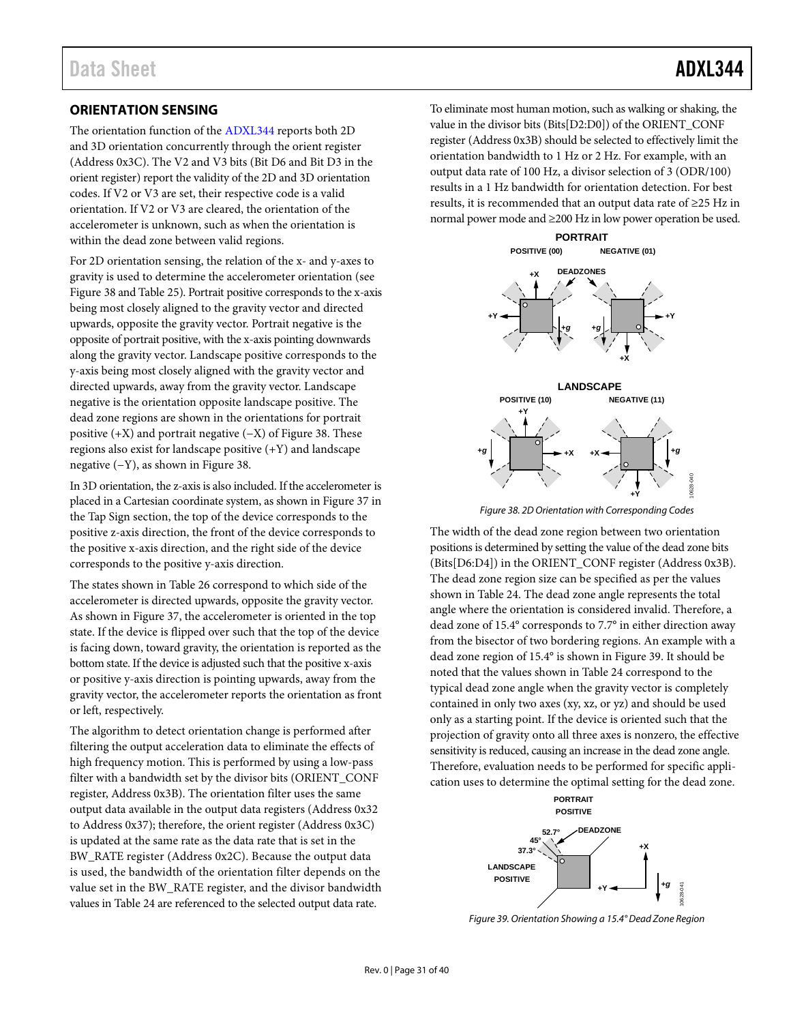# <span id="page-30-0"></span>**ORIENTATION SENSING**

The orientation function of the [ADXL344](http://www.analog.com/ADXL344) reports both 2D and 3D orientation concurrently through the orient register (Address 0x3C). The V2 and V3 bits (Bit D6 and Bit D3 in the orient register) report the validity of the 2D and 3D orientation codes. If V2 or V3 are set, their respective code is a valid orientation. If V2 or V3 are cleared, the orientation of the accelerometer is unknown, such as when the orientation is within the dead zone between valid regions.

For 2D orientation sensing, the relation of the x- and y-axes to gravity is used to determine the accelerometer orientation (see [Figure 38](#page-30-1) an[d Table 25\)](#page-25-0). Portrait positive corresponds to the x-axis being most closely aligned to the gravity vector and directed upwards, opposite the gravity vector. Portrait negative is the opposite of portrait positive, with the x-axis pointing downwards along the gravity vector. Landscape positive corresponds to the y-axis being most closely aligned with the gravity vector and directed upwards, away from the gravity vector. Landscape negative is the orientation opposite landscape positive. The dead zone regions are shown in the orientations for portrait positive (+X) and portrait negative (−X) of [Figure 38.](#page-30-1) These regions also exist for landscape positive (+Y) and landscape negative (−Y), as shown in [Figure 38.](#page-30-1) 

In 3D orientation, the z-axis is also included. If the accelerometer is placed in a Cartesian coordinate system, as shown in [Figure 37](#page-27-4) in the [Tap Sign](#page-27-1) section, the top of the device corresponds to the positive z-axis direction, the front of the device corresponds to the positive x-axis direction, and the right side of the device corresponds to the positive y-axis direction.

The states shown in [Table 26](#page-25-1) correspond to which side of the accelerometer is directed upwards, opposite the gravity vector. As shown in [Figure 37,](#page-27-4) the accelerometer is oriented in the top state. If the device is flipped over such that the top of the device is facing down, toward gravity, the orientation is reported as the bottom state. If the device is adjusted such that the positive x-axis or positive y-axis direction is pointing upwards, away from the gravity vector, the accelerometer reports the orientation as front or left, respectively.

The algorithm to detect orientation change is performed after filtering the output acceleration data to eliminate the effects of high frequency motion. This is performed by using a low-pass filter with a bandwidth set by the divisor bits (ORIENT\_CONF register, Address 0x3B). The orientation filter uses the same output data available in the output data registers (Address 0x32 to Address 0x37); therefore, the orient register (Address 0x3C) is updated at the same rate as the data rate that is set in the BW\_RATE register (Address 0x2C). Because the output data is used, the bandwidth of the orientation filter depends on the value set in the BW\_RATE register, and the divisor bandwidth values i[n Table 24](#page-24-1) are referenced to the selected output data rate.

To eliminate most human motion, such as walking or shaking, the value in the divisor bits (Bits[D2:D0]) of the ORIENT\_CONF register (Address 0x3B) should be selected to effectively limit the orientation bandwidth to 1 Hz or 2 Hz. For example, with an output data rate of 100 Hz, a divisor selection of 3 (ODR/100) results in a 1 Hz bandwidth for orientation detection. For best results, it is recommended that an output data rate of ≥25 Hz in normal power mode and ≥200 Hz in low power operation be used.



*Figure 38. 2D Orientation with Corresponding Codes*

<span id="page-30-1"></span>The width of the dead zone region between two orientation positions is determined by setting the value of the dead zone bits (Bits[D6:D4]) in the ORIENT\_CONF register (Address 0x3B). The dead zone region size can be specified as per the values shown in [Table 24.](#page-24-1) The dead zone angle represents the total angle where the orientation is considered invalid. Therefore, a dead zone of 15.4° corresponds to 7.7° in either direction away from the bisector of two bordering regions. An example with a dead zone region of 15.4° is shown in [Figure 39.](#page-30-2) It should be noted that the values shown in [Table 24](#page-24-1) correspond to the typical dead zone angle when the gravity vector is completely contained in only two axes (xy, xz, or yz) and should be used only as a starting point. If the device is oriented such that the projection of gravity onto all three axes is nonzero, the effective sensitivity is reduced, causing an increase in the dead zone angle. Therefore, evaluation needs to be performed for specific application uses to determine the optimal setting for the dead zone.



<span id="page-30-2"></span>*Figure 39. Orientation Showing a 15.4° Dead Zone Region*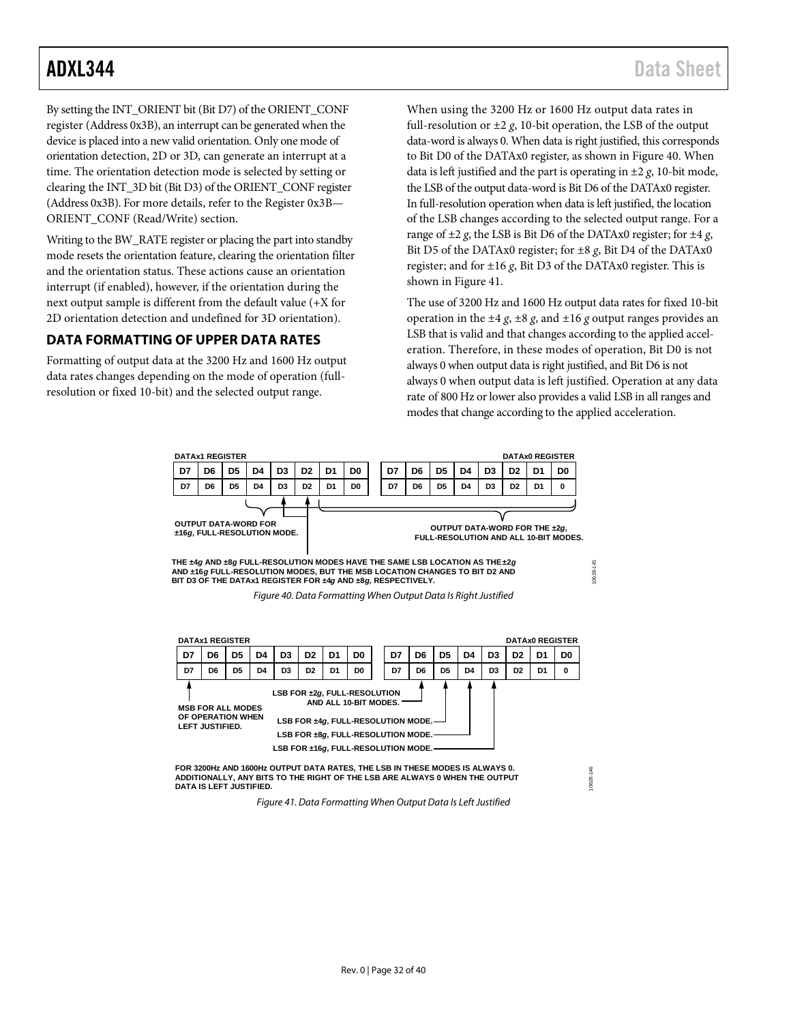By setting the INT\_ORIENT bit (Bit D7) of the ORIENT\_CONF register (Address 0x3B), an interrupt can be generated when the device is placed into a new valid orientation. Only one mode of orientation detection, 2D or 3D, can generate an interrupt at a time. The orientation detection mode is selected by setting or clearing the INT\_3D bit (Bit D3) of the ORIENT\_CONF register (Address 0x3B). For more details, refer to the [Register 0x3B—](#page-24-0) [ORIENT\\_CONF \(Read/Write\)](#page-24-0) section.

Writing to the BW\_RATE register or placing the part into standby mode resets the orientation feature, clearing the orientation filter and the orientation status. These actions cause an orientation interrupt (if enabled), however, if the orientation during the next output sample is different from the default value (+X for 2D orientation detection and undefined for 3D orientation).

# <span id="page-31-0"></span>**DATA FORMATTING OF UPPER DATA RATES**

Formatting of output data at the 3200 Hz and 1600 Hz output data rates changes depending on the mode of operation (fullresolution or fixed 10-bit) and the selected output range.

When using the 3200 Hz or 1600 Hz output data rates in full-resolution or  $\pm 2$  *g*, 10-bit operation, the LSB of the output data-word is always 0. When data is right justified, this corresponds to Bit D0 of the DATAx0 register, as shown i[n Figure 40.](#page-31-1) When data is left justified and the part is operating in ±2 *g*, 10-bit mode, the LSB of the output data-word is Bit D6 of the DATAx0 register. In full-resolution operation when data is left justified, the location of the LSB changes according to the selected output range. For a range of  $\pm 2$  *g*, the LSB is Bit D6 of the DATAx0 register; for  $\pm 4$  *g*, Bit D5 of the DATAx0 register; for ±8 *g*, Bit D4 of the DATAx0 register; and for ±16 *g*, Bit D3 of the DATAx0 register. This is shown in [Figure 41.](#page-31-2) 

The use of 3200 Hz and 1600 Hz output data rates for fixed 10-bit operation in the  $\pm 4$  *g*,  $\pm 8$  *g*, and  $\pm 16$  *g* output ranges provides an LSB that is valid and that changes according to the applied acceleration. Therefore, in these modes of operation, Bit D0 is not always 0 when output data is right justified, and Bit D6 is not always 0 when output data is left justified. Operation at any data rate of 800 Hz or lower also provides a valid LSB in all ranges and modes that change according to the applied acceleration.

10628-146

<span id="page-31-1"></span>

<span id="page-31-2"></span>**FOR 3200Hz AND 1600Hz OUTPUT DATA RATES, THE LSB IN THESE MODES IS ALWAYS 0. ADDITIONALLY, ANY BITS TO THE RIGHT OF THE LSB ARE ALWAYS 0 WHEN THE OUTPUT DATA IS LEFT JUSTIFIED.**

*Figure 41. Data Formatting When Output Data Is Left Justified*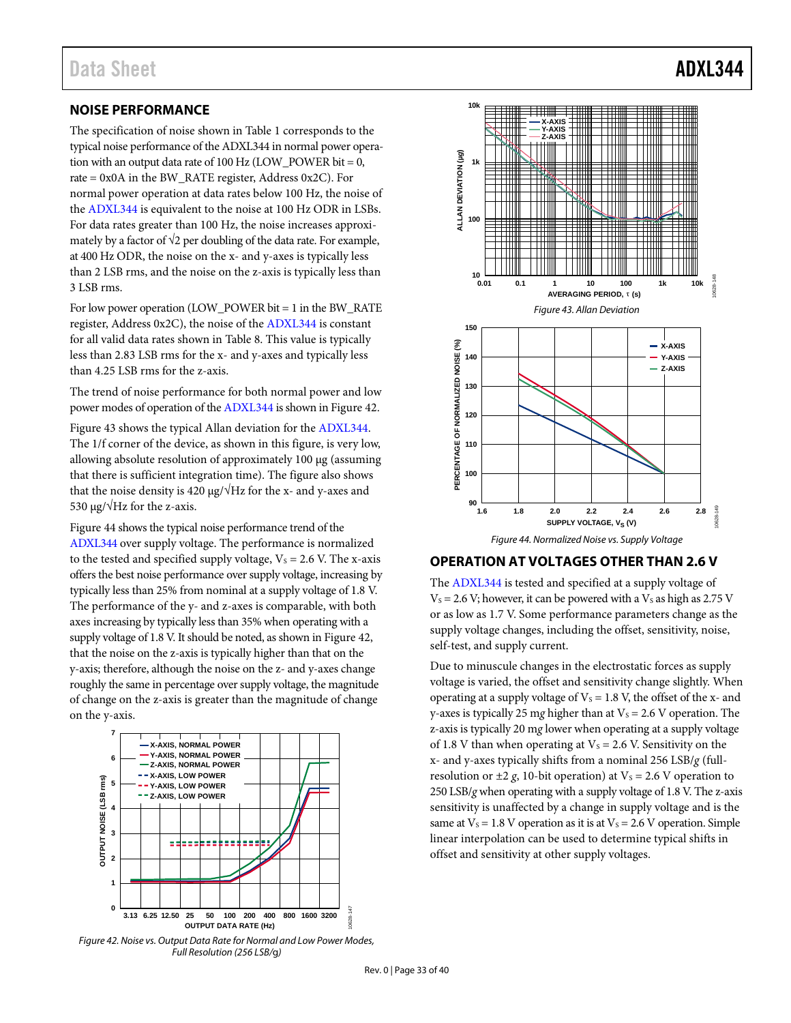## <span id="page-32-0"></span>**NOISE PERFORMANCE**

The specification of noise shown in [Table 1](#page-2-1) corresponds to the typical noise performance of the [ADXL344](http://www.analog.com/ADXL344) in normal power operation with an output data rate of 100 Hz (LOW\_POWER bit = 0, rate = 0x0A in the BW\_RATE register, Address 0x2C). For normal power operation at data rates below 100 Hz, the noise of the [ADXL344](http://www.analog.com/ADXL344) is equivalent to the noise at 100 Hz ODR in LSBs. For data rates greater than 100 Hz, the noise increases approximately by a factor of  $\sqrt{2}$  per doubling of the data rate. For example, at 400 Hz ODR, the noise on the x- and y-axes is typically less than 2 LSB rms, and the noise on the z-axis is typically less than 3 LSB rms.

For low power operation (LOW\_POWER bit = 1 in the BW\_RATE register, Address 0x2C), the noise of th[e ADXL344](http://www.analog.com/ADXL344) is constant for all valid data rates shown i[n Table 8.](#page-10-2) This value is typically less than 2.83 LSB rms for the x- and y-axes and typically less than 4.25 LSB rms for the z-axis.

The trend of noise performance for both normal power and low power modes of operation of th[e ADXL344](http://www.analog.com/ADXL344) is shown in [Figure 42.](#page-32-2) 

[Figure 43](#page-32-3) shows the typical Allan deviation for th[e ADXL344.](http://www.analog.com/ADXL344) The 1/f corner of the device, as shown in this figure, is very low, allowing absolute resolution of approximately 100 µg (assuming that there is sufficient integration time). The figure also shows that the noise density is 420  $\mu$ g/ $\sqrt{Hz}$  for the x- and y-axes and 530 μg/ $\sqrt{Hz}$  for the z-axis.

[Figure 44](#page-32-4) shows the typical noise performance trend of the [ADXL344](http://www.analog.com/ADXL344) over supply voltage. The performance is normalized to the tested and specified supply voltage,  $V_s = 2.6$  V. The x-axis offers the best noise performance over supply voltage, increasing by typically less than 25% from nominal at a supply voltage of 1.8 V. The performance of the y- and z-axes is comparable, with both axes increasing by typically less than 35% when operating with a supply voltage of 1.8 V. It should be noted, as shown i[n Figure 42,](#page-32-2)  that the noise on the z-axis is typically higher than that on the y-axis; therefore, although the noise on the z- and y-axes change roughly the same in percentage over supply voltage, the magnitude of change on the z-axis is greater than the magnitude of change on the y-axis.



<span id="page-32-2"></span>*Figure 42. Noise vs. Output Data Rate for Normal and Low Power Modes, Full Resolution (256 LSB/*g*)* 

<span id="page-32-3"></span>

### <span id="page-32-4"></span><span id="page-32-1"></span>**OPERATION AT VOLTAGES OTHER THAN 2.6 V**

The [ADXL344](http://www.analog.com/ADXL344) is tested and specified at a supply voltage of  $V_s = 2.6$  V; however, it can be powered with a V<sub>s</sub> as high as 2.75 V or as low as 1.7 V. Some performance parameters change as the supply voltage changes, including the offset, sensitivity, noise, self-test, and supply current.

Due to minuscule changes in the electrostatic forces as supply voltage is varied, the offset and sensitivity change slightly. When operating at a supply voltage of  $V_s = 1.8$  V, the offset of the x- and y-axes is typically 25 mg higher than at  $V_s = 2.6$  V operation. The z-axis is typically 20 m*g* lower when operating at a supply voltage of 1.8 V than when operating at  $V_s = 2.6$  V. Sensitivity on the x- and y-axes typically shifts from a nominal 256 LSB/*g* (fullresolution or  $\pm 2$  *g*, 10-bit operation) at  $V_s = 2.6$  V operation to 250 LSB/*g* when operating with a supply voltage of 1.8 V. The z-axis sensitivity is unaffected by a change in supply voltage and is the same at  $V_s = 1.8$  V operation as it is at  $V_s = 2.6$  V operation. Simple linear interpolation can be used to determine typical shifts in offset and sensitivity at other supply voltages.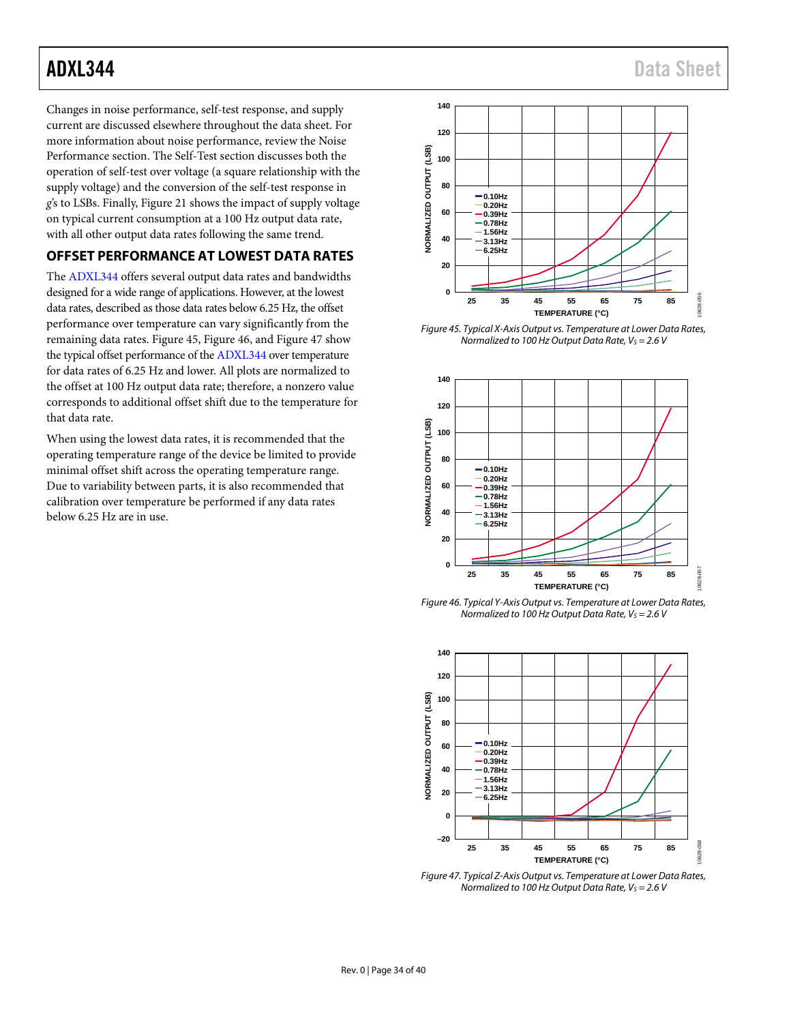Changes in noise performance, self-test response, and supply current are discussed elsewhere throughout the data sheet. For more information about noise performance, review th[e Noise](#page-32-0)  [Performance](#page-32-0) section. Th[e Self-Test](#page-18-0) section discusses both the operation of self-test over voltage (a square relationship with the supply voltage) and the conversion of the self-test response in *g*'s to LSBs. Finally, [Figure 21](#page-8-0) shows the impact of supply voltage on typical current consumption at a 100 Hz output data rate, with all other output data rates following the same trend.

# <span id="page-33-0"></span>**OFFSET PERFORMANCE AT LOWEST DATA RATES**

The [ADXL344](http://www.analog.com/ADXL344) offers several output data rates and bandwidths designed for a wide range of applications. However, at the lowest data rates, described as those data rates below 6.25 Hz, the offset performance over temperature can vary significantly from the remaining data rates. [Figure 45,](#page-33-1) [Figure 46,](#page-33-2) and [Figure 47](#page-33-3) show the typical offset performance of th[e ADXL344](http://www.analog.com/ADXL344) over temperature for data rates of 6.25 Hz and lower. All plots are normalized to the offset at 100 Hz output data rate; therefore, a nonzero value corresponds to additional offset shift due to the temperature for that data rate.

When using the lowest data rates, it is recommended that the operating temperature range of the device be limited to provide minimal offset shift across the operating temperature range. Due to variability between parts, it is also recommended that calibration over temperature be performed if any data rates below 6.25 Hz are in use.



<span id="page-33-1"></span>*Figure 45. Typical X-Axis Output vs. Temperature at Lower Data Rates, Normalized to 100 Hz Output Data Rate, V<sub>S</sub> = 2.6 V* 



<span id="page-33-2"></span>*Figure 46. Typical Y-Axis Output vs. Temperature at Lower Data Rates, Normalized to 100 Hz Output Data Rate, Vs* = 2.6 *V* 



<span id="page-33-3"></span>*Figure 47. Typical Z-Axis Output vs. Temperature at Lower Data Rates, Normalized to 100 Hz Output Data Rate, Vs* = 2.6 *V*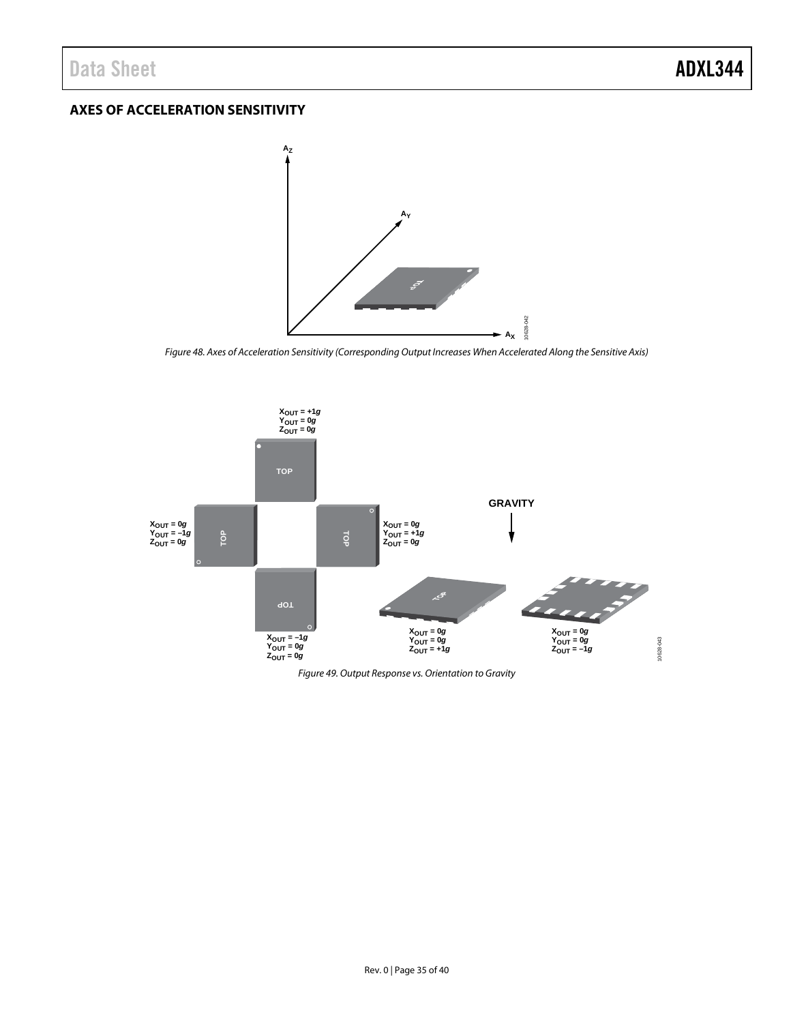# <span id="page-34-0"></span>**AXES OF ACCELERATION SENSITIVITY**



*Figure 48. Axes of Acceleration Sensitivity (Corresponding Output Increases When Accelerated Along the Sensitive Axis)*

10628-042



*Figure 49. Output Response vs. Orientation to Gravity*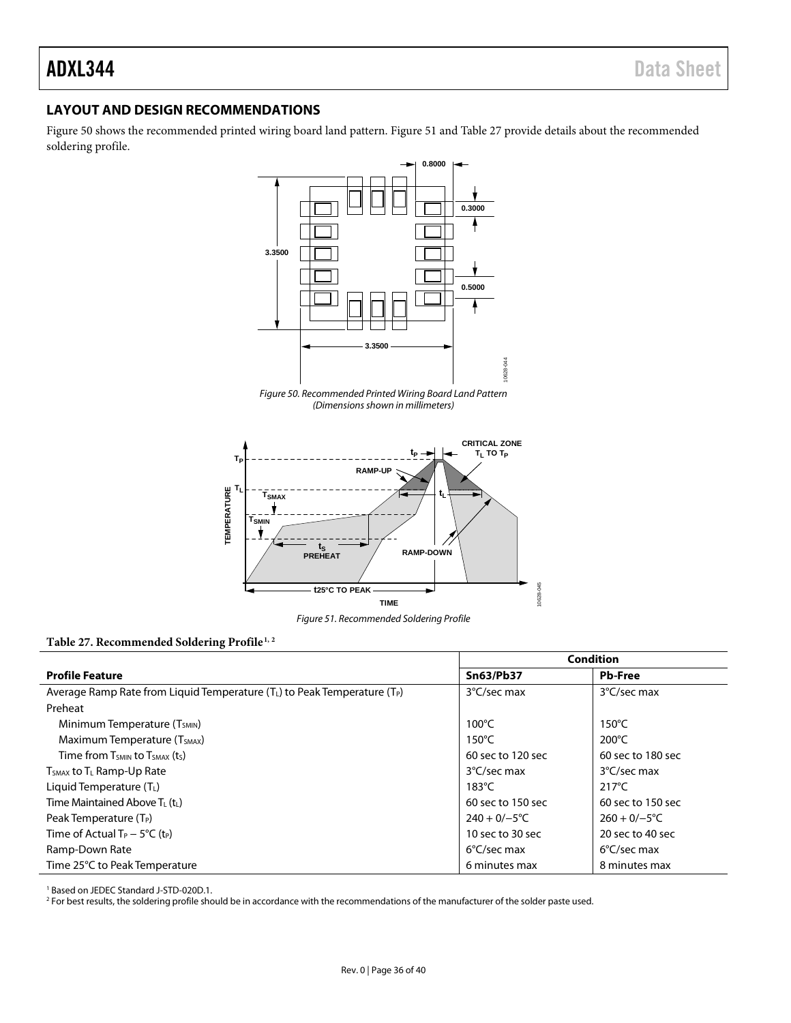# <span id="page-35-0"></span>**LAYOUT AND DESIGN RECOMMENDATIONS**

[Figure 50](#page-35-1) shows the recommended printed wiring board land pattern. [Figure 51](#page-35-2) and [Table 27](#page-35-3) provide details about the recommended soldering profile.



*Figure 50. Recommended Printed Wiring Board Land Pattern (Dimensions shown in millimeters)* 

<span id="page-35-1"></span>

*Figure 51. Recommended Soldering Profile* 

#### <span id="page-35-3"></span><span id="page-35-2"></span>Table 27. Recommended Soldering Profile<sup>1, 2</sup>

|                                                                                   | <b>Condition</b>  |                       |  |
|-----------------------------------------------------------------------------------|-------------------|-----------------------|--|
| <b>Profile Feature</b>                                                            | <b>Sn63/Pb37</b>  | <b>Pb-Free</b>        |  |
| Average Ramp Rate from Liquid Temperature ( $T_L$ ) to Peak Temperature ( $T_P$ ) | 3°C/sec max       | 3°C/sec max           |  |
| Preheat                                                                           |                   |                       |  |
| Minimum Temperature (T <sub>SMIN</sub> )                                          | $100^{\circ}$ C   | $150^{\circ}$ C       |  |
| Maximum Temperature (T <sub>SMAX</sub> )                                          | $150^{\circ}$ C   | $200^{\circ}$ C       |  |
| Time from $T_{SMIN}$ to $T_{SMAX}$ (t <sub>s</sub> )                              | 60 sec to 120 sec | 60 sec to 180 sec     |  |
| $T_{SMAX}$ to $T_L$ Ramp-Up Rate                                                  | 3°C/sec max       | 3°C/sec max           |  |
| Liquid Temperature $(T_L)$                                                        | $183^{\circ}$ C   | $217^{\circ}$ C       |  |
| Time Maintained Above $T_L(t_L)$                                                  | 60 sec to 150 sec | 60 sec to 150 sec     |  |
| Peak Temperature $(T_P)$                                                          | $240 + 0/-5$ °C   | $260 + 0/-5$ °C       |  |
| Time of Actual $T_P - 5^{\circ}C$ (t <sub>P</sub> )                               | 10 sec to 30 sec  | 20 sec to 40 sec      |  |
| Ramp-Down Rate                                                                    | 6°C/sec max       | $6^{\circ}$ C/sec max |  |
| Time 25°C to Peak Temperature                                                     | 6 minutes max     | 8 minutes max         |  |

<sup>1</sup> Based on JEDEC Standard J-STD-020D.1.

<sup>2</sup> For best results, the soldering profile should be in accordance with the recommendations of the manufacturer of the solder paste used.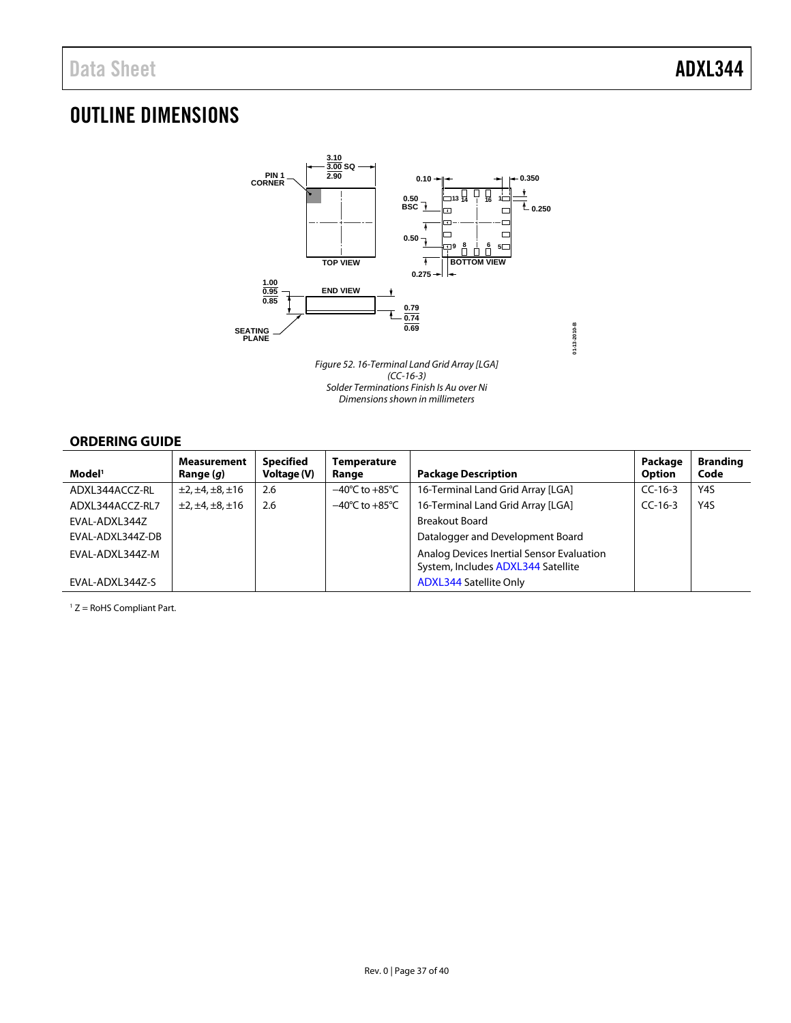# <span id="page-36-0"></span>OUTLINE DIMENSIONS



Figure 52. 16-Terminal Land Grid Array [LGA] (CC-16-3) Solder Terminations Finish Is Au over Ni Dimensions shown in millimeters

**01-13-2010-B**

# <span id="page-36-1"></span>**ORDERING GUIDE**

| Model <sup>1</sup> | <b>Measurement</b><br>Range ( <i>g</i> ) | Specified<br>Voltage (V) | Temperature<br>Range               | <b>Package Description</b>                                                      | Package<br><b>Option</b> | <b>Branding</b><br>Code |
|--------------------|------------------------------------------|--------------------------|------------------------------------|---------------------------------------------------------------------------------|--------------------------|-------------------------|
| ADXL344ACCZ-RL     | $\pm 2, \pm 4, \pm 8, \pm 16$            | 2.6                      | $-40^{\circ}$ C to $+85^{\circ}$ C | 16-Terminal Land Grid Array [LGA]                                               | $CC-16-3$                | Y4S                     |
| ADXL344ACCZ-RL7    | $\pm 2, \pm 4, \pm 8, \pm 16$            | 2.6                      | $-40^{\circ}$ C to $+85^{\circ}$ C | 16-Terminal Land Grid Array [LGA]                                               | $CC-16-3$                | Y4S                     |
| EVAL-ADXL344Z      |                                          |                          |                                    | <b>Breakout Board</b>                                                           |                          |                         |
| EVAL-ADXL344Z-DB   |                                          |                          |                                    | Datalogger and Development Board                                                |                          |                         |
| EVAL-ADXL344Z-M    |                                          |                          |                                    | Analog Devices Inertial Sensor Evaluation<br>System, Includes ADXL344 Satellite |                          |                         |
| EVAL-ADXL344Z-S    |                                          |                          |                                    | <b>ADXL344 Satellite Only</b>                                                   |                          |                         |

1 Z = RoHS Compliant Part.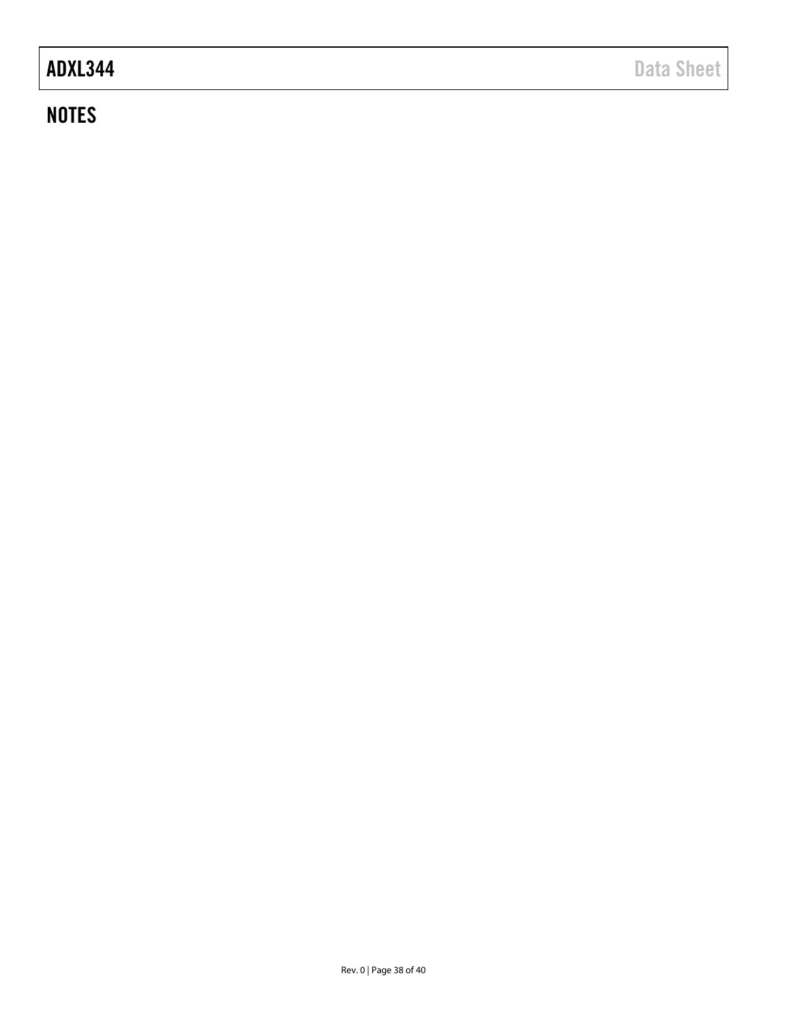# **NOTES**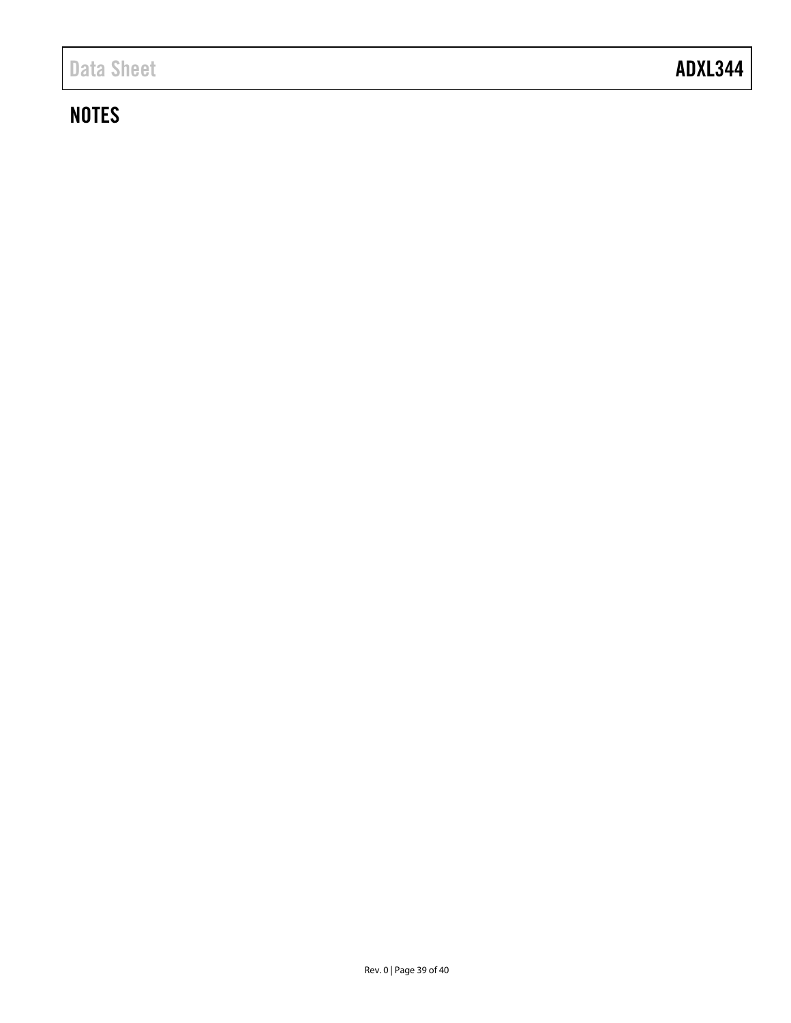# **NOTES**